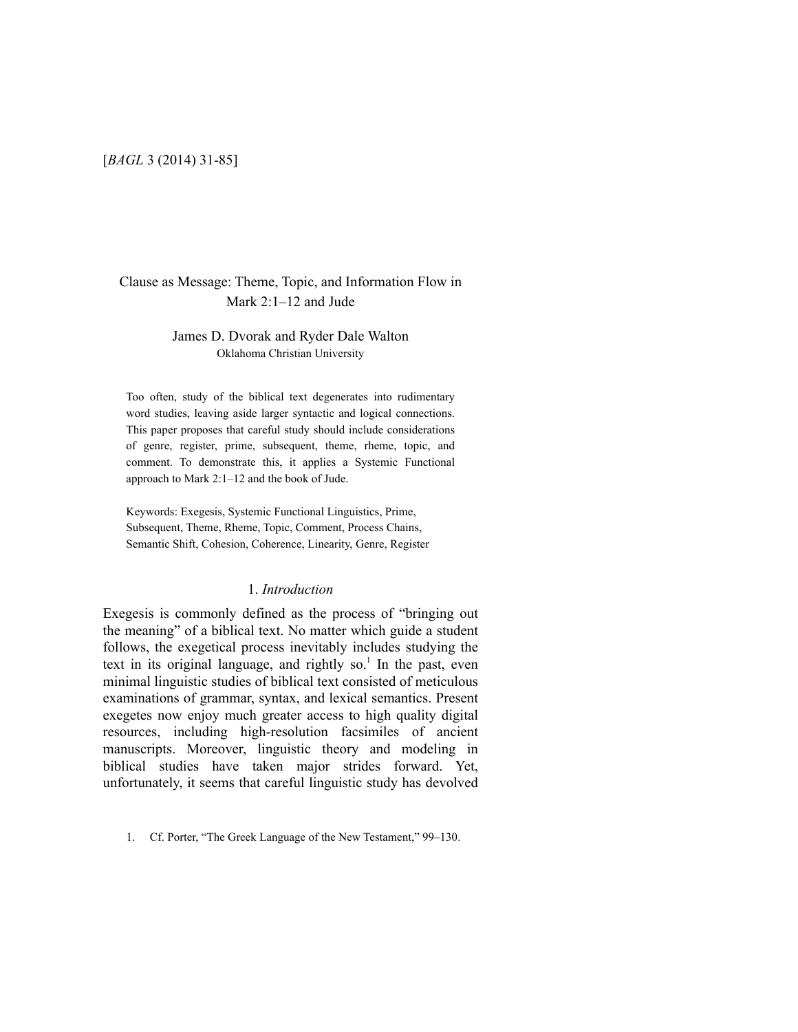## [*BAGL* 3 (2014) 31-85]

## Clause as Message: Theme, Topic, and Information Flow in Mark 2:1–12 and Jude

## James D. Dvorak and Ryder Dale Walton Oklahoma Christian University

Too often, study of the biblical text degenerates into rudimentary word studies, leaving aside larger syntactic and logical connections. This paper proposes that careful study should include considerations of genre, register, prime, subsequent, theme, rheme, topic, and comment. To demonstrate this, it applies a Systemic Functional approach to Mark 2:1–12 and the book of Jude.

Keywords: Exegesis, Systemic Functional Linguistics, Prime, Subsequent, Theme, Rheme, Topic, Comment, Process Chains, Semantic Shift, Cohesion, Coherence, Linearity, Genre, Register

## 1. *Introduction*

Exegesis is commonly defined as the process of "bringing out the meaning" of a biblical text. No matter which guide a student follows, the exegetical process inevitably includes studying the text in its original language, and rightly so.<sup>1</sup> In the past, even minimal linguistic studies of biblical text consisted of meticulous examinations of grammar, syntax, and lexical semantics. Present exegetes now enjoy much greater access to high quality digital resources, including high-resolution facsimiles of ancient manuscripts. Moreover, linguistic theory and modeling in biblical studies have taken major strides forward. Yet, unfortunately, it seems that careful linguistic study has devolved

<sup>1.</sup> Cf. Porter, "The Greek Language of the New Testament," 99–130.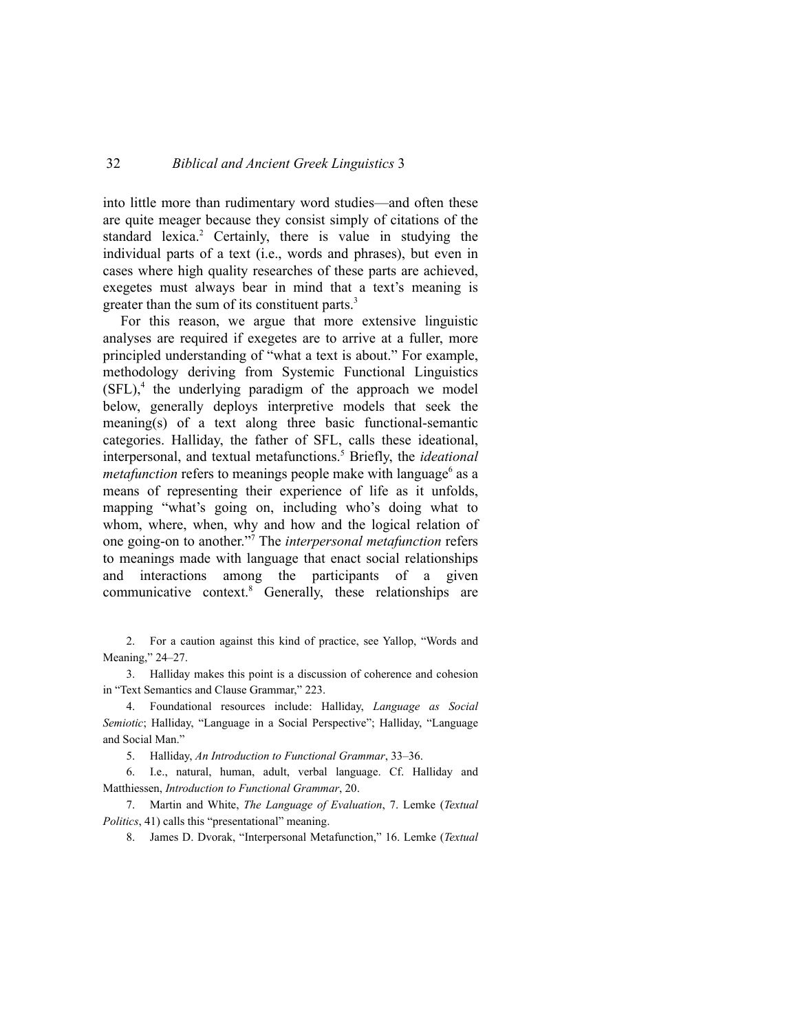into little more than rudimentary word studies—and often these are quite meager because they consist simply of citations of the standard lexica.<sup>2</sup> Certainly, there is value in studying the individual parts of a text (i.e., words and phrases), but even in cases where high quality researches of these parts are achieved, exegetes must always bear in mind that a text's meaning is greater than the sum of its constituent parts. $3$ 

For this reason, we argue that more extensive linguistic analyses are required if exegetes are to arrive at a fuller, more principled understanding of "what a text is about." For example, methodology deriving from Systemic Functional Linguistics  $(SFL)$ , the underlying paradigm of the approach we model below, generally deploys interpretive models that seek the meaning(s) of a text along three basic functional-semantic categories. Halliday, the father of SFL, calls these ideational, interpersonal, and textual metafunctions.<sup>5</sup> Briefly, the *ideational metafunction* refers to meanings people make with language<sup>6</sup> as a means of representing their experience of life as it unfolds, mapping "what's going on, including who's doing what to whom, where, when, why and how and the logical relation of one going-on to another."7 The *interpersonal metafunction* refers to meanings made with language that enact social relationships and interactions among the participants of a given communicative context.8 Generally, these relationships are

2. For a caution against this kind of practice, see Yallop, "Words and Meaning," 24–27.

3. Halliday makes this point is a discussion of coherence and cohesion in "Text Semantics and Clause Grammar," 223.

4. Foundational resources include: Halliday, *Language as Social Semiotic*; Halliday, "Language in a Social Perspective"; Halliday, "Language and Social Man."

5. Halliday, *An Introduction to Functional Grammar*, 33–36.

6. I.e., natural, human, adult, verbal language. Cf. Halliday and Matthiessen, *Introduction to Functional Grammar*, 20.

7. Martin and White, *The Language of Evaluation*, 7. Lemke (*Textual Politics*, 41) calls this "presentational" meaning.

8. James D. Dvorak, "Interpersonal Metafunction," 16. Lemke (*Textual*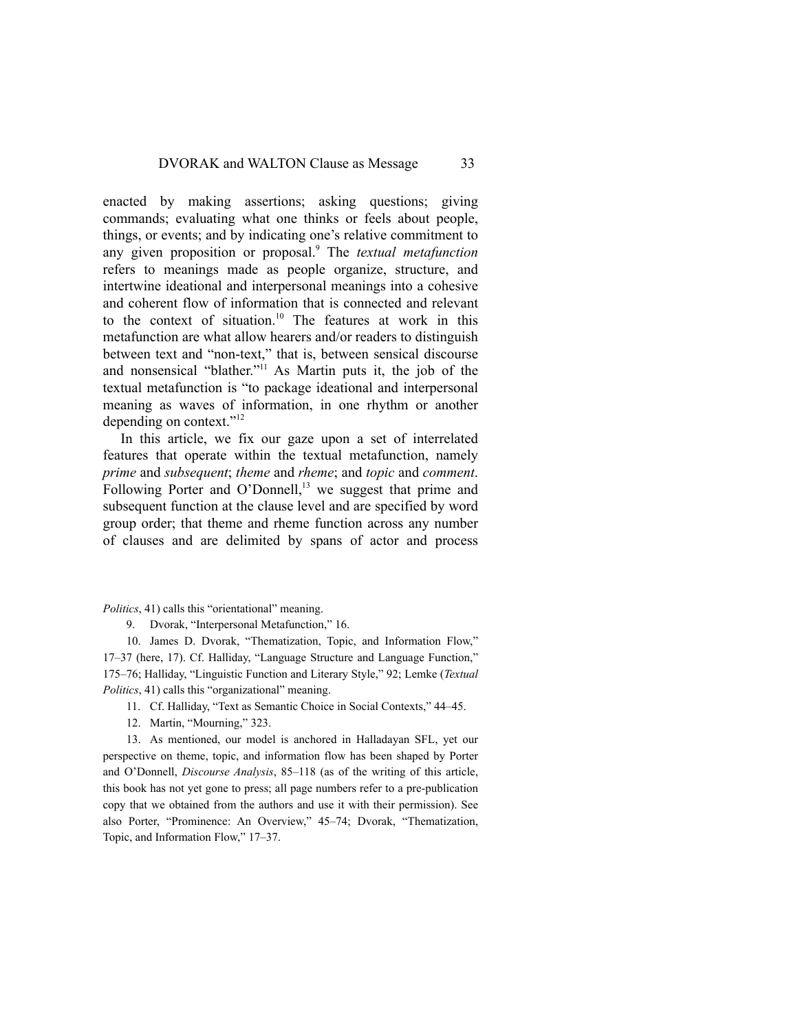enacted by making assertions; asking questions; giving commands; evaluating what one thinks or feels about people, things, or events; and by indicating one's relative commitment to any given proposition or proposal.9 The *textual metafunction* refers to meanings made as people organize, structure, and intertwine ideational and interpersonal meanings into a cohesive and coherent flow of information that is connected and relevant to the context of situation.<sup>10</sup> The features at work in this metafunction are what allow hearers and/or readers to distinguish between text and "non-text," that is, between sensical discourse and nonsensical "blather."<sup>11</sup> As Martin puts it, the job of the textual metafunction is "to package ideational and interpersonal meaning as waves of information, in one rhythm or another depending on context."<sup>12</sup>

In this article, we fix our gaze upon a set of interrelated features that operate within the textual metafunction, namely *prime* and *subsequent*; *theme* and *rheme*; and *topic* and *comment*. Following Porter and O'Donnell,<sup>13</sup> we suggest that prime and subsequent function at the clause level and are specified by word group order; that theme and rheme function across any number of clauses and are delimited by spans of actor and process

*Politics*, 41) calls this "orientational" meaning.

9. Dvorak, "Interpersonal Metafunction," 16.

10. James D. Dvorak, "Thematization, Topic, and Information Flow," 17–37 (here, 17). Cf. Halliday, "Language Structure and Language Function," 175–76; Halliday, "Linguistic Function and Literary Style," 92; Lemke (*Textual Politics*, 41) calls this "organizational" meaning.

- 11. Cf. Halliday, "Text as Semantic Choice in Social Contexts," 44–45.
- 12. Martin, "Mourning," 323.

13. As mentioned, our model is anchored in Halladayan SFL, yet our perspective on theme, topic, and information flow has been shaped by Porter and O'Donnell, *Discourse Analysis*, 85–118 (as of the writing of this article, this book has not yet gone to press; all page numbers refer to a pre-publication copy that we obtained from the authors and use it with their permission). See also Porter, "Prominence: An Overview," 45–74; Dvorak, "Thematization, Topic, and Information Flow," 17–37.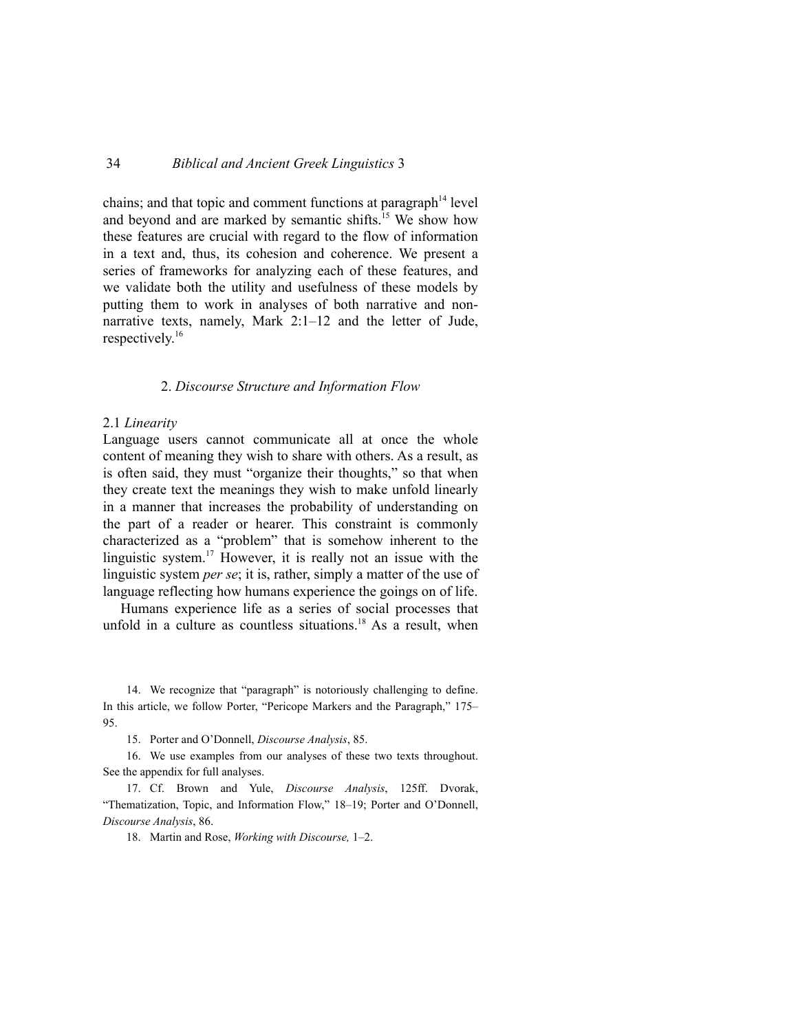chains; and that topic and comment functions at paragraph $14$  level and beyond and are marked by semantic shifts.<sup>15</sup> We show how these features are crucial with regard to the flow of information in a text and, thus, its cohesion and coherence. We present a series of frameworks for analyzing each of these features, and we validate both the utility and usefulness of these models by putting them to work in analyses of both narrative and nonnarrative texts, namely, Mark 2:1–12 and the letter of Jude, respectively.16

#### 2. *Discourse Structure and Information Flow*

#### 2.1 *Linearity*

Language users cannot communicate all at once the whole content of meaning they wish to share with others. As a result, as is often said, they must "organize their thoughts," so that when they create text the meanings they wish to make unfold linearly in a manner that increases the probability of understanding on the part of a reader or hearer. This constraint is commonly characterized as a "problem" that is somehow inherent to the linguistic system.17 However, it is really not an issue with the linguistic system *per se*; it is, rather, simply a matter of the use of language reflecting how humans experience the goings on of life.

Humans experience life as a series of social processes that unfold in a culture as countless situations.<sup>18</sup> As a result, when

14. We recognize that "paragraph" is notoriously challenging to define. In this article, we follow Porter, "Pericope Markers and the Paragraph," 175– 95.

15. Porter and O'Donnell, *Discourse Analysis*, 85.

16. We use examples from our analyses of these two texts throughout. See the appendix for full analyses.

17. Cf. Brown and Yule, *Discourse Analysis*, 125ff. Dvorak, "Thematization, Topic, and Information Flow," 18–19; Porter and O'Donnell, *Discourse Analysis*, 86.

18. Martin and Rose, *Working with Discourse,* 1–2.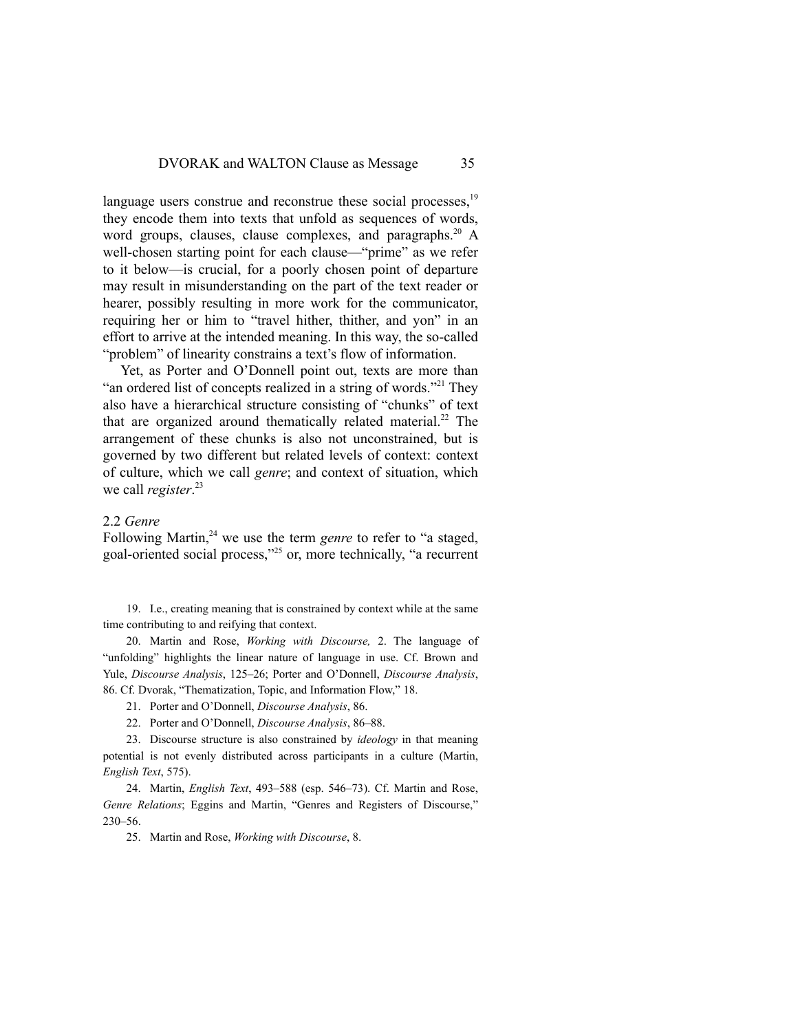language users construe and reconstrue these social processes.<sup>19</sup> they encode them into texts that unfold as sequences of words, word groups, clauses, clause complexes, and paragraphs.<sup>20</sup> A well-chosen starting point for each clause—"prime" as we refer to it below—is crucial, for a poorly chosen point of departure may result in misunderstanding on the part of the text reader or hearer, possibly resulting in more work for the communicator, requiring her or him to "travel hither, thither, and yon" in an effort to arrive at the intended meaning. In this way, the so-called "problem" of linearity constrains a text's flow of information.

Yet, as Porter and O'Donnell point out, texts are more than "an ordered list of concepts realized in a string of words."<sup>21</sup> They also have a hierarchical structure consisting of "chunks" of text that are organized around thematically related material.<sup>22</sup> The arrangement of these chunks is also not unconstrained, but is governed by two different but related levels of context: context of culture, which we call *genre*; and context of situation, which we call *register*. 23

## 2.2 *Genre*

Following Martin,<sup>24</sup> we use the term *genre* to refer to "a staged, goal-oriented social process,"25 or, more technically, "a recurrent

19. I.e., creating meaning that is constrained by context while at the same time contributing to and reifying that context.

20. Martin and Rose, *Working with Discourse,* 2. The language of "unfolding" highlights the linear nature of language in use. Cf. Brown and Yule, *Discourse Analysis*, 125–26; Porter and O'Donnell, *Discourse Analysis*, 86. Cf. Dvorak, "Thematization, Topic, and Information Flow," 18.

21. Porter and O'Donnell, *Discourse Analysis*, 86.

22. Porter and O'Donnell, *Discourse Analysis*, 86–88.

23. Discourse structure is also constrained by *ideology* in that meaning potential is not evenly distributed across participants in a culture (Martin, *English Text*, 575).

24. Martin, *English Text*, 493–588 (esp. 546–73). Cf. Martin and Rose, *Genre Relations*; Eggins and Martin, "Genres and Registers of Discourse," 230–56.

25. Martin and Rose, *Working with Discourse*, 8.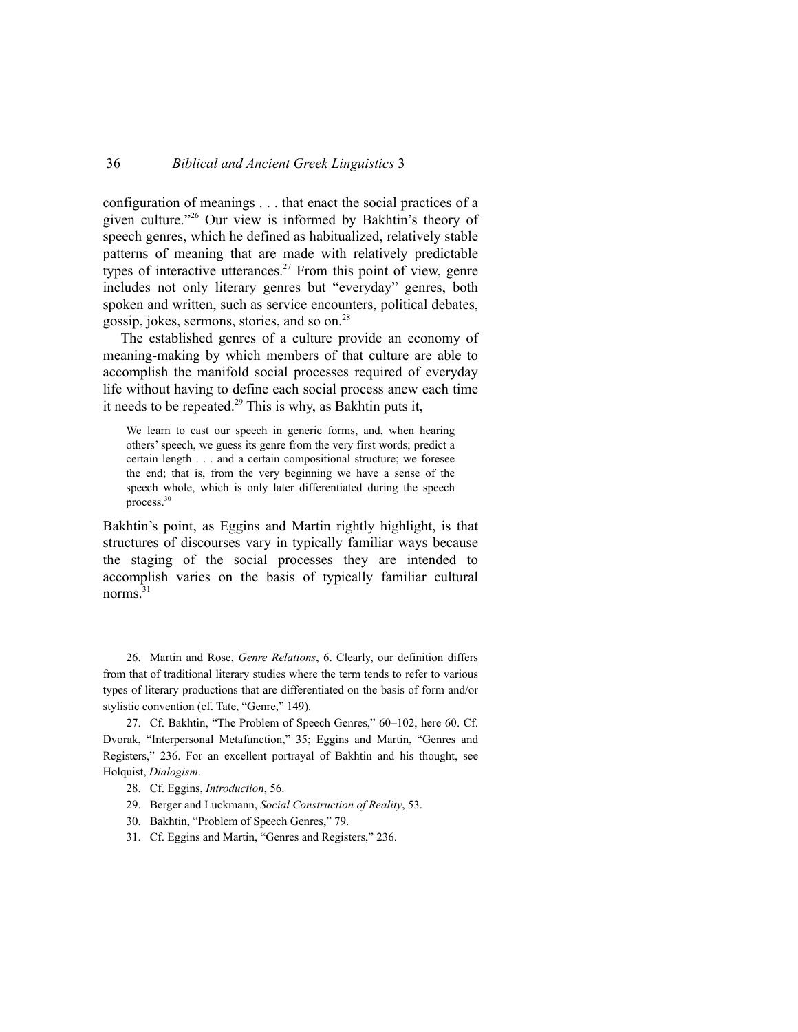configuration of meanings . . . that enact the social practices of a given culture."26 Our view is informed by Bakhtin's theory of speech genres, which he defined as habitualized, relatively stable patterns of meaning that are made with relatively predictable types of interactive utterances.<sup>27</sup> From this point of view, genre includes not only literary genres but "everyday" genres, both spoken and written, such as service encounters, political debates, gossip, jokes, sermons, stories, and so on.28

The established genres of a culture provide an economy of meaning-making by which members of that culture are able to accomplish the manifold social processes required of everyday life without having to define each social process anew each time it needs to be repeated.<sup>29</sup> This is why, as Bakhtin puts it,

We learn to cast our speech in generic forms, and, when hearing others' speech, we guess its genre from the very first words; predict a certain length . . . and a certain compositional structure; we foresee the end; that is, from the very beginning we have a sense of the speech whole, which is only later differentiated during the speech process.30

Bakhtin's point, as Eggins and Martin rightly highlight, is that structures of discourses vary in typically familiar ways because the staging of the social processes they are intended to accomplish varies on the basis of typically familiar cultural norms $^{31}$ 

26. Martin and Rose, *Genre Relations*, 6. Clearly, our definition differs from that of traditional literary studies where the term tends to refer to various types of literary productions that are differentiated on the basis of form and/or stylistic convention (cf. Tate, "Genre," 149).

27. Cf. Bakhtin, "The Problem of Speech Genres," 60–102, here 60. Cf. Dvorak, "Interpersonal Metafunction," 35; Eggins and Martin, "Genres and Registers," 236. For an excellent portrayal of Bakhtin and his thought, see Holquist, *Dialogism*.

- 28. Cf. Eggins, *Introduction*, 56.
- 29. Berger and Luckmann, *Social Construction of Reality*, 53.
- 30. Bakhtin, "Problem of Speech Genres," 79.
- 31. Cf. Eggins and Martin, "Genres and Registers," 236.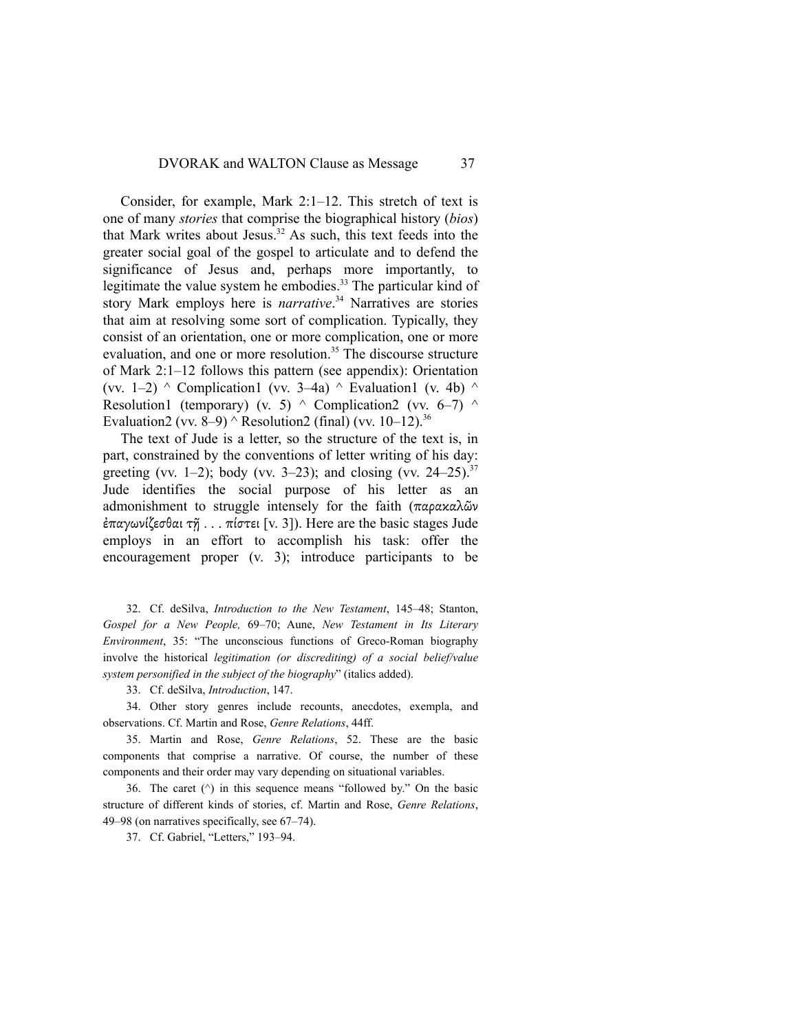Consider, for example, Mark 2:1–12. This stretch of text is one of many *stories* that comprise the biographical history (*bios*) that Mark writes about Jesus.32 As such, this text feeds into the greater social goal of the gospel to articulate and to defend the significance of Jesus and, perhaps more importantly, to legitimate the value system he embodies.<sup>33</sup> The particular kind of story Mark employs here is *narrative*. <sup>34</sup> Narratives are stories that aim at resolving some sort of complication. Typically, they consist of an orientation, one or more complication, one or more evaluation, and one or more resolution.<sup>35</sup> The discourse structure of Mark 2:1–12 follows this pattern (see appendix): Orientation (vv. 1–2)  $\land$  Complication1 (vv. 3–4a)  $\land$  Evaluation1 (v. 4b)  $\land$ Resolution1 (temporary) (v. 5)  $\land$  Complication2 (vv. 6–7)  $\land$ Evaluation2 (vv. 8–9)  $\wedge$  Resolution2 (final) (vv. 10–12).<sup>36</sup>

The text of Jude is a letter, so the structure of the text is, in part, constrained by the conventions of letter writing of his day: greeting (vv. 1–2); body (vv. 3–23); and closing (vv. 24–25).<sup>37</sup> Jude identifies the social purpose of his letter as an admonishment to struggle intensely for the faith (παρακαλῶν ἐπαγωνίζεσθαι τῇ . . . πίστει [v. 3]). Here are the basic stages Jude employs in an effort to accomplish his task: offer the encouragement proper (v. 3); introduce participants to be

32. Cf. deSilva, *Introduction to the New Testament*, 145–48; Stanton, *Gospel for a New People,* 69–70; Aune, *New Testament in Its Literary Environment*, 35: "The unconscious functions of Greco-Roman biography involve the historical *legitimation (or discrediting) of a social belief/value system personified in the subject of the biography*" (italics added).

33. Cf. deSilva, *Introduction*, 147.

34. Other story genres include recounts, anecdotes, exempla, and observations. Cf. Martin and Rose, *Genre Relations*, 44ff.

35. Martin and Rose, *Genre Relations*, 52. These are the basic components that comprise a narrative. Of course, the number of these components and their order may vary depending on situational variables.

36. The caret  $(^\wedge)$  in this sequence means "followed by." On the basic structure of different kinds of stories, cf. Martin and Rose, *Genre Relations*, 49–98 (on narratives specifically, see 67–74).

37. Cf. Gabriel, "Letters," 193–94.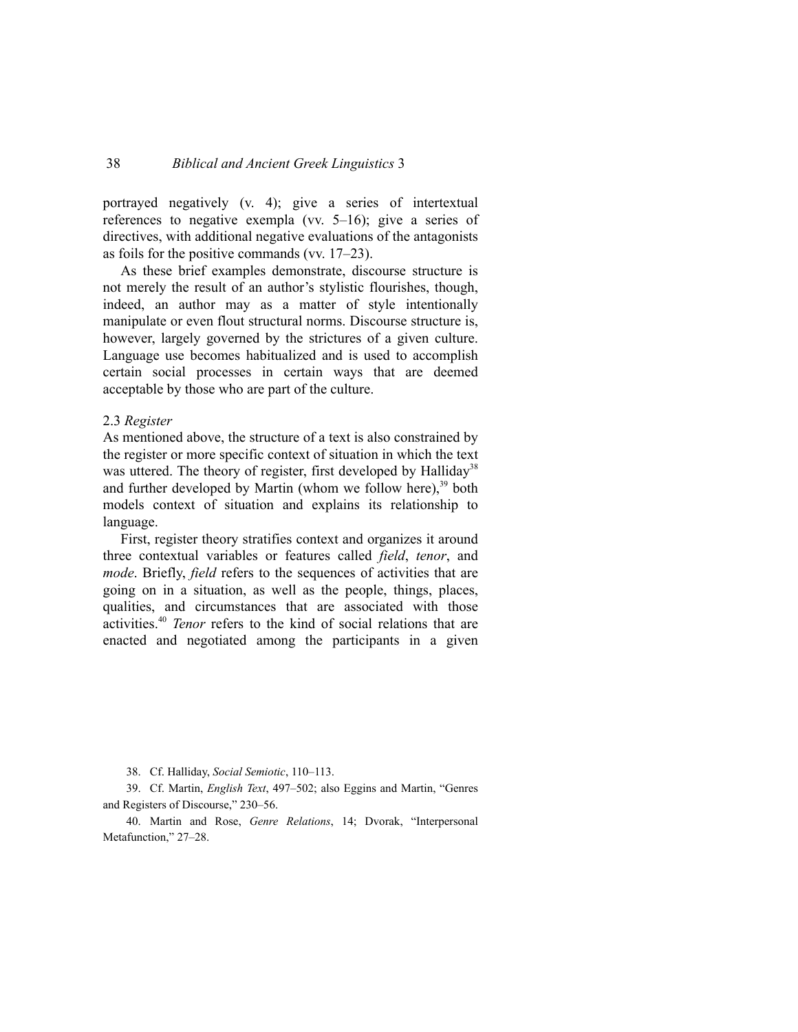portrayed negatively (v. 4); give a series of intertextual references to negative exempla (vv. 5–16); give a series of directives, with additional negative evaluations of the antagonists as foils for the positive commands (vv. 17–23).

As these brief examples demonstrate, discourse structure is not merely the result of an author's stylistic flourishes, though, indeed, an author may as a matter of style intentionally manipulate or even flout structural norms. Discourse structure is, however, largely governed by the strictures of a given culture. Language use becomes habitualized and is used to accomplish certain social processes in certain ways that are deemed acceptable by those who are part of the culture.

#### 2.3 *Register*

As mentioned above, the structure of a text is also constrained by the register or more specific context of situation in which the text was uttered. The theory of register, first developed by Halliday<sup>38</sup> and further developed by Martin (whom we follow here), $39$  both models context of situation and explains its relationship to language.

First, register theory stratifies context and organizes it around three contextual variables or features called *field*, *tenor*, and *mode*. Briefly, *field* refers to the sequences of activities that are going on in a situation, as well as the people, things, places, qualities, and circumstances that are associated with those activities.40 *Tenor* refers to the kind of social relations that are enacted and negotiated among the participants in a given

38. Cf. Halliday, *Social Semiotic*, 110–113.

39. Cf. Martin, *English Text*, 497–502; also Eggins and Martin, "Genres and Registers of Discourse," 230–56.

40. Martin and Rose, *Genre Relations*, 14; Dvorak, "Interpersonal Metafunction," 27–28.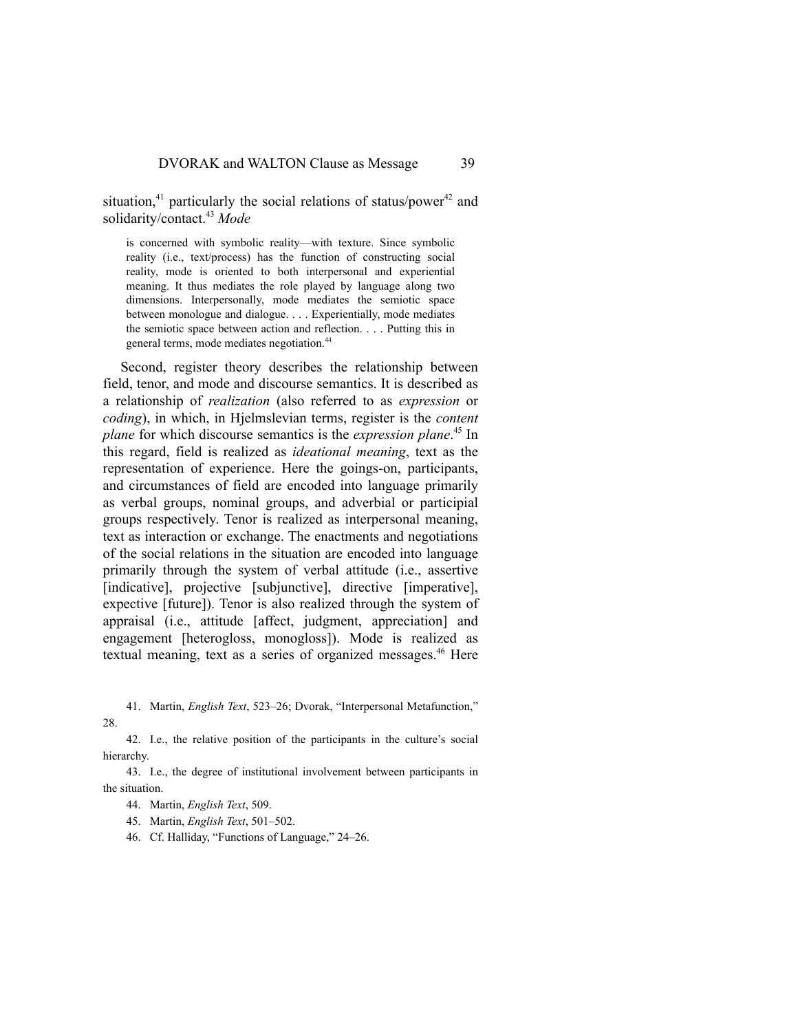situation,<sup>41</sup> particularly the social relations of status/power<sup>42</sup> and solidarity/contact.43 *Mode*

is concerned with symbolic reality—with texture. Since symbolic reality (i.e., text/process) has the function of constructing social reality, mode is oriented to both interpersonal and experiential meaning. It thus mediates the role played by language along two dimensions. Interpersonally, mode mediates the semiotic space between monologue and dialogue. . . . Experientially, mode mediates the semiotic space between action and reflection. . . . Putting this in general terms, mode mediates negotiation.44

Second, register theory describes the relationship between field, tenor, and mode and discourse semantics. It is described as a relationship of *realization* (also referred to as *expression* or *coding*), in which, in Hjelmslevian terms, register is the *content plane* for which discourse semantics is the *expression plane*. <sup>45</sup> In this regard, field is realized as *ideational meaning*, text as the representation of experience. Here the goings-on, participants, and circumstances of field are encoded into language primarily as verbal groups, nominal groups, and adverbial or participial groups respectively. Tenor is realized as interpersonal meaning, text as interaction or exchange. The enactments and negotiations of the social relations in the situation are encoded into language primarily through the system of verbal attitude (i.e., assertive [indicative], projective [subjunctive], directive [imperative], expective [future]). Tenor is also realized through the system of appraisal (i.e., attitude [affect, judgment, appreciation] and engagement [heterogloss, monogloss]). Mode is realized as textual meaning, text as a series of organized messages.<sup>46</sup> Here

41. Martin, *English Text*, 523–26; Dvorak, "Interpersonal Metafunction," 28.

42. I.e., the relative position of the participants in the culture's social hierarchy.

43. I.e., the degree of institutional involvement between participants in the situation.

44. Martin, *English Text*, 509.

45. Martin, *English Text*, 501–502.

46. Cf. Halliday, "Functions of Language," 24–26.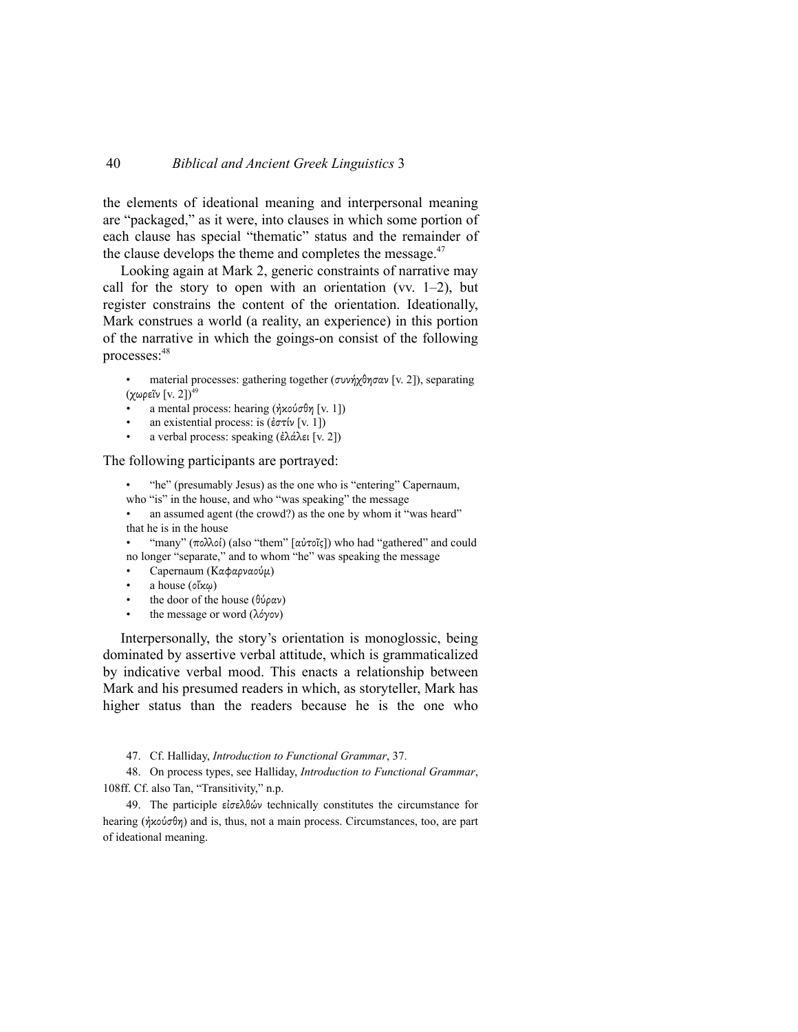the elements of ideational meaning and interpersonal meaning are "packaged," as it were, into clauses in which some portion of each clause has special "thematic" status and the remainder of the clause develops the theme and completes the message. $47$ 

Looking again at Mark 2, generic constraints of narrative may call for the story to open with an orientation (vv.  $1-2$ ), but register constrains the content of the orientation. Ideationally, Mark construes a world (a reality, an experience) in this portion of the narrative in which the goings-on consist of the following processes:48

material processes: gathering together (συνήχθησαν [v. 2]), separating (χωρεῖν [v. 2]) $^{49}$ 

- a mental process: hearing ( $\eta x o \varphi \sigma \theta \eta$  [v. 1])
- an existential process: is  $(\epsilon \sigma \tau \mathfrak{w} | v, 1]$ )
- a verbal process: speaking (ἐλάλει [v. 2])

## The following participants are portrayed:

- "he" (presumably Jesus) as the one who is "entering" Capernaum, who "is" in the house, and who "was speaking" the message
- an assumed agent (the crowd?) as the one by whom it "was heard" that he is in the house

"many" (πολλοί) (also "them" [αὐτοῖς]) who had "gathered" and could no longer "separate," and to whom "he" was speaking the message

- Capernaum (Καφαρναούµ)
- a house ( $\partial x \omega$ )
- the door of the house  $(\theta \psi \rho \alpha \nu)$
- the message or word (λόγον)

Interpersonally, the story's orientation is monoglossic, being dominated by assertive verbal attitude, which is grammaticalized by indicative verbal mood. This enacts a relationship between Mark and his presumed readers in which, as storyteller, Mark has higher status than the readers because he is the one who

47. Cf. Halliday, *Introduction to Functional Grammar*, 37.

48. On process types, see Halliday, *Introduction to Functional Grammar*, 108ff. Cf. also Tan, "Transitivity," n.p.

49. The participle εἰσελθών technically constitutes the circumstance for hearing (ἠκούσθη) and is, thus, not a main process. Circumstances, too, are part of ideational meaning.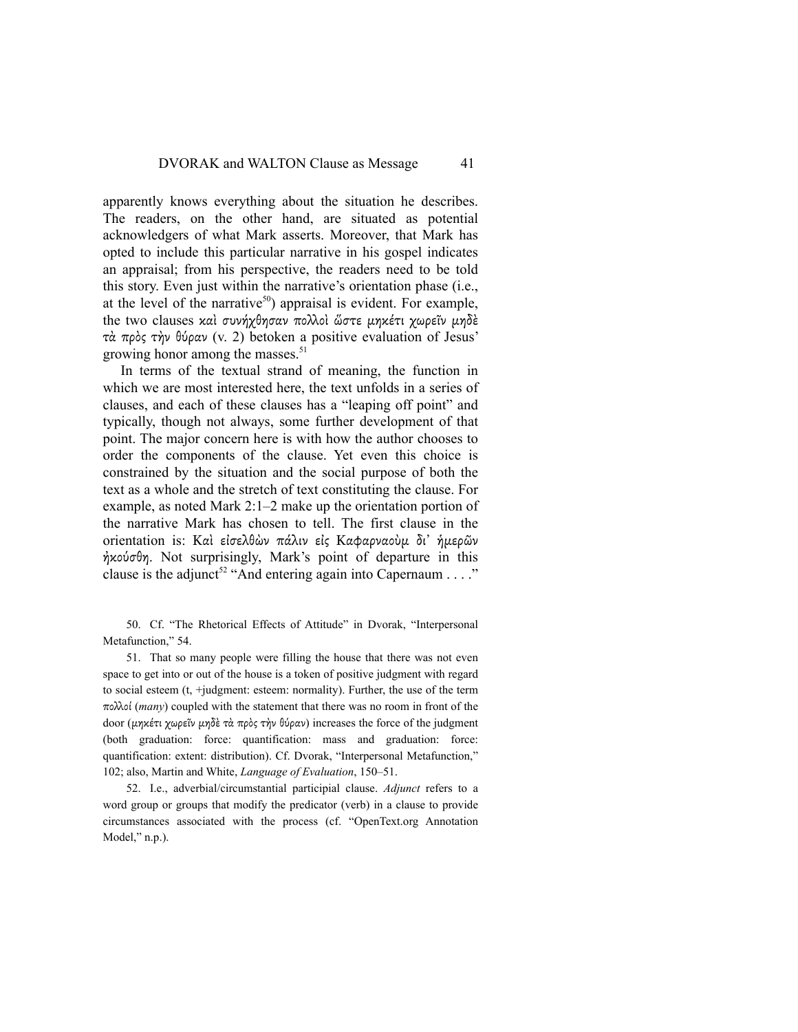apparently knows everything about the situation he describes. The readers, on the other hand, are situated as potential acknowledgers of what Mark asserts. Moreover, that Mark has opted to include this particular narrative in his gospel indicates an appraisal; from his perspective, the readers need to be told this story. Even just within the narrative's orientation phase (i.e., at the level of the narrative<sup>50</sup>) appraisal is evident. For example, the two clauses καὶ συνήχθησαν πολλοὶ ὥστε μηκέτι χωρεῖν μηδὲ τὰ πρὸς τὴν θύραν (v. 2) betoken a positive evaluation of Jesus' growing honor among the masses.<sup>51</sup>

In terms of the textual strand of meaning, the function in which we are most interested here, the text unfolds in a series of clauses, and each of these clauses has a "leaping off point" and typically, though not always, some further development of that point. The major concern here is with how the author chooses to order the components of the clause. Yet even this choice is constrained by the situation and the social purpose of both the text as a whole and the stretch of text constituting the clause. For example, as noted Mark 2:1–2 make up the orientation portion of the narrative Mark has chosen to tell. The first clause in the orientation is: Καὶ εἰσελθὼν πάλιν εἰς Καφαρναοὺμ δι' ήμερῶν ἠκούσθη. Not surprisingly, Mark's point of departure in this clause is the adjunct<sup>52</sup> "And entering again into Capernaum . . . ."

50. Cf. "The Rhetorical Effects of Attitude" in Dvorak, "Interpersonal Metafunction," 54.

51. That so many people were filling the house that there was not even space to get into or out of the house is a token of positive judgment with regard to social esteem (t, +judgment: esteem: normality). Further, the use of the term πολλοί (*many*) coupled with the statement that there was no room in front of the door (µηκέτι χωρεῖν µηδὲ τὰ πρὸς τὴν θύραν) increases the force of the judgment (both graduation: force: quantification: mass and graduation: force: quantification: extent: distribution). Cf. Dvorak, "Interpersonal Metafunction," 102; also, Martin and White, *Language of Evaluation*, 150–51.

52. I.e., adverbial/circumstantial participial clause. *Adjunct* refers to a word group or groups that modify the predicator (verb) in a clause to provide circumstances associated with the process (cf. "OpenText.org Annotation Model," n.p.).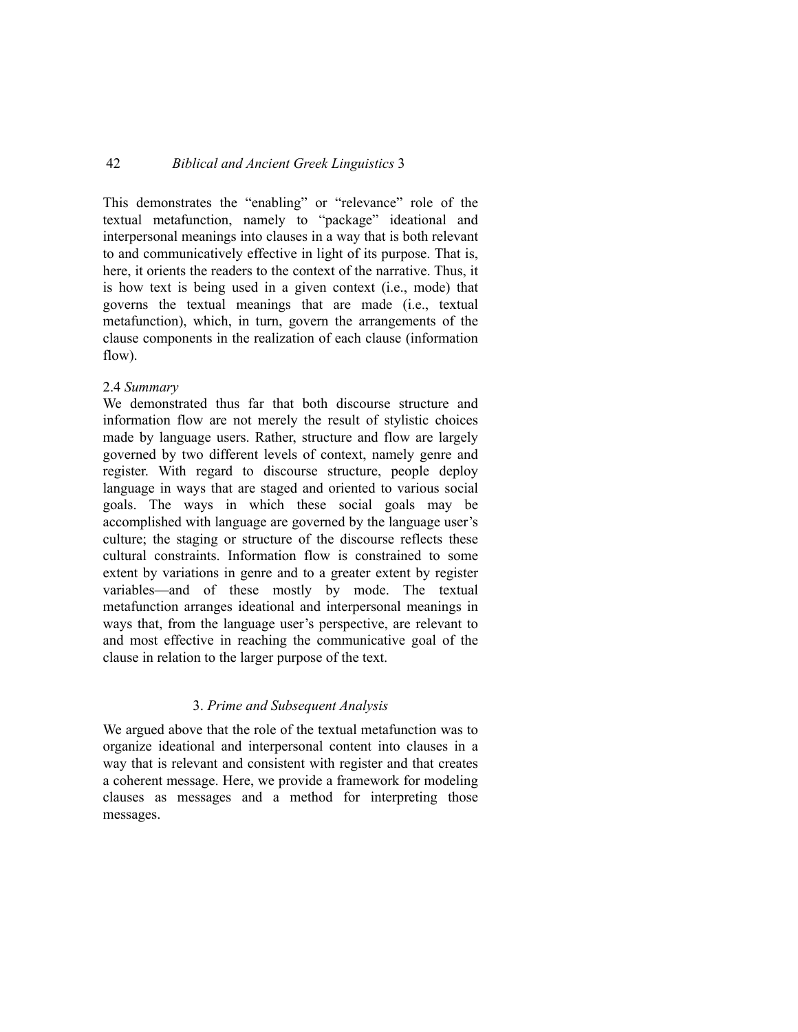This demonstrates the "enabling" or "relevance" role of the textual metafunction, namely to "package" ideational and interpersonal meanings into clauses in a way that is both relevant to and communicatively effective in light of its purpose. That is, here, it orients the readers to the context of the narrative. Thus, it is how text is being used in a given context (i.e., mode) that governs the textual meanings that are made (i.e., textual metafunction), which, in turn, govern the arrangements of the clause components in the realization of each clause (information flow).

### 2.4 *Summary*

We demonstrated thus far that both discourse structure and information flow are not merely the result of stylistic choices made by language users. Rather, structure and flow are largely governed by two different levels of context, namely genre and register. With regard to discourse structure, people deploy language in ways that are staged and oriented to various social goals. The ways in which these social goals may be accomplished with language are governed by the language user's culture; the staging or structure of the discourse reflects these cultural constraints. Information flow is constrained to some extent by variations in genre and to a greater extent by register variables—and of these mostly by mode. The textual metafunction arranges ideational and interpersonal meanings in ways that, from the language user's perspective, are relevant to and most effective in reaching the communicative goal of the clause in relation to the larger purpose of the text.

## 3. *Prime and Subsequent Analysis*

We argued above that the role of the textual metafunction was to organize ideational and interpersonal content into clauses in a way that is relevant and consistent with register and that creates a coherent message. Here, we provide a framework for modeling clauses as messages and a method for interpreting those messages.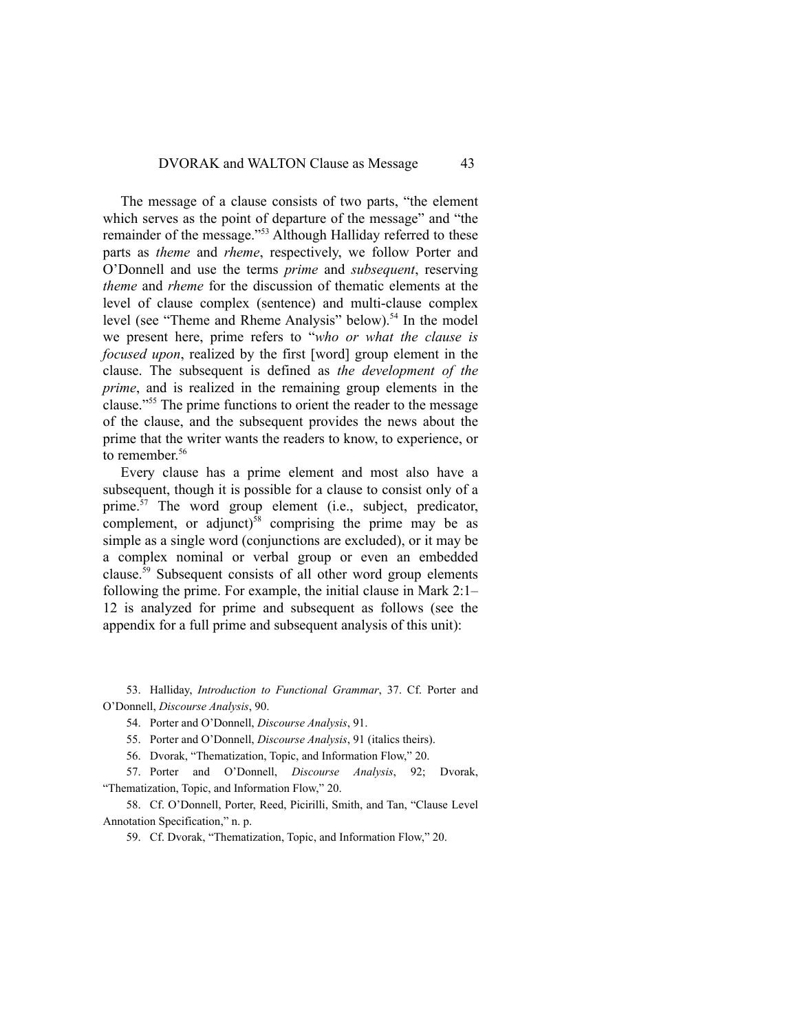The message of a clause consists of two parts, "the element which serves as the point of departure of the message" and "the remainder of the message."53 Although Halliday referred to these parts as *theme* and *rheme*, respectively, we follow Porter and O'Donnell and use the terms *prime* and *subsequent*, reserving *theme* and *rheme* for the discussion of thematic elements at the level of clause complex (sentence) and multi-clause complex level (see "Theme and Rheme Analysis" below).<sup>54</sup> In the model we present here, prime refers to "*who or what the clause is focused upon*, realized by the first [word] group element in the clause. The subsequent is defined as *the development of the prime*, and is realized in the remaining group elements in the clause."55 The prime functions to orient the reader to the message of the clause, and the subsequent provides the news about the prime that the writer wants the readers to know, to experience, or to remember.<sup>56</sup>

Every clause has a prime element and most also have a subsequent, though it is possible for a clause to consist only of a prime. $57$  The word group element (i.e., subject, predicator, complement, or adjunct)<sup>58</sup> comprising the prime may be as simple as a single word (conjunctions are excluded), or it may be a complex nominal or verbal group or even an embedded clause.59 Subsequent consists of all other word group elements following the prime. For example, the initial clause in Mark 2:1– 12 is analyzed for prime and subsequent as follows (see the appendix for a full prime and subsequent analysis of this unit):

53. Halliday, *Introduction to Functional Grammar*, 37. Cf. Porter and O'Donnell, *Discourse Analysis*, 90.

54. Porter and O'Donnell, *Discourse Analysis*, 91.

55. Porter and O'Donnell, *Discourse Analysis*, 91 (italics theirs).

56. Dvorak, "Thematization, Topic, and Information Flow," 20.

57. Porter and O'Donnell, *Discourse Analysis*, 92; Dvorak, "Thematization, Topic, and Information Flow," 20.

58. Cf. O'Donnell, Porter, Reed, Picirilli, Smith, and Tan, "Clause Level Annotation Specification," n. p.

59. Cf. Dvorak, "Thematization, Topic, and Information Flow," 20.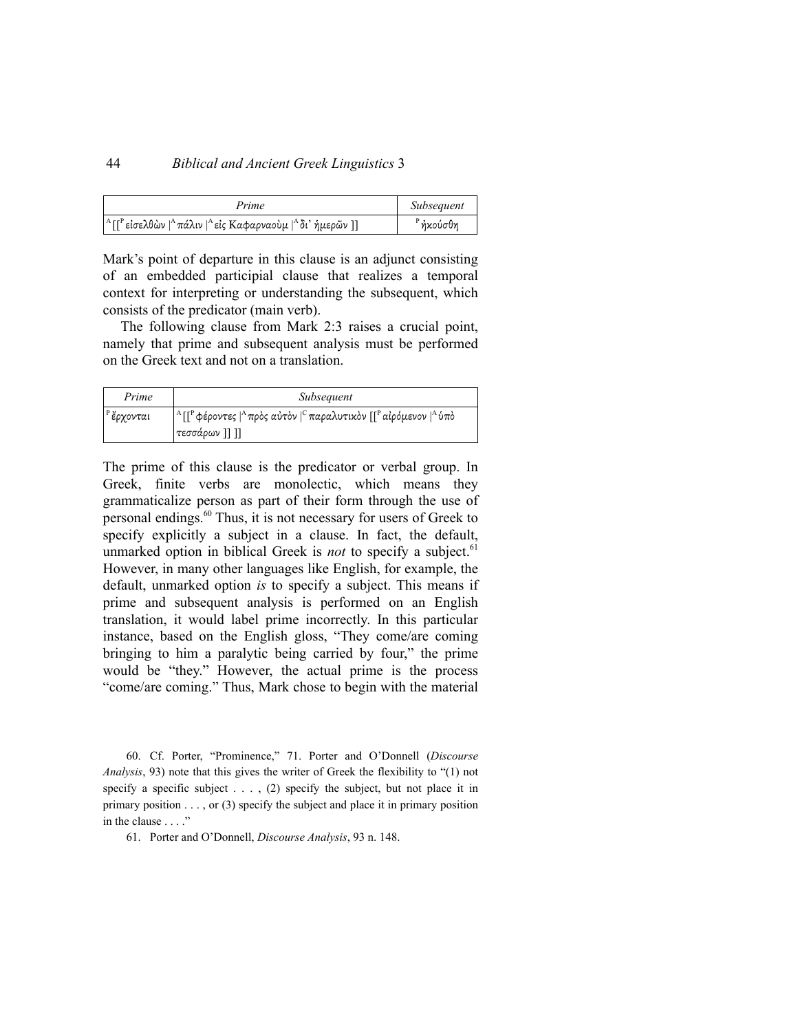| Prime                                                                                                                 | Subsequent           |
|-----------------------------------------------------------------------------------------------------------------------|----------------------|
| <sup>Α</sup> [[ <sup>Ρ</sup> είσελθὼν   <sup>Α</sup> πάλιν   <sup>Α</sup> είς Καφαρναοὺμ   <sup>Α</sup> δι' ήμερῶν ]] | <sup>Ρ</sup> ήκούσθη |

Mark's point of departure in this clause is an adjunct consisting of an embedded participial clause that realizes a temporal context for interpreting or understanding the subsequent, which consists of the predicator (main verb).

The following clause from Mark 2:3 raises a crucial point, namely that prime and subsequent analysis must be performed on the Greek text and not on a translation.

| Prime                   | Subsequent                                                                                                                                                    |
|-------------------------|---------------------------------------------------------------------------------------------------------------------------------------------------------------|
| <sup>' Ρ</sup> ἔρχονται | <sup>  Α</sup> [[ <sup>Ρ</sup> φέροντες   <sup>Α</sup> πρὸς αὐτὸν   <sup>C</sup> παραλυτικὸν [[ <sup>Ρ</sup> αἰρόμενον   <sup>Α</sup> ὑπὸ<br>  τεσσάρων ]] ]] |

The prime of this clause is the predicator or verbal group. In Greek, finite verbs are monolectic, which means they grammaticalize person as part of their form through the use of personal endings.60 Thus, it is not necessary for users of Greek to specify explicitly a subject in a clause. In fact, the default, unmarked option in biblical Greek is *not* to specify a subject.<sup>61</sup> However, in many other languages like English, for example, the default, unmarked option *is* to specify a subject. This means if prime and subsequent analysis is performed on an English translation, it would label prime incorrectly. In this particular instance, based on the English gloss, "They come/are coming bringing to him a paralytic being carried by four," the prime would be "they." However, the actual prime is the process "come/are coming." Thus, Mark chose to begin with the material

60. Cf. Porter, "Prominence," 71. Porter and O'Donnell (*Discourse Analysis*, 93) note that this gives the writer of Greek the flexibility to "(1) not specify a specific subject  $\dots$ , (2) specify the subject, but not place it in primary position . . . , or (3) specify the subject and place it in primary position in the clause . . . ."

61. Porter and O'Donnell, *Discourse Analysis*, 93 n. 148.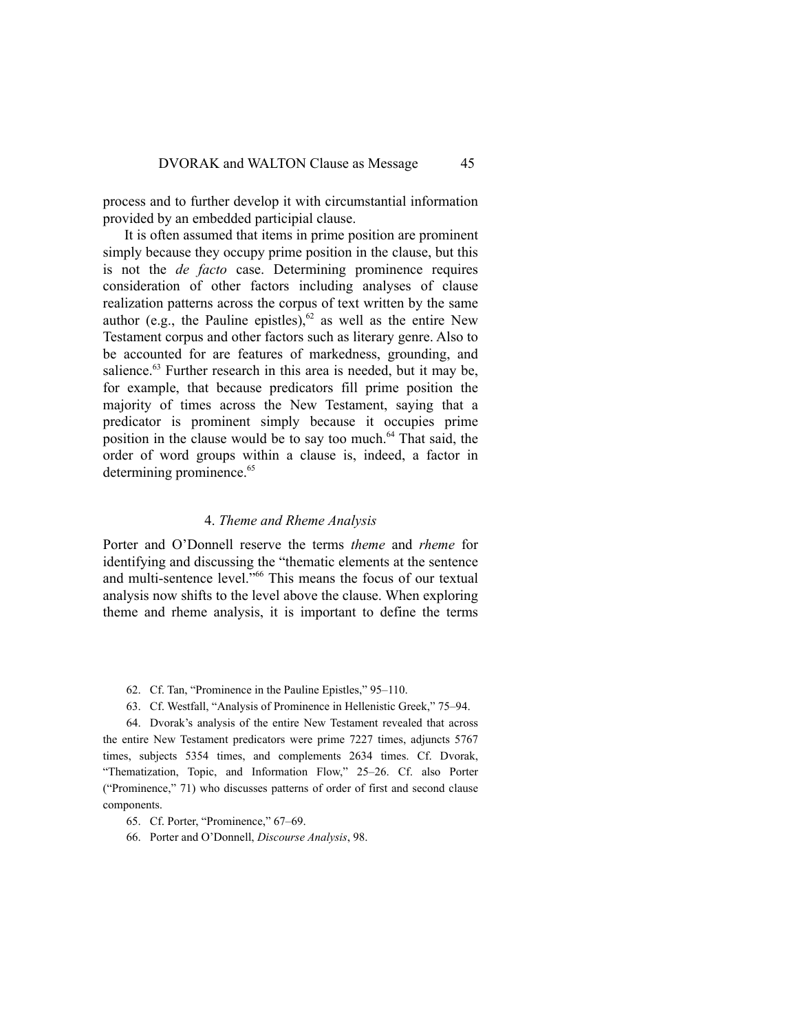process and to further develop it with circumstantial information provided by an embedded participial clause.

It is often assumed that items in prime position are prominent simply because they occupy prime position in the clause, but this is not the *de facto* case. Determining prominence requires consideration of other factors including analyses of clause realization patterns across the corpus of text written by the same author (e.g., the Pauline epistles),  $62$  as well as the entire New Testament corpus and other factors such as literary genre. Also to be accounted for are features of markedness, grounding, and salience.<sup>63</sup> Further research in this area is needed, but it may be, for example, that because predicators fill prime position the majority of times across the New Testament, saying that a predicator is prominent simply because it occupies prime position in the clause would be to say too much.<sup>64</sup> That said, the order of word groups within a clause is, indeed, a factor in determining prominence.<sup>65</sup>

#### 4. *Theme and Rheme Analysis*

Porter and O'Donnell reserve the terms *theme* and *rheme* for identifying and discussing the "thematic elements at the sentence and multi-sentence level."66 This means the focus of our textual analysis now shifts to the level above the clause. When exploring theme and rheme analysis, it is important to define the terms

- 62. Cf. Tan, "Prominence in the Pauline Epistles," 95–110.
- 63. Cf. Westfall, "Analysis of Prominence in Hellenistic Greek," 75–94.

64. Dvorak's analysis of the entire New Testament revealed that across the entire New Testament predicators were prime 7227 times, adjuncts 5767 times, subjects 5354 times, and complements 2634 times. Cf. Dvorak, "Thematization, Topic, and Information Flow," 25–26. Cf. also Porter ("Prominence," 71) who discusses patterns of order of first and second clause components.

65. Cf. Porter, "Prominence," 67–69.

66. Porter and O'Donnell, *Discourse Analysis*, 98.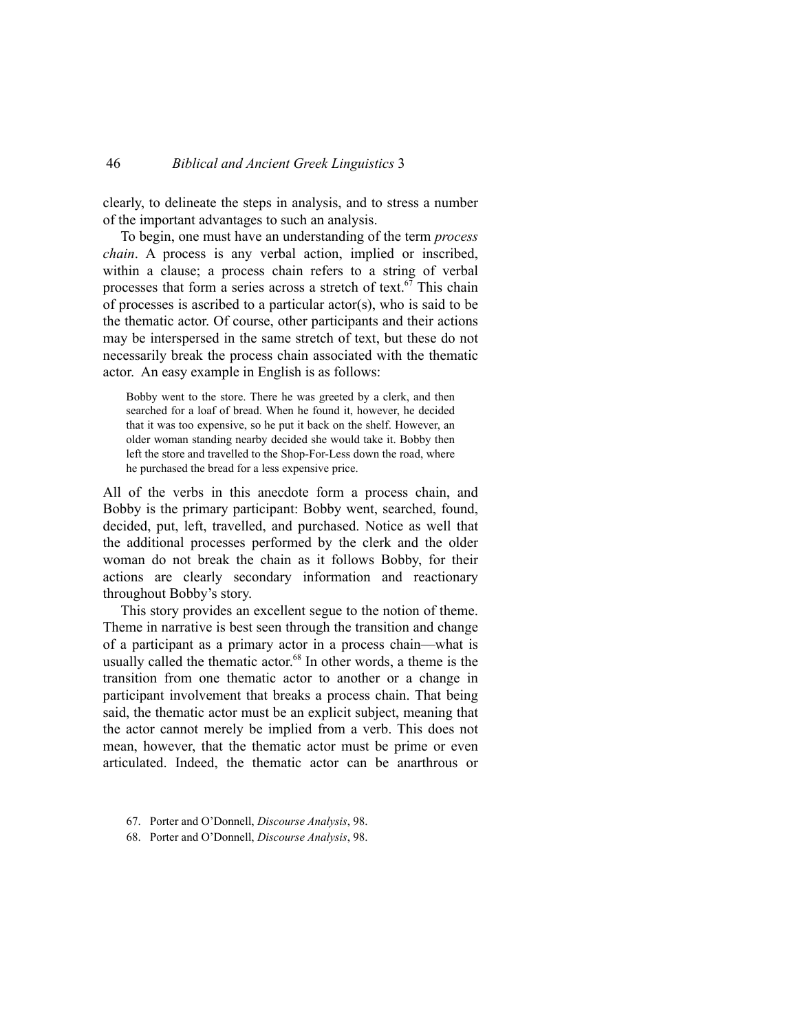clearly, to delineate the steps in analysis, and to stress a number of the important advantages to such an analysis.

To begin, one must have an understanding of the term *process chain*. A process is any verbal action, implied or inscribed, within a clause; a process chain refers to a string of verbal processes that form a series across a stretch of text.<sup>67</sup> This chain of processes is ascribed to a particular actor(s), who is said to be the thematic actor. Of course, other participants and their actions may be interspersed in the same stretch of text, but these do not necessarily break the process chain associated with the thematic actor. An easy example in English is as follows:

Bobby went to the store. There he was greeted by a clerk, and then searched for a loaf of bread. When he found it, however, he decided that it was too expensive, so he put it back on the shelf. However, an older woman standing nearby decided she would take it. Bobby then left the store and travelled to the Shop-For-Less down the road, where he purchased the bread for a less expensive price.

All of the verbs in this anecdote form a process chain, and Bobby is the primary participant: Bobby went, searched, found, decided, put, left, travelled, and purchased. Notice as well that the additional processes performed by the clerk and the older woman do not break the chain as it follows Bobby, for their actions are clearly secondary information and reactionary throughout Bobby's story.

This story provides an excellent segue to the notion of theme. Theme in narrative is best seen through the transition and change of a participant as a primary actor in a process chain—what is usually called the thematic actor. $68$  In other words, a theme is the transition from one thematic actor to another or a change in participant involvement that breaks a process chain. That being said, the thematic actor must be an explicit subject, meaning that the actor cannot merely be implied from a verb. This does not mean, however, that the thematic actor must be prime or even articulated. Indeed, the thematic actor can be anarthrous or

- 67. Porter and O'Donnell, *Discourse Analysis*, 98.
- 68. Porter and O'Donnell, *Discourse Analysis*, 98.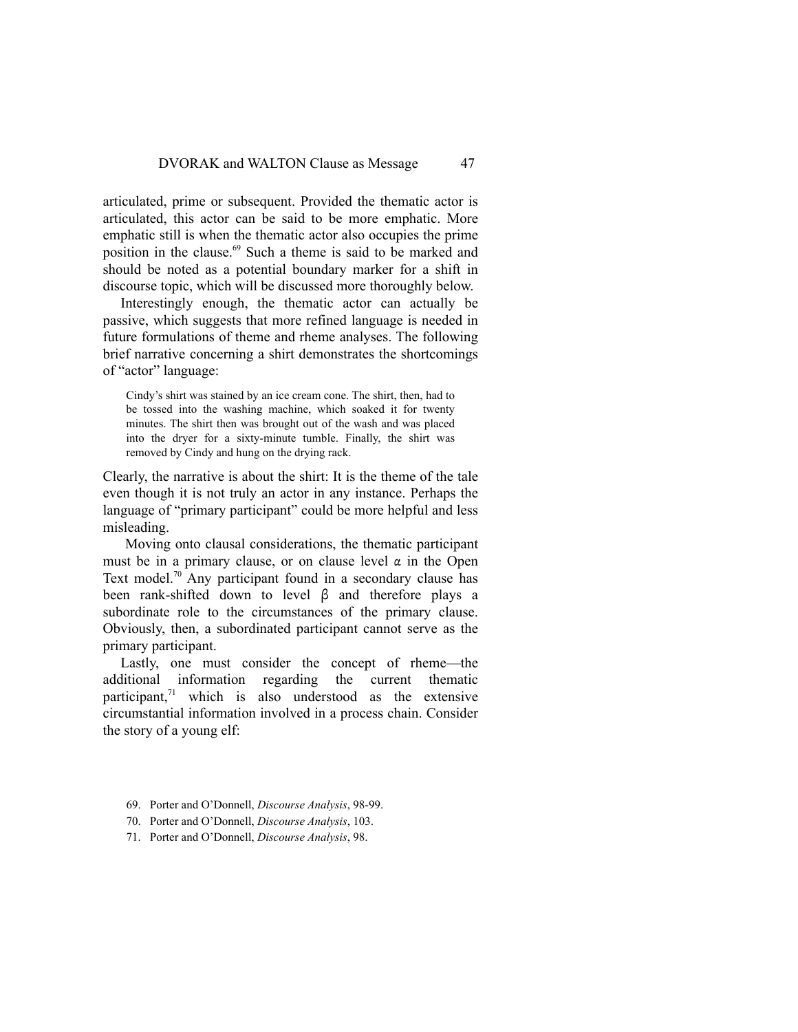articulated, prime or subsequent. Provided the thematic actor is articulated, this actor can be said to be more emphatic. More emphatic still is when the thematic actor also occupies the prime position in the clause.<sup>69</sup> Such a theme is said to be marked and should be noted as a potential boundary marker for a shift in discourse topic, which will be discussed more thoroughly below.

Interestingly enough, the thematic actor can actually be passive, which suggests that more refined language is needed in future formulations of theme and rheme analyses. The following brief narrative concerning a shirt demonstrates the shortcomings of "actor" language:

Cindy's shirt was stained by an ice cream cone. The shirt, then, had to be tossed into the washing machine, which soaked it for twenty minutes. The shirt then was brought out of the wash and was placed into the dryer for a sixty-minute tumble. Finally, the shirt was removed by Cindy and hung on the drying rack.

Clearly, the narrative is about the shirt: It is the theme of the tale even though it is not truly an actor in any instance. Perhaps the language of "primary participant" could be more helpful and less misleading.

Moving onto clausal considerations, the thematic participant must be in a primary clause, or on clause level  $\alpha$  in the Open Text model.<sup>70</sup> Any participant found in a secondary clause has been rank-shifted down to level β and therefore plays a subordinate role to the circumstances of the primary clause. Obviously, then, a subordinated participant cannot serve as the primary participant.

Lastly, one must consider the concept of rheme—the additional information regarding the current thematic participant, $^{71}$  which is also understood as the extensive circumstantial information involved in a process chain. Consider the story of a young elf:

- 69. Porter and O'Donnell, *Discourse Analysis*, 98-99.
- 70. Porter and O'Donnell, *Discourse Analysis*, 103.
- 71. Porter and O'Donnell, *Discourse Analysis*, 98.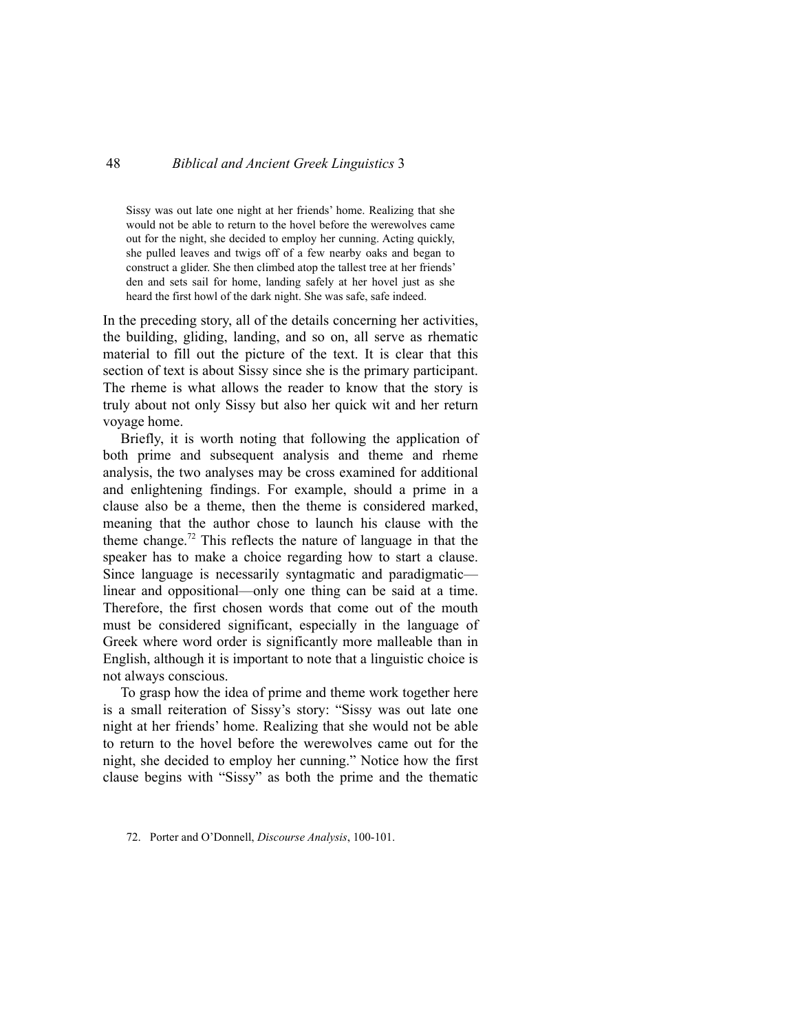Sissy was out late one night at her friends' home. Realizing that she would not be able to return to the hovel before the werewolves came out for the night, she decided to employ her cunning. Acting quickly, she pulled leaves and twigs off of a few nearby oaks and began to construct a glider. She then climbed atop the tallest tree at her friends' den and sets sail for home, landing safely at her hovel just as she heard the first howl of the dark night. She was safe, safe indeed.

In the preceding story, all of the details concerning her activities, the building, gliding, landing, and so on, all serve as rhematic material to fill out the picture of the text. It is clear that this section of text is about Sissy since she is the primary participant. The rheme is what allows the reader to know that the story is truly about not only Sissy but also her quick wit and her return voyage home.

Briefly, it is worth noting that following the application of both prime and subsequent analysis and theme and rheme analysis, the two analyses may be cross examined for additional and enlightening findings. For example, should a prime in a clause also be a theme, then the theme is considered marked, meaning that the author chose to launch his clause with the theme change.<sup>72</sup> This reflects the nature of language in that the speaker has to make a choice regarding how to start a clause. Since language is necessarily syntagmatic and paradigmatic linear and oppositional—only one thing can be said at a time. Therefore, the first chosen words that come out of the mouth must be considered significant, especially in the language of Greek where word order is significantly more malleable than in English, although it is important to note that a linguistic choice is not always conscious.

To grasp how the idea of prime and theme work together here is a small reiteration of Sissy's story: "Sissy was out late one night at her friends' home. Realizing that she would not be able to return to the hovel before the werewolves came out for the night, she decided to employ her cunning." Notice how the first clause begins with "Sissy" as both the prime and the thematic

<sup>72.</sup> Porter and O'Donnell, *Discourse Analysis*, 100-101.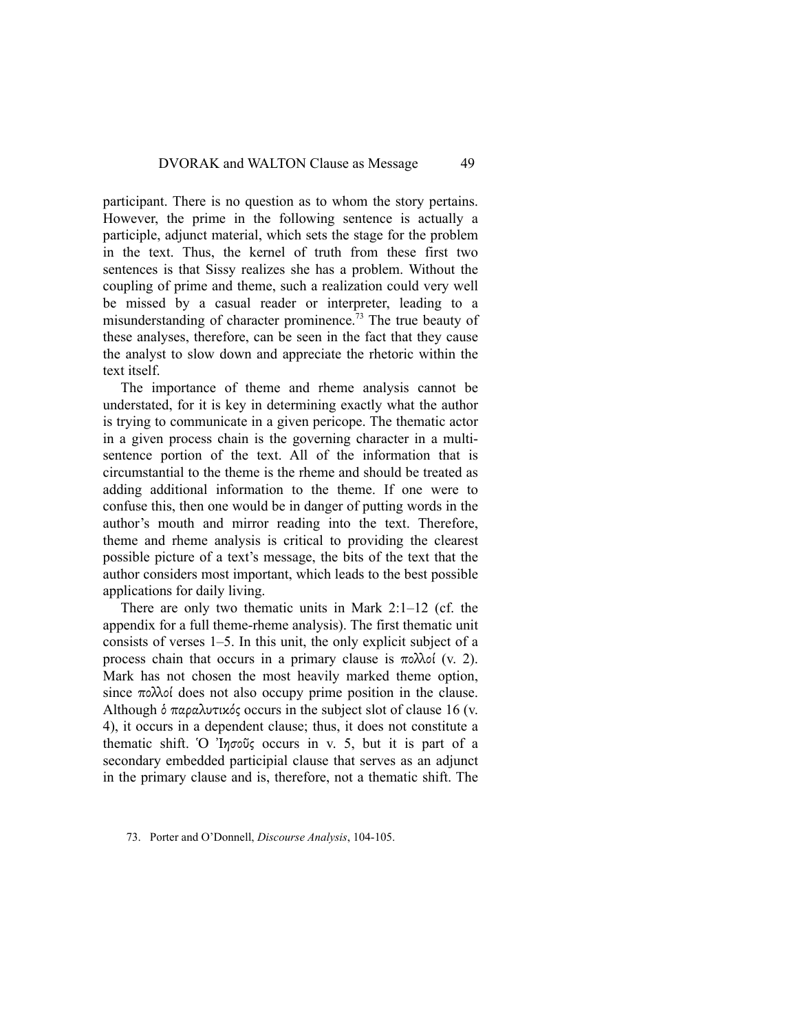participant. There is no question as to whom the story pertains. However, the prime in the following sentence is actually a participle, adjunct material, which sets the stage for the problem in the text. Thus, the kernel of truth from these first two sentences is that Sissy realizes she has a problem. Without the coupling of prime and theme, such a realization could very well be missed by a casual reader or interpreter, leading to a misunderstanding of character prominence.<sup>73</sup> The true beauty of these analyses, therefore, can be seen in the fact that they cause the analyst to slow down and appreciate the rhetoric within the text itself.

The importance of theme and rheme analysis cannot be understated, for it is key in determining exactly what the author is trying to communicate in a given pericope. The thematic actor in a given process chain is the governing character in a multisentence portion of the text. All of the information that is circumstantial to the theme is the rheme and should be treated as adding additional information to the theme. If one were to confuse this, then one would be in danger of putting words in the author's mouth and mirror reading into the text. Therefore, theme and rheme analysis is critical to providing the clearest possible picture of a text's message, the bits of the text that the author considers most important, which leads to the best possible applications for daily living.

There are only two thematic units in Mark 2:1–12 (cf. the appendix for a full theme-rheme analysis). The first thematic unit consists of verses 1–5. In this unit, the only explicit subject of a process chain that occurs in a primary clause is πολλοί (v. 2). Mark has not chosen the most heavily marked theme option, since  $\pi \circ \lambda$  does not also occupy prime position in the clause. Although ὁ παραλυτικός occurs in the subject slot of clause 16 (v. 4), it occurs in a dependent clause; thus, it does not constitute a thematic shift. Ὁ Ἰησοῦς occurs in v. 5, but it is part of a secondary embedded participial clause that serves as an adjunct in the primary clause and is, therefore, not a thematic shift. The

<sup>73.</sup> Porter and O'Donnell, *Discourse Analysis*, 104-105.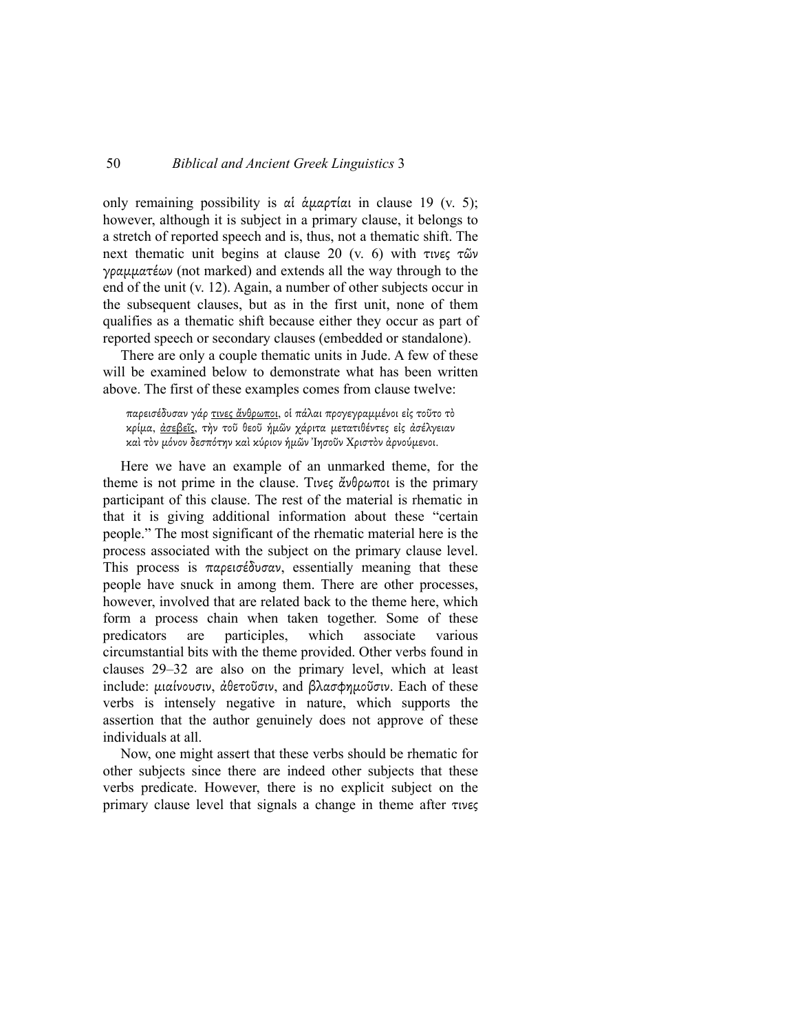only remaining possibility is αἱ ἁµαρτίαι in clause 19 (v. 5); however, although it is subject in a primary clause, it belongs to a stretch of reported speech and is, thus, not a thematic shift. The next thematic unit begins at clause 20 (v. 6) with τινες τῶν γραµµατέων (not marked) and extends all the way through to the end of the unit (v. 12). Again, a number of other subjects occur in the subsequent clauses, but as in the first unit, none of them qualifies as a thematic shift because either they occur as part of reported speech or secondary clauses (embedded or standalone).

There are only a couple thematic units in Jude. A few of these will be examined below to demonstrate what has been written above. The first of these examples comes from clause twelve:

παρεισέδυσαν γάρ τινες ἄνθρωποι, οἱ πάλαι προγεγραµµένοι εἰς τοῦτο τὸ κρίµα, ἀσεβεῖς, τὴν τοῦ θεοῦ ἡµῶν χάριτα µετατιθέντες εἰς ἀσέλγειαν καὶ τὸν µόνον δεσπότην καὶ κύριον ἡµῶν Ἰησοῦν Χριστὸν ἀρνούµενοι.

Here we have an example of an unmarked theme, for the theme is not prime in the clause. Τινες ἄνθρωποι is the primary participant of this clause. The rest of the material is rhematic in that it is giving additional information about these "certain people." The most significant of the rhematic material here is the process associated with the subject on the primary clause level. This process is παρεισέδυσαν, essentially meaning that these people have snuck in among them. There are other processes, however, involved that are related back to the theme here, which form a process chain when taken together. Some of these predicators are participles, which associate various circumstantial bits with the theme provided. Other verbs found in clauses 29–32 are also on the primary level, which at least include: µιαίνουσιν, ἀθετοῦσιν, and βλασφηµοῦσιν. Each of these verbs is intensely negative in nature, which supports the assertion that the author genuinely does not approve of these individuals at all.

Now, one might assert that these verbs should be rhematic for other subjects since there are indeed other subjects that these verbs predicate. However, there is no explicit subject on the primary clause level that signals a change in theme after τινες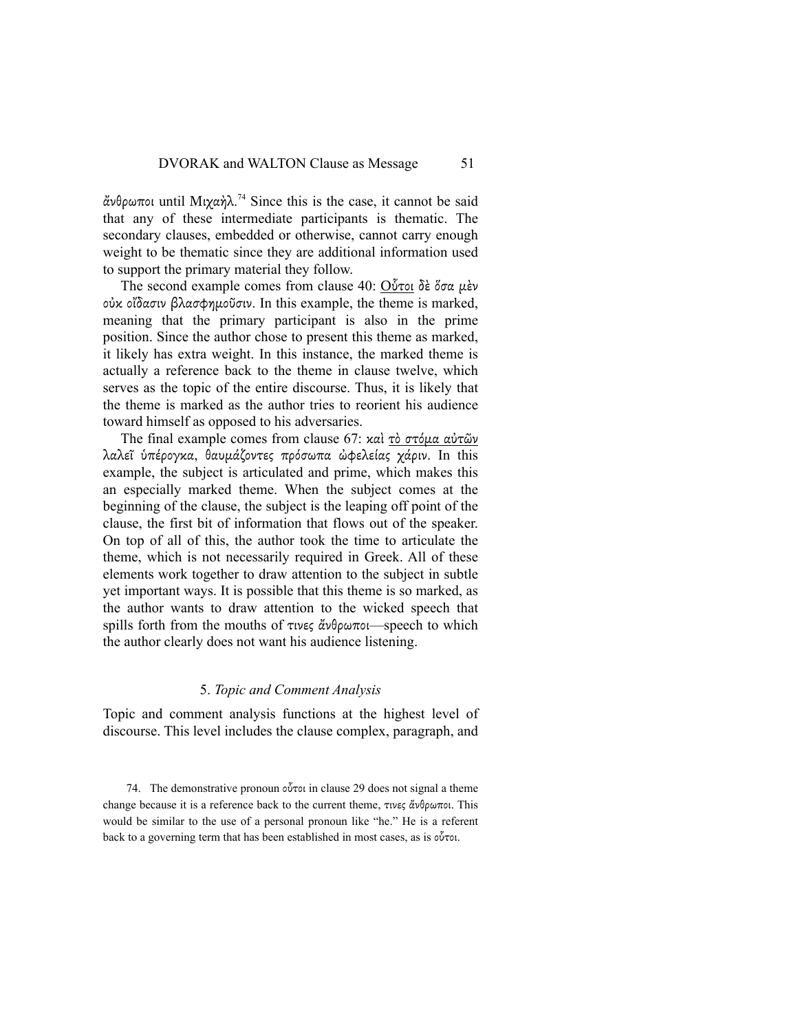ἄνθρωποι until Μιχαὴλ. <sup>74</sup> Since this is the case, it cannot be said that any of these intermediate participants is thematic. The secondary clauses, embedded or otherwise, cannot carry enough weight to be thematic since they are additional information used to support the primary material they follow.

The second example comes from clause 40: Οὗτοι δὲ ὅσα µὲν οὐκ οἴδασιν βλασφηµοῦσιν. In this example, the theme is marked, meaning that the primary participant is also in the prime position. Since the author chose to present this theme as marked, it likely has extra weight. In this instance, the marked theme is actually a reference back to the theme in clause twelve, which serves as the topic of the entire discourse. Thus, it is likely that the theme is marked as the author tries to reorient his audience toward himself as opposed to his adversaries.

The final example comes from clause 67: καὶ τὸ στόµα αὐτῶν λαλεΐ ύπέρογκα, θαυμάζοντες πρόσωπα ώφελείας χάριν. In this example, the subject is articulated and prime, which makes this an especially marked theme. When the subject comes at the beginning of the clause, the subject is the leaping off point of the clause, the first bit of information that flows out of the speaker. On top of all of this, the author took the time to articulate the theme, which is not necessarily required in Greek. All of these elements work together to draw attention to the subject in subtle yet important ways. It is possible that this theme is so marked, as the author wants to draw attention to the wicked speech that spills forth from the mouths of τινες ἄνθρωποι—speech to which the author clearly does not want his audience listening.

#### 5. *Topic and Comment Analysis*

Topic and comment analysis functions at the highest level of discourse. This level includes the clause complex, paragraph, and

74. The demonstrative pronoun οὗτοι in clause 29 does not signal a theme change because it is a reference back to the current theme, τινες ἄνθρωποι. This would be similar to the use of a personal pronoun like "he." He is a referent back to a governing term that has been established in most cases, as is οὗτοι.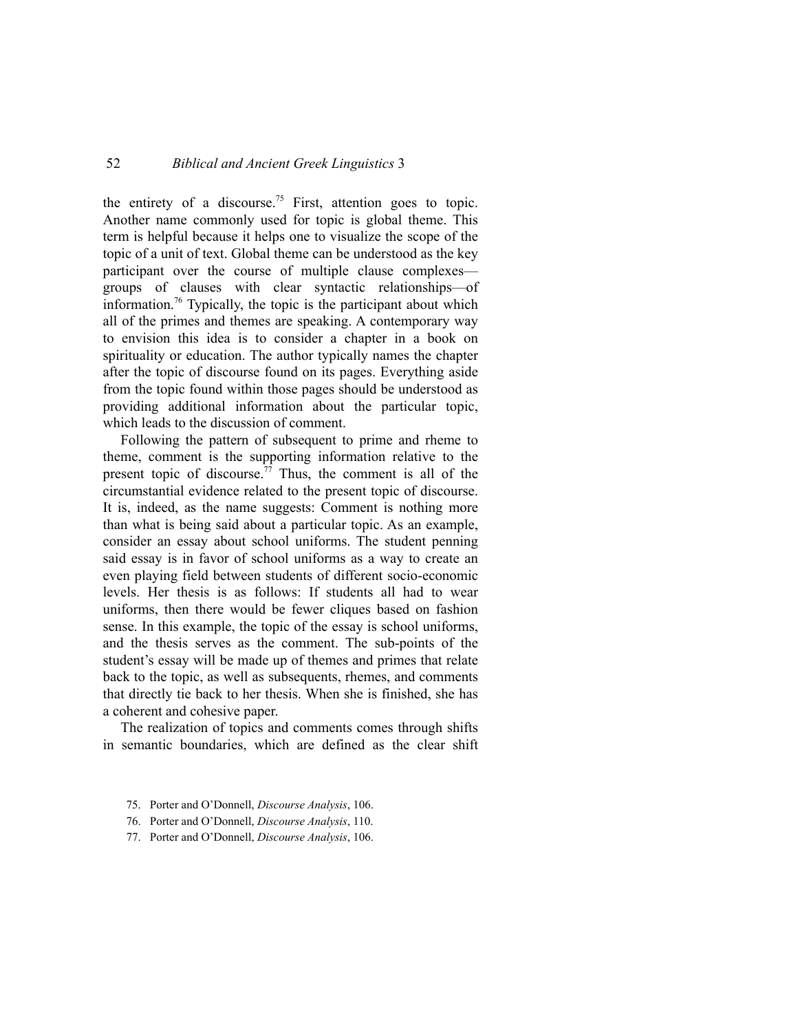the entirety of a discourse.<sup>75</sup> First, attention goes to topic. Another name commonly used for topic is global theme. This term is helpful because it helps one to visualize the scope of the topic of a unit of text. Global theme can be understood as the key participant over the course of multiple clause complexes groups of clauses with clear syntactic relationships—of information.<sup>76</sup> Typically, the topic is the participant about which all of the primes and themes are speaking. A contemporary way to envision this idea is to consider a chapter in a book on spirituality or education. The author typically names the chapter after the topic of discourse found on its pages. Everything aside from the topic found within those pages should be understood as providing additional information about the particular topic, which leads to the discussion of comment.

Following the pattern of subsequent to prime and rheme to theme, comment is the supporting information relative to the present topic of discourse.<sup>77</sup> Thus, the comment is all of the circumstantial evidence related to the present topic of discourse. It is, indeed, as the name suggests: Comment is nothing more than what is being said about a particular topic. As an example, consider an essay about school uniforms. The student penning said essay is in favor of school uniforms as a way to create an even playing field between students of different socio-economic levels. Her thesis is as follows: If students all had to wear uniforms, then there would be fewer cliques based on fashion sense. In this example, the topic of the essay is school uniforms, and the thesis serves as the comment. The sub-points of the student's essay will be made up of themes and primes that relate back to the topic, as well as subsequents, rhemes, and comments that directly tie back to her thesis. When she is finished, she has a coherent and cohesive paper.

The realization of topics and comments comes through shifts in semantic boundaries, which are defined as the clear shift

- 75. Porter and O'Donnell, *Discourse Analysis*, 106.
- 76. Porter and O'Donnell, *Discourse Analysis*, 110.
- 77. Porter and O'Donnell, *Discourse Analysis*, 106.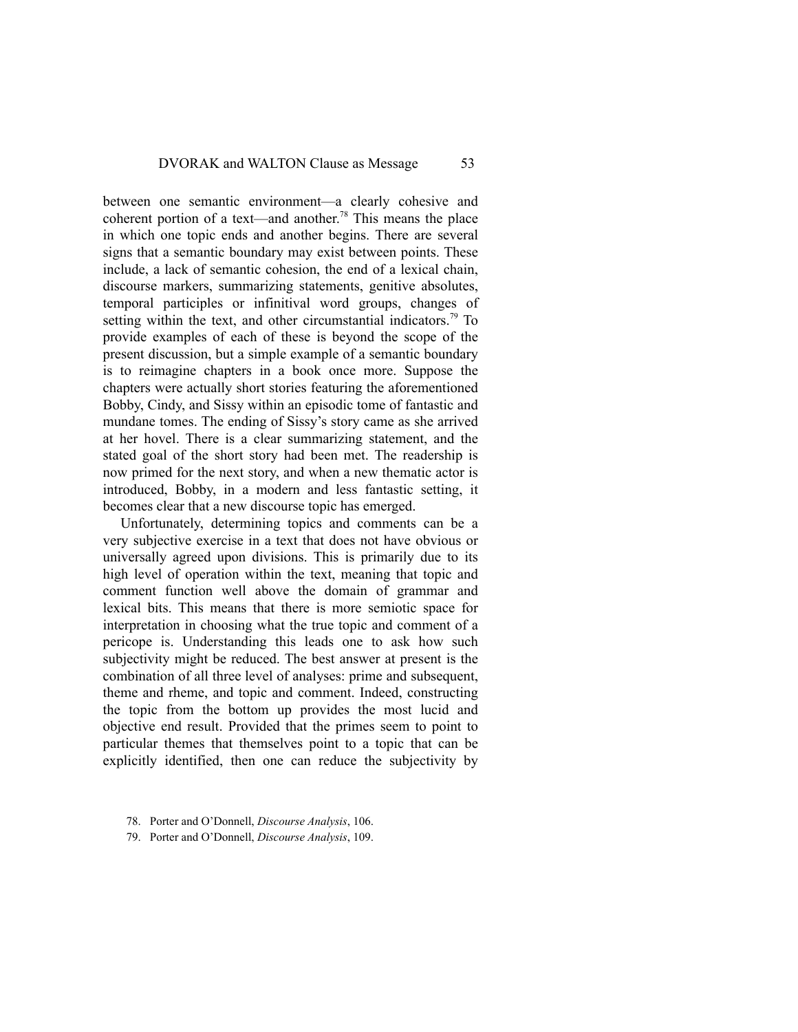between one semantic environment—a clearly cohesive and coherent portion of a text—and another.<sup>78</sup> This means the place in which one topic ends and another begins. There are several signs that a semantic boundary may exist between points. These include, a lack of semantic cohesion, the end of a lexical chain, discourse markers, summarizing statements, genitive absolutes, temporal participles or infinitival word groups, changes of setting within the text, and other circumstantial indicators.<sup>79</sup> To provide examples of each of these is beyond the scope of the present discussion, but a simple example of a semantic boundary is to reimagine chapters in a book once more. Suppose the chapters were actually short stories featuring the aforementioned Bobby, Cindy, and Sissy within an episodic tome of fantastic and mundane tomes. The ending of Sissy's story came as she arrived at her hovel. There is a clear summarizing statement, and the stated goal of the short story had been met. The readership is now primed for the next story, and when a new thematic actor is introduced, Bobby, in a modern and less fantastic setting, it becomes clear that a new discourse topic has emerged.

Unfortunately, determining topics and comments can be a very subjective exercise in a text that does not have obvious or universally agreed upon divisions. This is primarily due to its high level of operation within the text, meaning that topic and comment function well above the domain of grammar and lexical bits. This means that there is more semiotic space for interpretation in choosing what the true topic and comment of a pericope is. Understanding this leads one to ask how such subjectivity might be reduced. The best answer at present is the combination of all three level of analyses: prime and subsequent, theme and rheme, and topic and comment. Indeed, constructing the topic from the bottom up provides the most lucid and objective end result. Provided that the primes seem to point to particular themes that themselves point to a topic that can be explicitly identified, then one can reduce the subjectivity by

- 78. Porter and O'Donnell, *Discourse Analysis*, 106.
- 79. Porter and O'Donnell, *Discourse Analysis*, 109.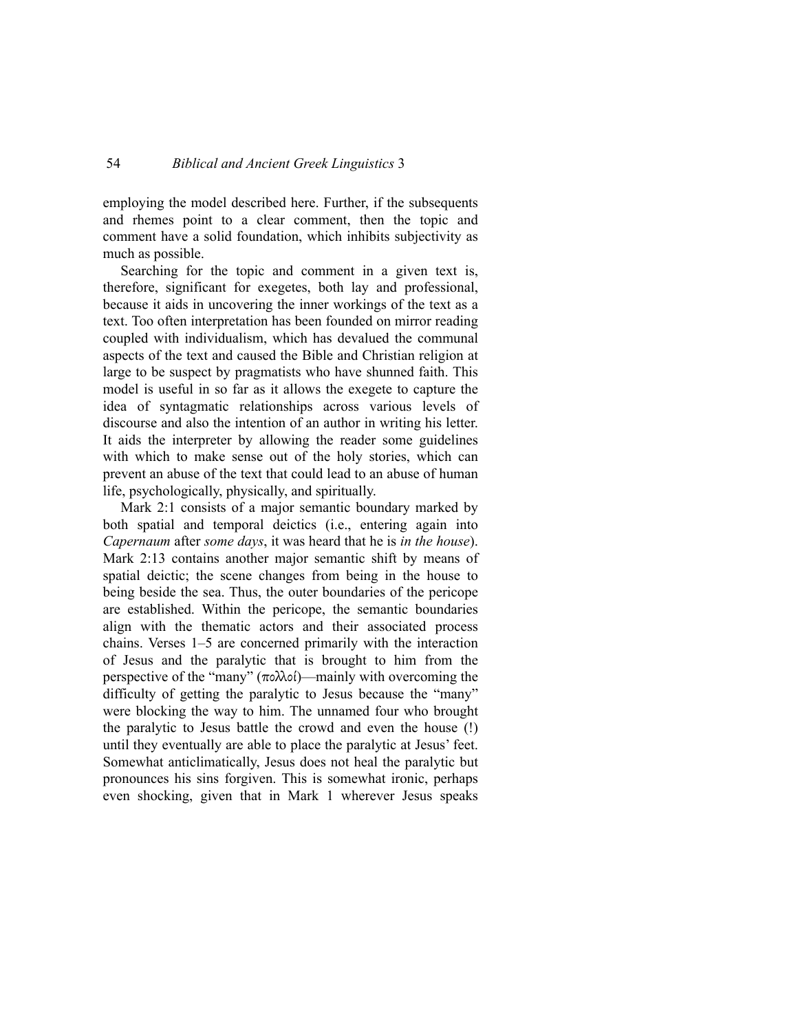employing the model described here. Further, if the subsequents and rhemes point to a clear comment, then the topic and comment have a solid foundation, which inhibits subjectivity as much as possible.

Searching for the topic and comment in a given text is, therefore, significant for exegetes, both lay and professional, because it aids in uncovering the inner workings of the text as a text. Too often interpretation has been founded on mirror reading coupled with individualism, which has devalued the communal aspects of the text and caused the Bible and Christian religion at large to be suspect by pragmatists who have shunned faith. This model is useful in so far as it allows the exegete to capture the idea of syntagmatic relationships across various levels of discourse and also the intention of an author in writing his letter. It aids the interpreter by allowing the reader some guidelines with which to make sense out of the holy stories, which can prevent an abuse of the text that could lead to an abuse of human life, psychologically, physically, and spiritually.

Mark 2:1 consists of a major semantic boundary marked by both spatial and temporal deictics (i.e., entering again into *Capernaum* after *some days*, it was heard that he is *in the house*). Mark 2:13 contains another major semantic shift by means of spatial deictic; the scene changes from being in the house to being beside the sea. Thus, the outer boundaries of the pericope are established. Within the pericope, the semantic boundaries align with the thematic actors and their associated process chains. Verses 1–5 are concerned primarily with the interaction of Jesus and the paralytic that is brought to him from the perspective of the "many"  $(\pi \circ \lambda \circ \circ)$ —mainly with overcoming the difficulty of getting the paralytic to Jesus because the "many" were blocking the way to him. The unnamed four who brought the paralytic to Jesus battle the crowd and even the house (!) until they eventually are able to place the paralytic at Jesus' feet. Somewhat anticlimatically, Jesus does not heal the paralytic but pronounces his sins forgiven. This is somewhat ironic, perhaps even shocking, given that in Mark 1 wherever Jesus speaks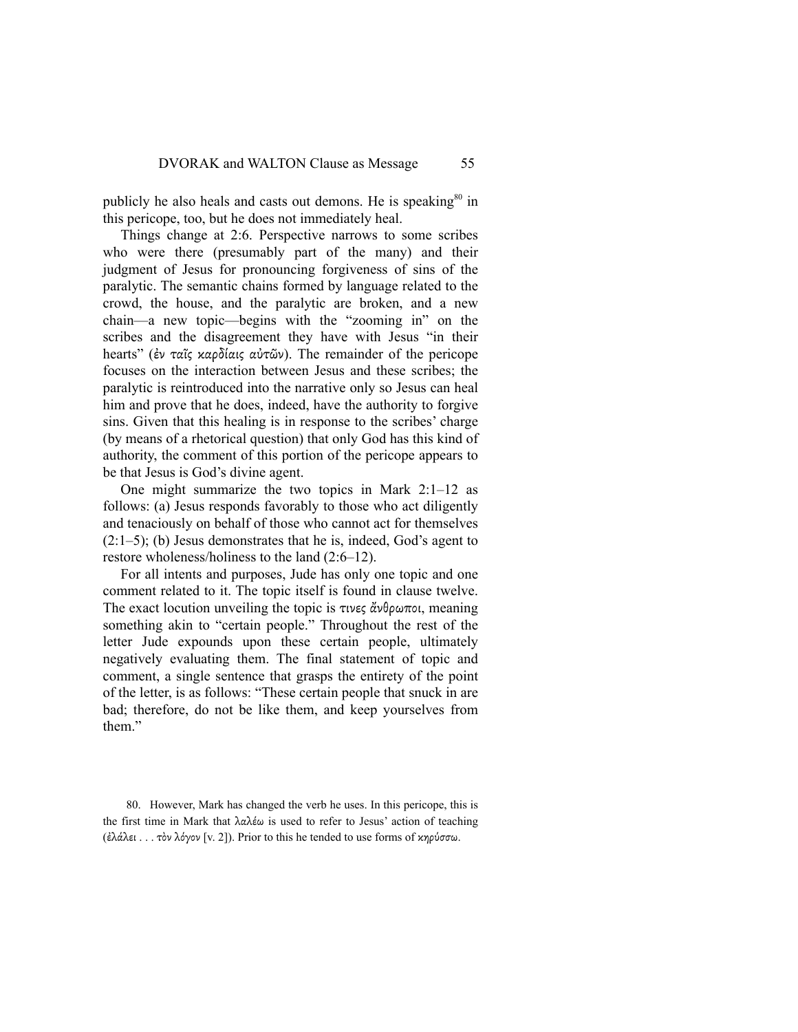publicly he also heals and casts out demons. He is speaking<sup>80</sup> in this pericope, too, but he does not immediately heal.

Things change at 2:6. Perspective narrows to some scribes who were there (presumably part of the many) and their judgment of Jesus for pronouncing forgiveness of sins of the paralytic. The semantic chains formed by language related to the crowd, the house, and the paralytic are broken, and a new chain—a new topic—begins with the "zooming in" on the scribes and the disagreement they have with Jesus "in their hearts" (ἐν ταῖς καρδίαις αὐτῶν). The remainder of the pericope focuses on the interaction between Jesus and these scribes; the paralytic is reintroduced into the narrative only so Jesus can heal him and prove that he does, indeed, have the authority to forgive sins. Given that this healing is in response to the scribes' charge (by means of a rhetorical question) that only God has this kind of authority, the comment of this portion of the pericope appears to be that Jesus is God's divine agent.

One might summarize the two topics in Mark 2:1–12 as follows: (a) Jesus responds favorably to those who act diligently and tenaciously on behalf of those who cannot act for themselves  $(2:1-5)$ ; (b) Jesus demonstrates that he is, indeed, God's agent to restore wholeness/holiness to the land (2:6–12).

For all intents and purposes, Jude has only one topic and one comment related to it. The topic itself is found in clause twelve. The exact locution unveiling the topic is τινες άνθρωποι, meaning something akin to "certain people." Throughout the rest of the letter Jude expounds upon these certain people, ultimately negatively evaluating them. The final statement of topic and comment, a single sentence that grasps the entirety of the point of the letter, is as follows: "These certain people that snuck in are bad; therefore, do not be like them, and keep yourselves from them"

80. However, Mark has changed the verb he uses. In this pericope, this is the first time in Mark that λαλέω is used to refer to Jesus' action of teaching (ἐλάλει . . . τὸν λόγον [v. 2]). Prior to this he tended to use forms of κηρύσσω.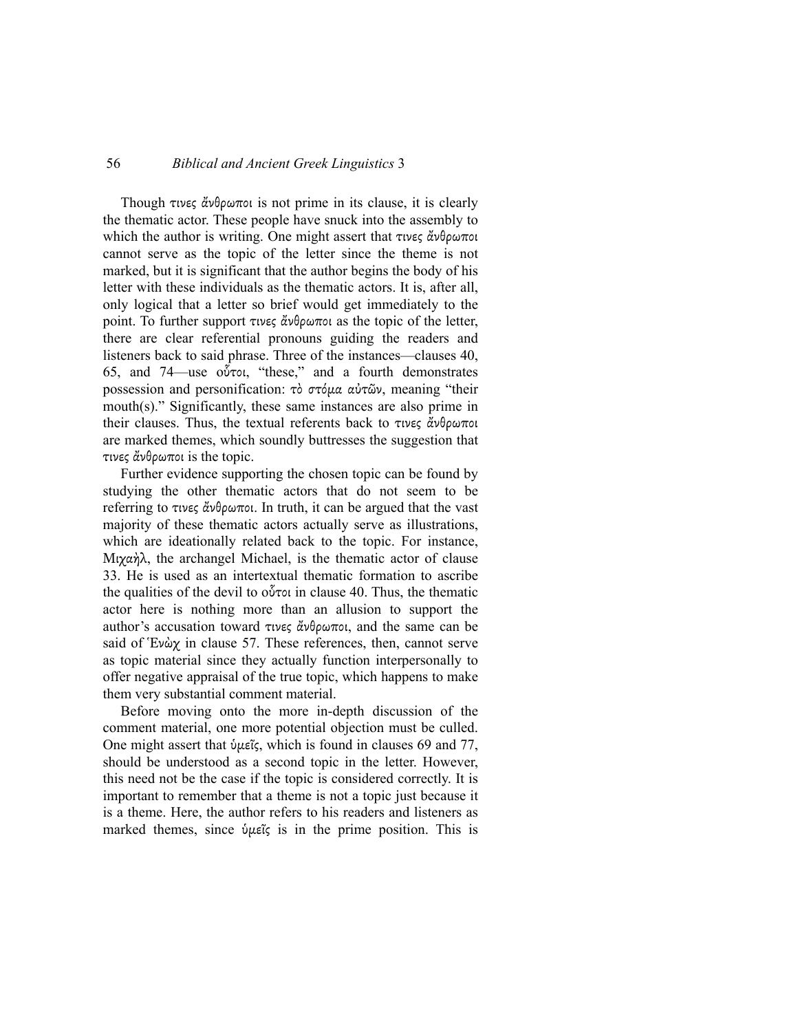Though τινες ἄνθρωποι is not prime in its clause, it is clearly the thematic actor. These people have snuck into the assembly to which the author is writing. One might assert that τινες ἄνθρωποι cannot serve as the topic of the letter since the theme is not marked, but it is significant that the author begins the body of his letter with these individuals as the thematic actors. It is, after all, only logical that a letter so brief would get immediately to the point. To further support τινες ἄνθρωποι as the topic of the letter, there are clear referential pronouns guiding the readers and listeners back to said phrase. Three of the instances—clauses 40, 65, and 74—use oὗτοι, "these," and a fourth demonstrates possession and personification: τὸ στόμα αὐτῶν, meaning "their mouth(s)." Significantly, these same instances are also prime in their clauses. Thus, the textual referents back to τινες ἄνθρωποι are marked themes, which soundly buttresses the suggestion that τινες ἄνθρωποι is the topic.

Further evidence supporting the chosen topic can be found by studying the other thematic actors that do not seem to be referring to τινες ἄνθρωποι. In truth, it can be argued that the vast majority of these thematic actors actually serve as illustrations, which are ideationally related back to the topic. For instance, Μιχαὴλ, the archangel Michael, is the thematic actor of clause 33. He is used as an intertextual thematic formation to ascribe the qualities of the devil to oὗτοι in clause 40. Thus, the thematic actor here is nothing more than an allusion to support the author's accusation toward τινες ἄνθρωποι, and the same can be said of Ἑνὼχ in clause 57. These references, then, cannot serve as topic material since they actually function interpersonally to offer negative appraisal of the true topic, which happens to make them very substantial comment material.

Before moving onto the more in-depth discussion of the comment material, one more potential objection must be culled. One might assert that ὑµεῖς, which is found in clauses 69 and 77, should be understood as a second topic in the letter. However, this need not be the case if the topic is considered correctly. It is important to remember that a theme is not a topic just because it is a theme. Here, the author refers to his readers and listeners as marked themes, since ὑµεῖς is in the prime position. This is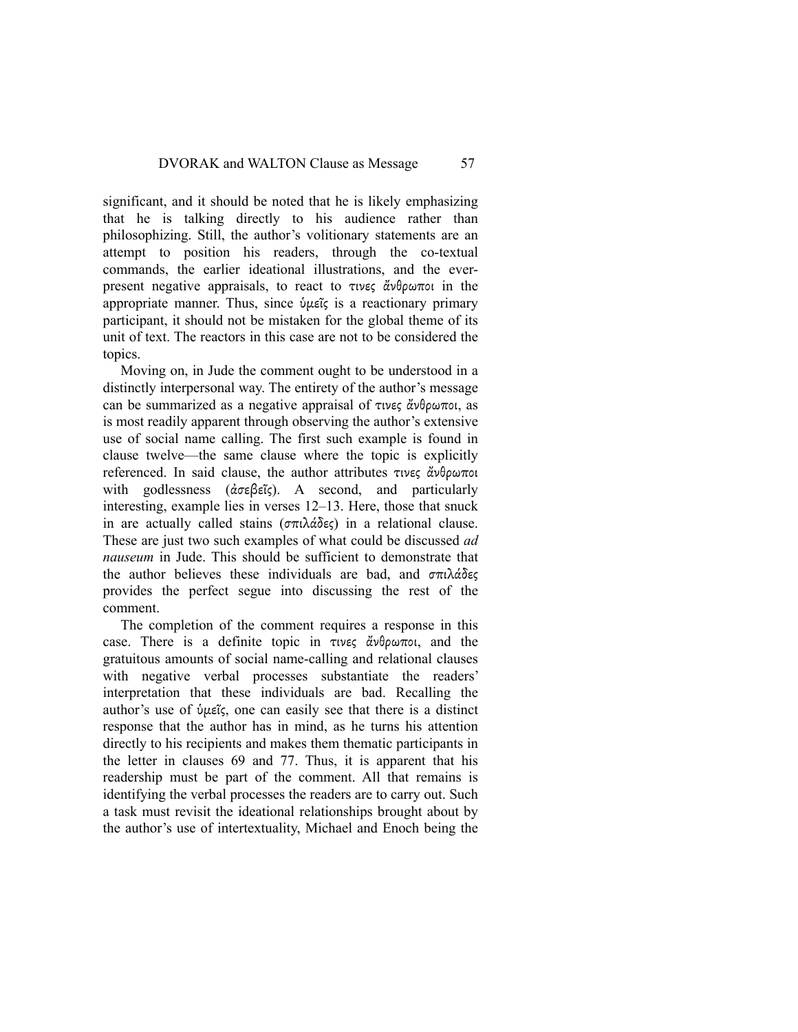significant, and it should be noted that he is likely emphasizing that he is talking directly to his audience rather than philosophizing. Still, the author's volitionary statements are an attempt to position his readers, through the co-textual commands, the earlier ideational illustrations, and the everpresent negative appraisals, to react to τινες ἄνθρωποι in the appropriate manner. Thus, since ὑµεῖς is a reactionary primary participant, it should not be mistaken for the global theme of its unit of text. The reactors in this case are not to be considered the topics.

Moving on, in Jude the comment ought to be understood in a distinctly interpersonal way. The entirety of the author's message can be summarized as a negative appraisal of τινες ἄνθρωποι, as is most readily apparent through observing the author's extensive use of social name calling. The first such example is found in clause twelve—the same clause where the topic is explicitly referenced. In said clause, the author attributes τινες ἄνθρωποι with godlessness (ἀσεβεῖς). A second, and particularly interesting, example lies in verses 12–13. Here, those that snuck in are actually called stains (σπιλάδες) in a relational clause. These are just two such examples of what could be discussed *ad nauseum* in Jude. This should be sufficient to demonstrate that the author believes these individuals are bad, and σπιλάδες provides the perfect segue into discussing the rest of the comment.

The completion of the comment requires a response in this case. There is a definite topic in τινες ἄνθρωποι, and the gratuitous amounts of social name-calling and relational clauses with negative verbal processes substantiate the readers' interpretation that these individuals are bad. Recalling the author's use of ὑµεῖς, one can easily see that there is a distinct response that the author has in mind, as he turns his attention directly to his recipients and makes them thematic participants in the letter in clauses 69 and 77. Thus, it is apparent that his readership must be part of the comment. All that remains is identifying the verbal processes the readers are to carry out. Such a task must revisit the ideational relationships brought about by the author's use of intertextuality, Michael and Enoch being the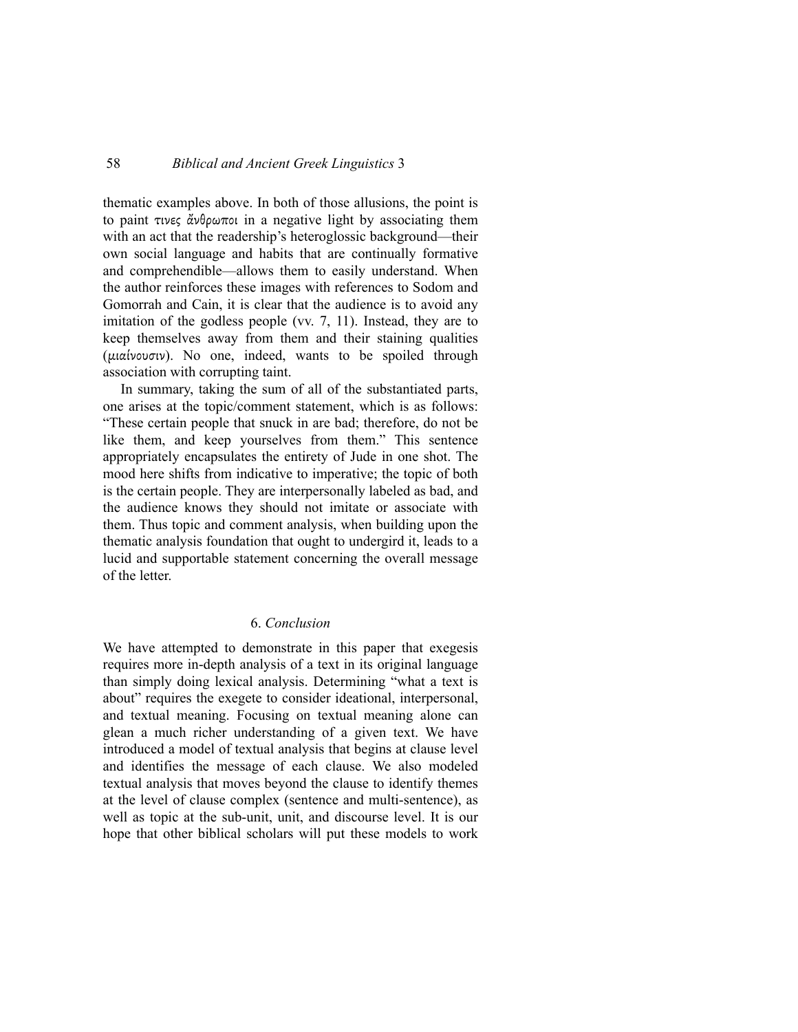thematic examples above. In both of those allusions, the point is to paint τινες ἄνθρωποι in a negative light by associating them with an act that the readership's heteroglossic background—their own social language and habits that are continually formative and comprehendible—allows them to easily understand. When the author reinforces these images with references to Sodom and Gomorrah and Cain, it is clear that the audience is to avoid any imitation of the godless people (vv. 7, 11). Instead, they are to keep themselves away from them and their staining qualities (µιαίνουσιν). No one, indeed, wants to be spoiled through association with corrupting taint.

In summary, taking the sum of all of the substantiated parts, one arises at the topic/comment statement, which is as follows: "These certain people that snuck in are bad; therefore, do not be like them, and keep yourselves from them." This sentence appropriately encapsulates the entirety of Jude in one shot. The mood here shifts from indicative to imperative; the topic of both is the certain people. They are interpersonally labeled as bad, and the audience knows they should not imitate or associate with them. Thus topic and comment analysis, when building upon the thematic analysis foundation that ought to undergird it, leads to a lucid and supportable statement concerning the overall message of the letter.

## 6. *Conclusion*

We have attempted to demonstrate in this paper that exegesis requires more in-depth analysis of a text in its original language than simply doing lexical analysis. Determining "what a text is about" requires the exegete to consider ideational, interpersonal, and textual meaning. Focusing on textual meaning alone can glean a much richer understanding of a given text. We have introduced a model of textual analysis that begins at clause level and identifies the message of each clause. We also modeled textual analysis that moves beyond the clause to identify themes at the level of clause complex (sentence and multi-sentence), as well as topic at the sub-unit, unit, and discourse level. It is our hope that other biblical scholars will put these models to work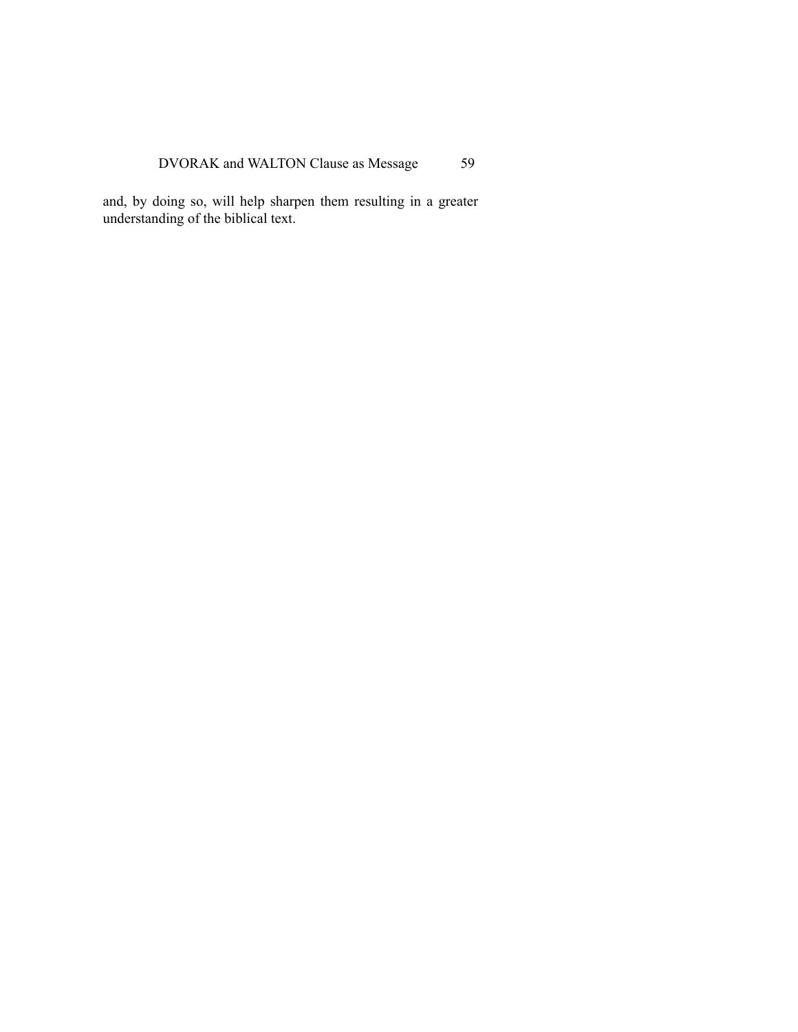and, by doing so, will help sharpen them resulting in a greater understanding of the biblical text.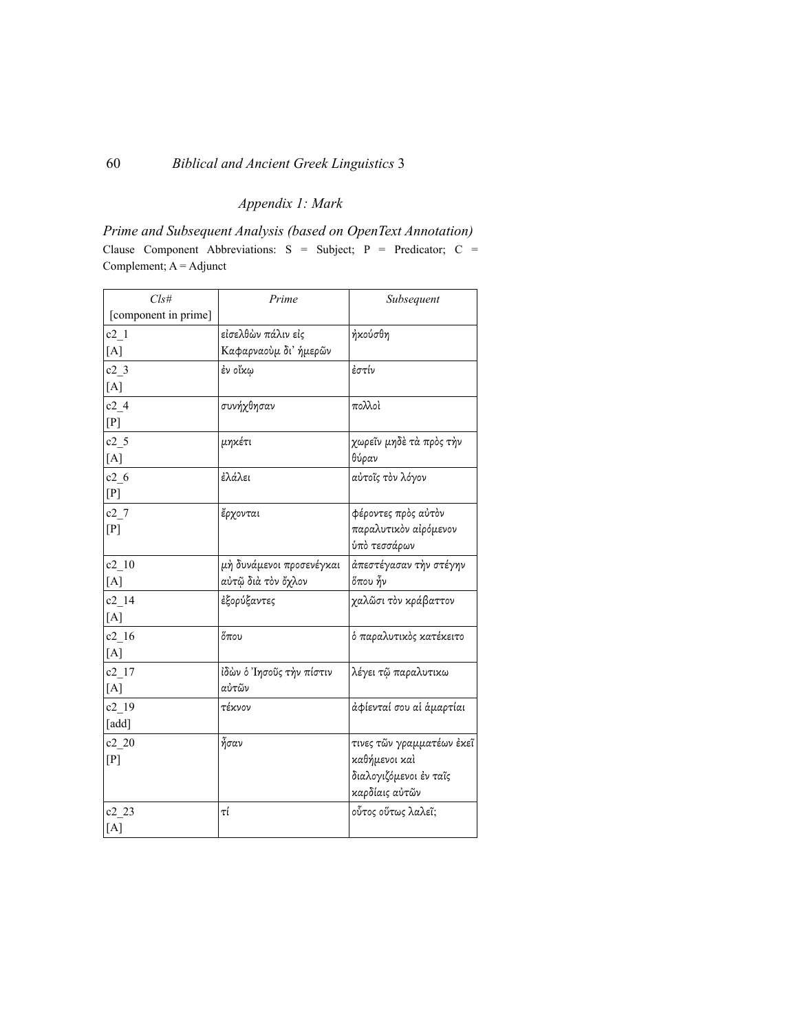# *Appendix 1: Mark*

*Prime and Subsequent Analysis (based on OpenText Annotation)* Clause Component Abbreviations: S = Subject; P = Predicator; C = Complement; A = Adjunct

| Cls#                 | Prime                    | Subsequent                |
|----------------------|--------------------------|---------------------------|
| [component in prime] |                          |                           |
| $c2$ <sup>1</sup>    | εἰσελθὼν πάλιν εἰς       | ήκούσθη                   |
| [A]                  | Καφαρναούμ δι' ήμερῶν    |                           |
| $c2$ 3               | έν οἴκω                  | ἐστίν                     |
| [A]                  |                          |                           |
| c24                  | συνήχθησαν               | πολλοὶ                    |
| [P]                  |                          |                           |
| c2 <sub>5</sub>      | μηκέτι                   | χωρεῖν μηδὲ τὰ πρὸς τὴν   |
| [A]                  |                          | θύραν                     |
| c26                  | ἐλάλει                   | αύτοῖς τὸν λόγον          |
| [P]                  |                          |                           |
| $c2$ 7               | ἔρχονται                 | φέροντες πρὸς αὐτὸν       |
| [P]                  |                          | παραλυτικὸν αἰρόμενον     |
|                      |                          | ύπὸ τεσσάρων              |
| c2 10                | μή δυνάμενοι προσενέγκαι | άπεστέγασαν τὴν στέγην    |
| [A]                  | αὐτῷ διὰ τὸν ὄχλον       | őπου $\tilde{\eta}$ ν     |
| c2 14                | έξορύξαντες              | χαλῶσι τὸν κράβαττον      |
| [A]                  |                          |                           |
| c2 16                | $\H{\sigma}$ που         | ό παραλυτικός κατέκειτο   |
| [A]                  |                          |                           |
| $c2$ <sup>17</sup>   | ίδὼν ὁ Ἰησοῦς τὴν πίστιν | λέγει τῷ παραλυτικω       |
| [A]                  | αὐτῶν                    |                           |
| c2 19                | τέκνον                   | άφίενταί σου αἱ ἁμαρτίαι  |
| [add]                |                          |                           |
| c2 20                | ἦσαν                     | τινες τῶν γραμματέων ἐκεῖ |
| [P]                  |                          | καθήμενοι καὶ             |
|                      |                          | διαλογιζόμενοι ἐν ταῖς    |
|                      |                          | καρδίαις αὐτῶν            |
| $c2_{2}$             | τί                       | οὗτος οὕτως λαλεῖ;        |
| [A]                  |                          |                           |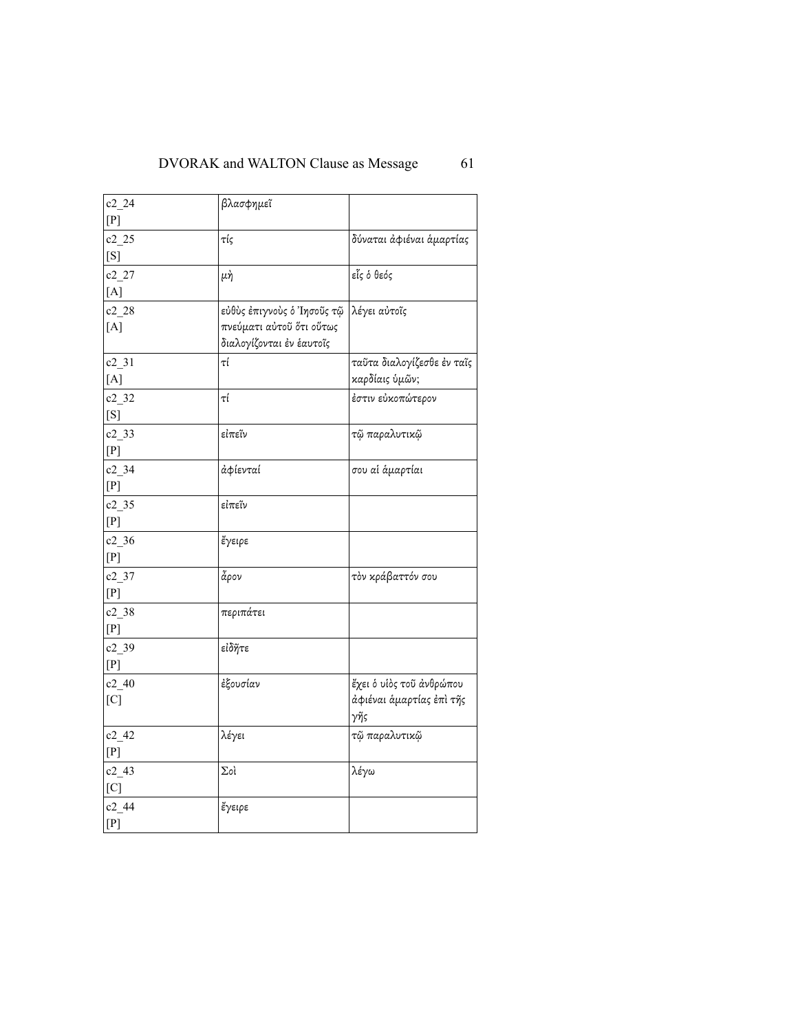| c2 24                     | βλασφημεῖ                  |                            |
|---------------------------|----------------------------|----------------------------|
| $[{\rm P}]$               |                            |                            |
| c2 25                     | τίς                        | δύναται άφιέναι άμαρτίας   |
| [S]                       |                            |                            |
| $c2_{2}$                  | μή                         | εἷς ὁ θεός                 |
| [A]                       |                            |                            |
| $c2_{28}$                 | εὐθὺς ἐπιγνοὺς ὁ Ἰησοῦς τῷ | λέγει αὐτοῖς               |
| [A]                       | πνεύματι αύτοῦ ὅτι οὕτως   |                            |
|                           | διαλογίζονται έν έαυτοῖς   |                            |
| $c2_{1}31$                | τί                         | ταῦτα διαλογίζεσθε ἐν ταῖς |
| $[{\rm A}]$               |                            | καρδίαις ὑμῶν;             |
| $c2$ 32                   | τί                         | έστιν εὐκοπώτερον          |
| $[{\rm S}]$               |                            |                            |
| $c2$ _33                  | εἰπεῖν                     | τῷ παραλυτικῷ              |
| $[{\rm P}]$               |                            |                            |
| $c2$ 34                   | άφίενταί                   | σου αί άμαρτίαι            |
| $[{\rm P}]$               |                            |                            |
| c2 35                     | εἰπεῖν                     |                            |
| [P]                       |                            |                            |
| $c2$ _36                  | ἔγειρε                     |                            |
| $[{\rm P}]$               |                            |                            |
| $c2_{37}$                 | ἆρον                       | τὸν κράβαττόν σου          |
| $[{\rm P}]$               |                            |                            |
| $c2$ _38                  | περιπάτει                  |                            |
| $[{\rm P}]$               |                            |                            |
| $c2 - 39$                 | εἰδῆτε                     |                            |
| $[{\rm P}]$               |                            |                            |
| $c2_40$                   | ἐξουσίαν                   | έχει ο υίος τοῦ ἀνθρώπου   |
| [C]                       |                            | άφιέναι άμαρτίας έπι τῆς   |
|                           |                            | γῆς                        |
| c2 42                     | λέγει                      | τῷ παραλυτικῷ              |
| $[{\rm P}]$               |                            |                            |
| $c2_{43}$                 | Σoì                        | λέγω                       |
| $\left[ \text{C} \right]$ |                            |                            |
| $c2_{-}44$                | ἔγειρε                     |                            |
| [P]                       |                            |                            |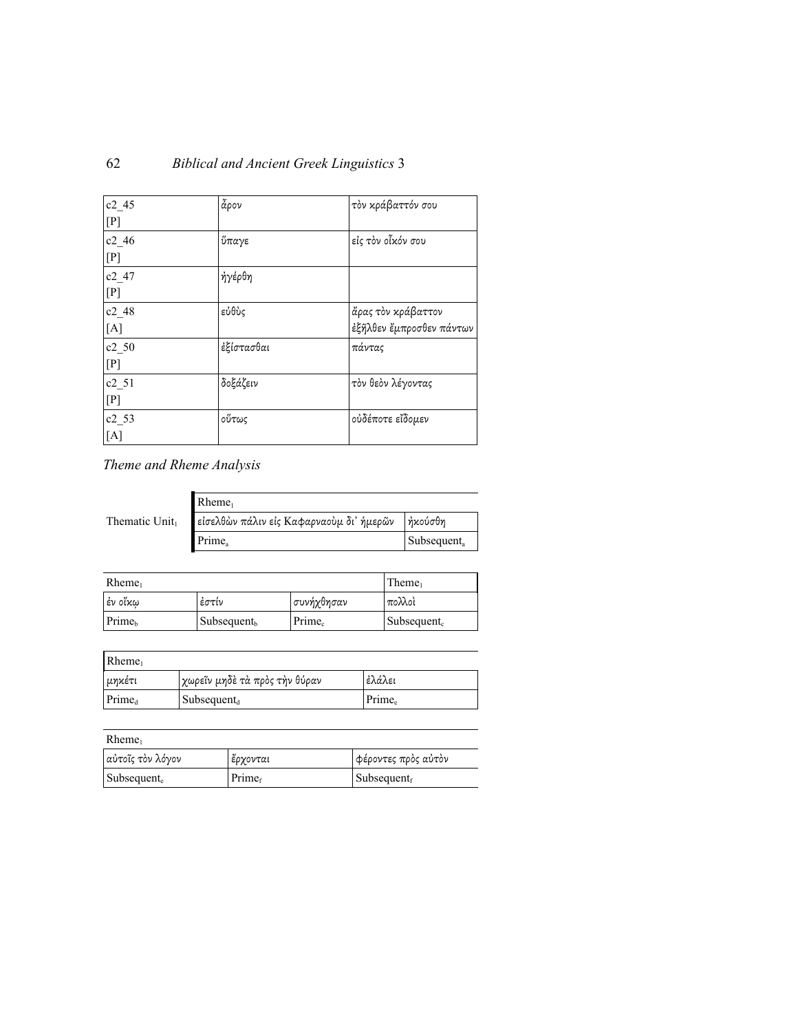| c2 45        | ἆρον       | τὸν κράβαττόν σου        |
|--------------|------------|--------------------------|
| [P]          |            |                          |
| c2 46        | ὕπαγε      | εἰς τὸν οἶκόν σου        |
| [P]          |            |                          |
| c2 47        | ήγέρθη     |                          |
| [P]          |            |                          |
| c2 48        | εὐθὺς      | ἄρας τὸν κράβαττον       |
| [A]          |            | έξῆλθεν ἔμπροσθεν πάντων |
| c2 50        | έξίστασθαι | πάντας                   |
| [P]          |            |                          |
| c2 51        | δοξάζειν   | τὸν θεὸν λέγοντας        |
| [ <b>P</b> ] |            |                          |
| $c2_{53}$    | οὕτως      | οὐδέποτε εἴδομεν         |
| [A]          |            |                          |

# *Theme and Rheme Analysis*

|               | $R$ heme <sub>1</sub>                    |                         |
|---------------|------------------------------------------|-------------------------|
| Thematic Unit | είσελθών πάλιν είς Καφαρναούμ δι' ήμερῶν | ἠκούσθη                 |
|               | Prime <sub>a</sub>                       | Subsequent <sub>a</sub> |

| $R$ heme <sub>1</sub> |                         |                    | Theme <sub>1</sub>      |
|-----------------------|-------------------------|--------------------|-------------------------|
| ∣ἐν οἴκω              | έστίν                   | συνήχθησαν         | πολλοὶ                  |
| Prime <sub>b</sub>    | Subsequent <sub>b</sub> | Prime <sub>c</sub> | Subsequent <sub>c</sub> |

| Rheme <sub>1</sub> |                                 |                    |
|--------------------|---------------------------------|--------------------|
| μηκέτι             | γωρεΐν μηδε τὰ πρὸς τὴν θύραν   | ἐλάλει             |
| Prime <sub>d</sub> | $\vert$ Subsequent <sub>d</sub> | Prime <sub>e</sub> |

| αὐτοῖς τὸν λόγον    | έρχονται           | φέροντες πρὸς αὐτὸν             |
|---------------------|--------------------|---------------------------------|
| $\vert$ Subsequent. | Prime <sub>f</sub> | $\vert$ Subsequent <sub>f</sub> |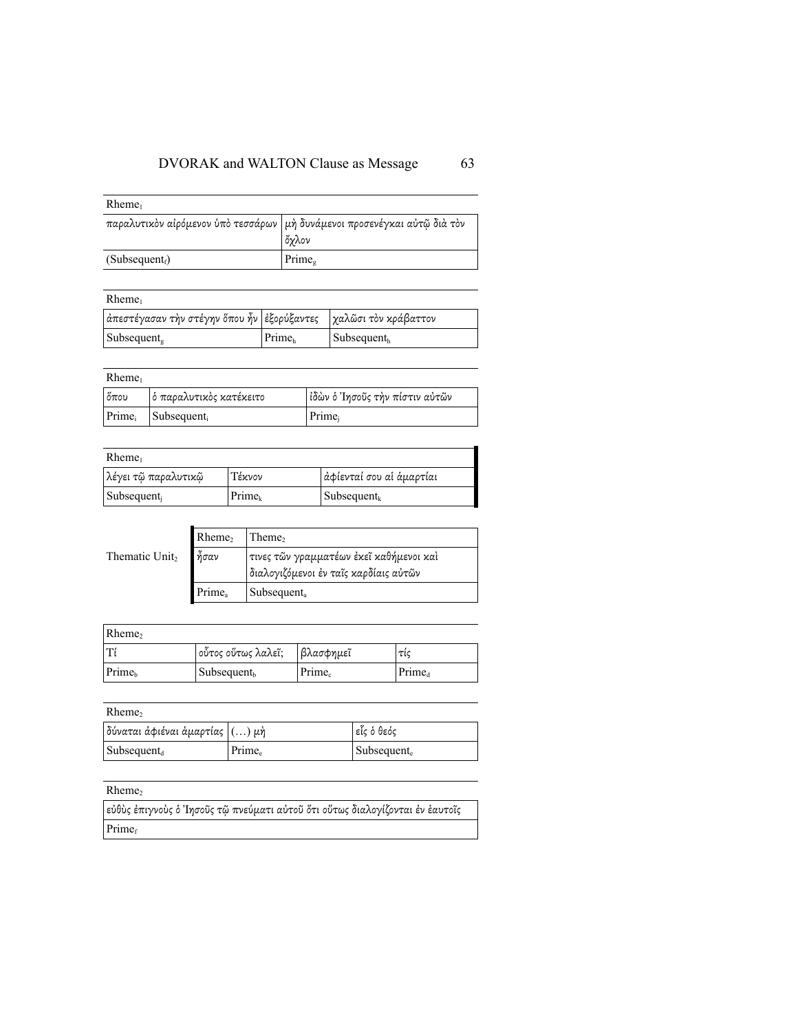| $R$ heme <sub>1</sub>      |                                                                                     |
|----------------------------|-------------------------------------------------------------------------------------|
|                            | παραλυτικὸν αἰρόμενον ὑπὸ τεσσάρων   μὴ δυνάμενοι προσενέγκαι αὐτῷ διὰ τὸν<br>ὄχλον |
| (Subsequent <sub>f</sub> ) | Prime <sub>®</sub>                                                                  |

| $R$ heme <sub>1</sub>                                            |                    |                                 |
|------------------------------------------------------------------|--------------------|---------------------------------|
| ἀπεστέγασαν τὴν στέγην ὅπου ἦν ἐξορύξαντες  χαλῶσι τὸν κράβαττον |                    |                                 |
| Subsequent,                                                      | Prime <sub>h</sub> | $\vert$ Subsequent <sub>h</sub> |

## Rheme1

| $\delta \pi$ ου | ὁ παραλυτικὸς κατέκειτο           | Ιδὼν ὁ Ἰησοῦς τὴν πίστιν αὐτῶν |
|-----------------|-----------------------------------|--------------------------------|
|                 | $Prime_i$ Subsequent <sub>i</sub> | Prime <sub>i</sub>             |

## $R<sub>h</sub>$

| Kneme <sub>1</sub>  |                    |                          |  |  |
|---------------------|--------------------|--------------------------|--|--|
| λέγει τῷ παραλυτικῷ | Τέκνον             | ἀφίενταί σου αἱ ἁμαρτίαι |  |  |
| Subsequent          | Prime <sub>k</sub> | $Subsequent_{k}$         |  |  |

|                            | Rheme,       | Theme,                                  |
|----------------------------|--------------|-----------------------------------------|
| Thematic Unit <sub>2</sub> | $\delta$ σαν | τινες τῶν γραμματέων ἐκεῖ καθήμενοι καὶ |
|                            |              | διαλογιζόμενοι έν ταῖς καρδίαις αὐτῶν   |
|                            | Prime.       | Subsequent <sub>a</sub>                 |

| Rheme <sub>2</sub> |                         |                    |                    |
|--------------------|-------------------------|--------------------|--------------------|
| l Ti               | οὗτος οὕτως λαλεῖ;      | βλασφημεῖ          | τις                |
| Prime <sub>b</sub> | Subsequent <sub>b</sub> | Prime <sub>c</sub> | Prime <sub>d</sub> |

## $Rheme<sub>2</sub>$

| $\big\vert$ δύναται ἀφιέναι ἁμαρτίας $\big\vert(\ldots)$ μὴ $\big\vert$ |                    | εἶς ὁ θεός              |
|-------------------------------------------------------------------------|--------------------|-------------------------|
| $\vert$ Subsequent <sub>d</sub>                                         | Prime <sub>e</sub> | Subsequent <sub>e</sub> |

## Rheme<sub>2</sub>

| εύθὺς έπιγνοὺς ὁ Ἰησοῦς τῷ πνεύματι αὐτοῦ ὅτι οὕτως διαλογίζονται ἐν ἑαυτοῖς |  |
|------------------------------------------------------------------------------|--|
| Prime <sub>f</sub>                                                           |  |

1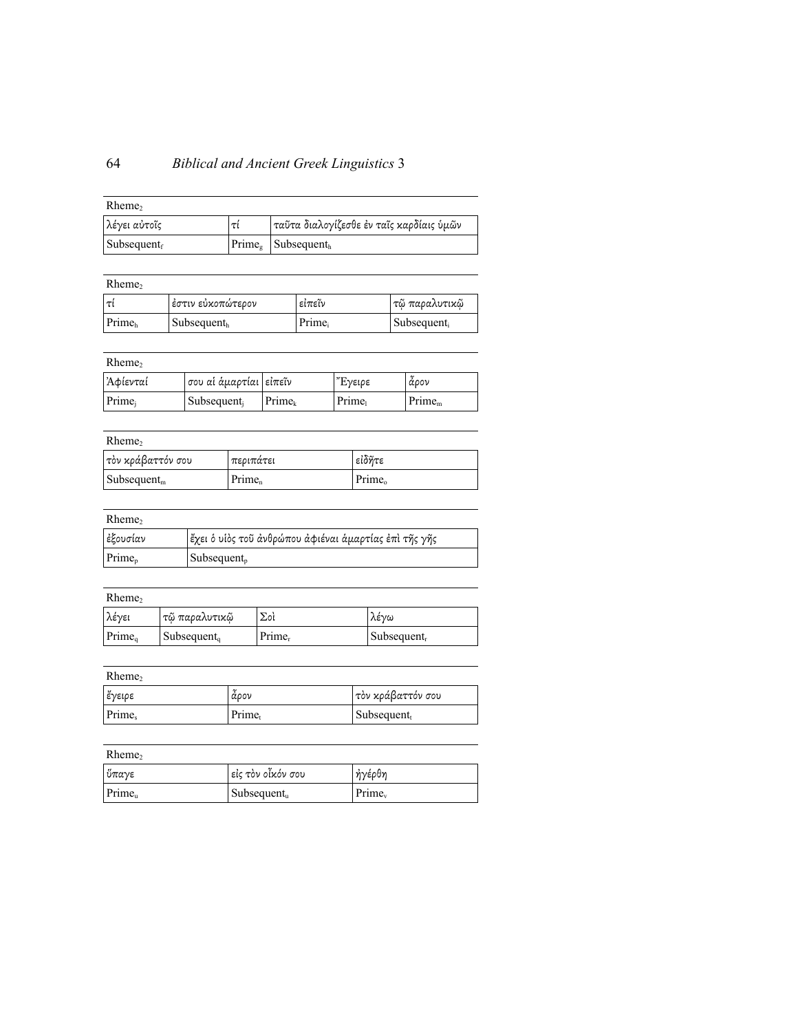# 64 *Biblical and Ancient Greek Linguistics* 3

| Rheme,                          |    |                                          |
|---------------------------------|----|------------------------------------------|
| λέγει αὐτοῖς                    | τί | ταῦτα διαλογίζεσθε ἐν ταῖς καρδίαις ὑμῶν |
| $\vert$ Subsequent <sub>f</sub> |    | $Prime_{\delta}$ Subsequent <sub>h</sub> |

| $R$ heme <sub>2</sub> |                                 |        |                         |
|-----------------------|---------------------------------|--------|-------------------------|
| lτί                   | ἐστιν εὐκοπώτερον               | εἰπεῖν | τῷ παραλυτικῷ           |
| Prime <sub>b</sub>    | $\vert$ Subsequent <sub>h</sub> | Prime  | Subsequent <sub>i</sub> |

| Rheme,   |                          |                    |         |                    |
|----------|--------------------------|--------------------|---------|--------------------|
| Ἀφίενταί | σου αἱ ἁμαρτίαι   εἰπεῖν |                    | "Έγειρε | άρον               |
| Prime.   | Subsequent <sub>i</sub>  | Prime <sub>k</sub> | Prime   | Prime <sub>m</sub> |

| Rheme,                         |                    |                    |
|--------------------------------|--------------------|--------------------|
| τὸν κράβαττόν σου              | περιπάτει          | εἰδῆτε             |
| $\text{Subsequent}_{\text{m}}$ | Prime <sub>n</sub> | Prime <sub>o</sub> |

| Rheme,    |                                                       |
|-----------|-------------------------------------------------------|
| έξουσίαν  | ἔχει ὁ υἱὸς τοῦ ἀνθρώπου ἀφιέναι ἁμαρτίας ἐπὶ τῆς γῆς |
| $Prime_n$ | $\blacksquare$ Subsequent <sub>p</sub>                |

| c.<br>۰.<br>× |  |
|---------------|--|
|---------------|--|

| λέγει              | τῷ παραλυτικῷ                   | Σoì                | λένω                    |
|--------------------|---------------------------------|--------------------|-------------------------|
| Prime <sub>a</sub> | $\vert$ Subsequent <sub>q</sub> | Prime <sub>r</sub> | Subsequent <sub>r</sub> |

 $Rheme<sub>2</sub>$ 

| έγειρε | άρον               | τὸν κράβαττόν σου         |
|--------|--------------------|---------------------------|
| Prime. | Prime <sub>t</sub> | $\mathbf{Subsequent}_{t}$ |

## $Rheme<sub>2</sub>$

| ὕπαγε              | είς τὸν οἶκόν σου         | ἠγέρθη    |
|--------------------|---------------------------|-----------|
| Prime <sub>n</sub> | $\mathbf{Subsequent}_{u}$ | $Prime_v$ |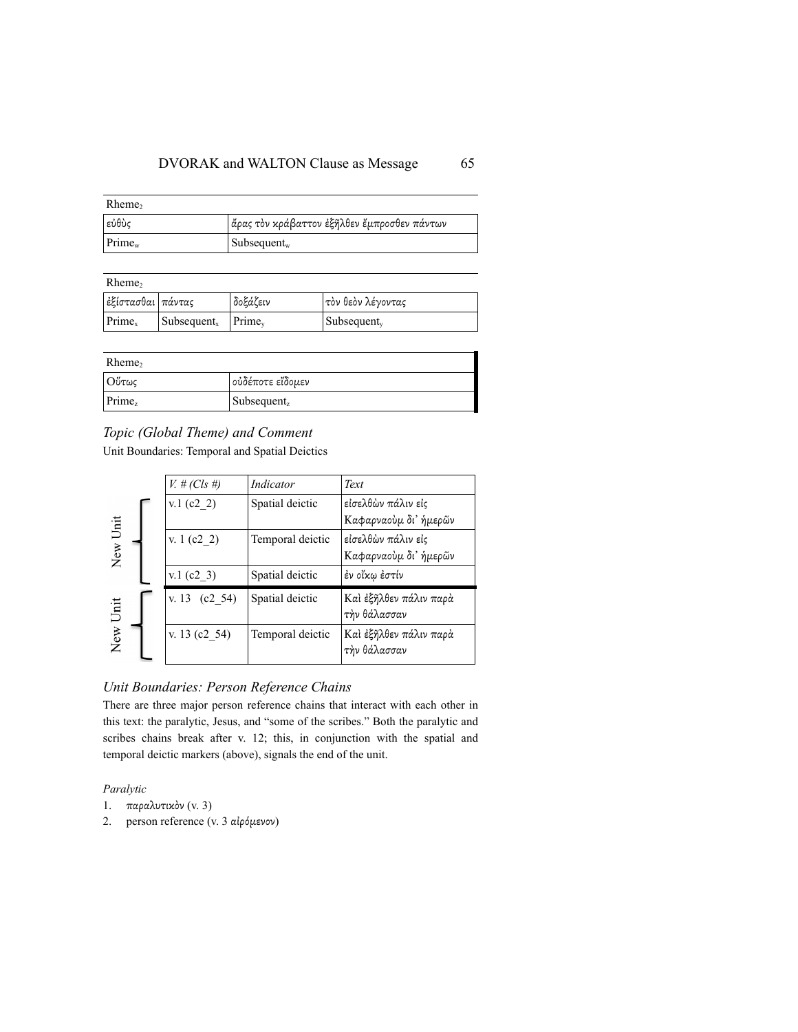| $R$ heme <sub>2</sub> |                                             |
|-----------------------|---------------------------------------------|
| εὐθὺς                 | ἄρας τὸν κράβαττον ἐξῆλθεν ἔμπροσθεν πάντων |
| $Prime_w$             | $\mathsf{Subsequent}_{\mathsf{w}}$          |

| $R$ heme <sub>2</sub> |                                 |           |                                 |
|-----------------------|---------------------------------|-----------|---------------------------------|
| εξίστασθαι πάντας     |                                 | δοξάζειν  | τὸν θεὸν λέγοντας               |
| Prime <sub>x</sub>    | $\vert$ Subsequent <sub>x</sub> | $Prime_v$ | $\vert$ Subsequent <sub>y</sub> |

| $R$ heme |                         |
|----------|-------------------------|
| Ούτως    | ούδέποτε εἴδομεν        |
| Prime,   | Subsequent <sub>z</sub> |

## *Topic (Global Theme) and Comment*

Unit Boundaries: Temporal and Spatial Deictics

|                  | $V_{t}$ # (Cls #) | Indicator        | Text                                   |
|------------------|-------------------|------------------|----------------------------------------|
|                  | $v.1$ (c2 2)      | Spatial deictic  | ⊧εἰσελθὼν πάλιν εἰς                    |
| Unit             |                   |                  | Καφαρναούμ δι' ήμερῶν                  |
|                  | v. 1 $(c2 2)$     | Temporal deictic | εἰσελθὼν πάλιν εἰς                     |
| New <sub>1</sub> |                   |                  | Καφαρναούμ δι' ήμερῶν                  |
|                  | $v.1$ (c2 3)      | Spatial deictic  | ἐν οἴκῳ ἐστίν                          |
| Unit             | v. 13 $(c2 54)$   | Spatial deictic  | Καὶ ἐξῆλθεν πάλιν παρὰ<br>τὴν θάλασσαν |
| New <sup>-</sup> | v. 13 $(c2 54)$   | Temporal deictic | Καὶ ἐξῆλθεν πάλιν παρὰ<br>τὴν θάλασσαν |

## *Unit Boundaries: Person Reference Chains*

There are three major person reference chains that interact with each other in this text: the paralytic, Jesus, and "some of the scribes." Both the paralytic and scribes chains break after v. 12; this, in conjunction with the spatial and temporal deictic markers (above), signals the end of the unit.

### *Paralytic*

- 1. παραλυτικὸν (v. 3)
- 2. person reference (v. 3 αἰρόµενον)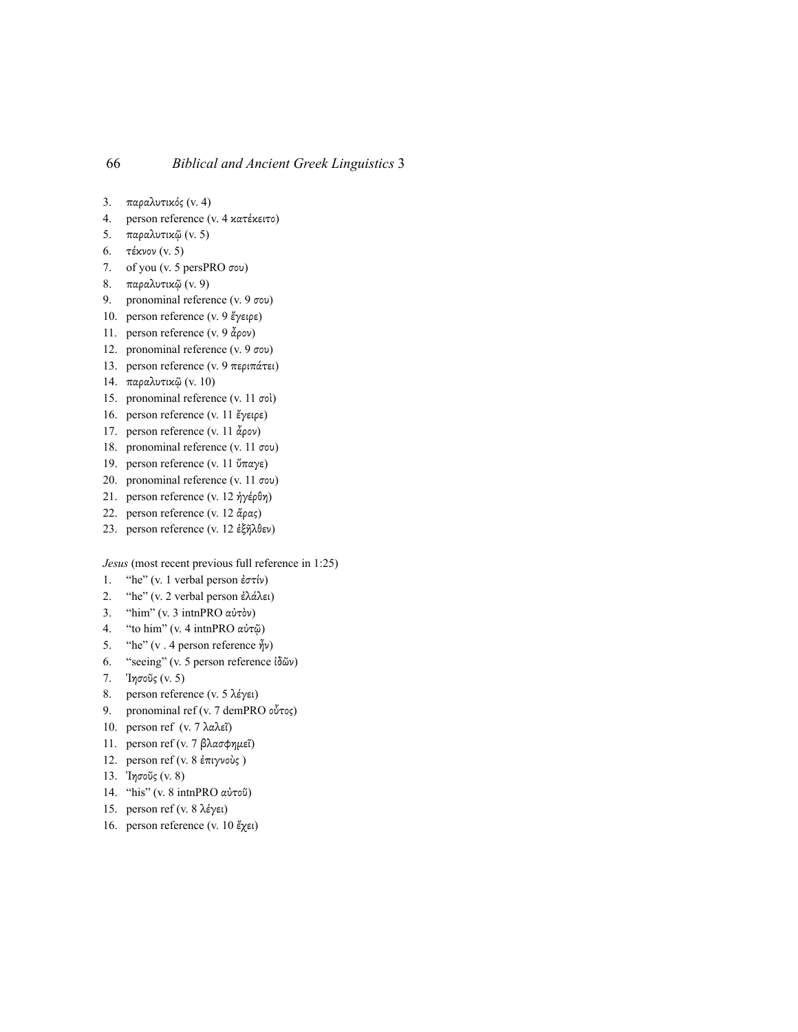- 3. παραλυτικός (v. 4)
- 4. person reference (v. 4 κατέκειτο)
- 5. παραλυτικῷ (v. 5)
- 6. τέκνον (v. 5)
- 7. of you (v. 5 persPRO σου)
- 8. παραλυτικῷ (v. 9)
- 9. pronominal reference (v. 9 σου)
- 10. person reference (v. 9 ἔγειρε)
- 11. person reference (v. 9 ἆρον)
- 12. pronominal reference (v. 9 σου)
- 13. person reference (v. 9 περιπάτει)
- 14. παραλυτικῷ (v. 10)
- 15. pronominal reference (v. 11 σοὶ)
- 16. person reference (v. 11 ἔγειρε)
- 17. person reference (v. 11  $\alpha$ ρον)
- 18. pronominal reference (v. 11 σου)
- 19. person reference (v. 11 ὕπαγε)
- 20. pronominal reference (v. 11 σου)
- 21. person reference (v. 12 ἠγέρθη)
- 22. person reference (v. 12 άρας)
- 23. person reference (v. 12 ἐξῆλθεν)

*Jesus* (most recent previous full reference in 1:25)

- 1. "he" (v. 1 verbal person ἐστίν)
- 2. "he" (v. 2 verbal person ἐλάλει)
- 3. "him" (v. 3 intnPRO αὐτὸν)
- 4. "to him" (v. 4 intnPRO αὐτῷ)
- 5. "he" (v . 4 person reference ἦν)
- 6. "seeing" (v. 5 person reference ἰδῶν)
- 7. Ἰησοῦς (v. 5)
- 8. person reference (v. 5 λέγει)
- 9. pronominal ref (v. 7 demPRO οὗτος)
- 10. person ref (v. 7 λαλεΐ)
- 11. person ref (v. 7 βλασφηµεῖ)
- 12. person ref (v. 8 ἐπιγνοὺς )
- 13. Ἰησοῦς (v. 8)
- 14. "his" (v. 8 intnPRO αὐτοῦ)
- 15. person ref (v. 8 λέγει)
- 16. person reference (v. 10 ἔχει)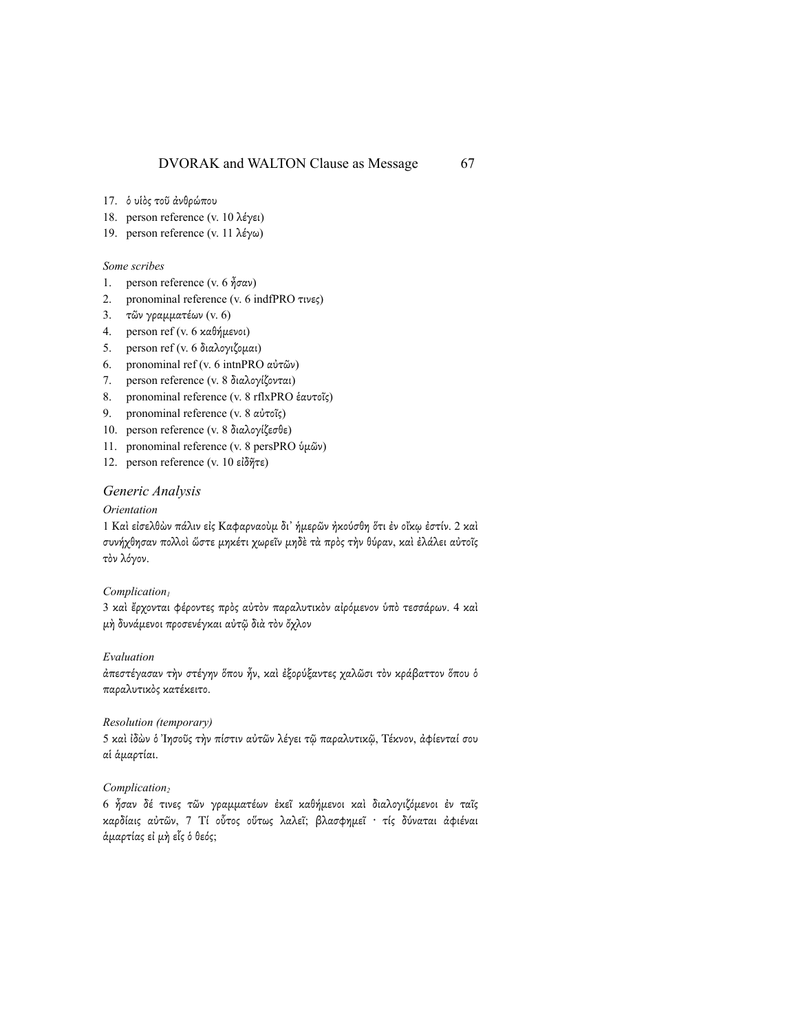- 17. ὁ υἱὸς τοῦ ἀνθρώπου
- 18. person reference (v. 10 λέγει)
- 19. person reference (v. 11 λέγω)

#### *Some scribes*

- 1. person reference (v. 6 ἦσαν)
- 2. pronominal reference (v. 6 indfPRO τινες)
- 3. τῶν γραµµατέων (v. 6)
- 4. person ref (v. 6 καθήµενοι)
- 5. person ref (v. 6 διαλογιζοµαι)
- 6. pronominal ref (v. 6 intnPRO αὐτῶν)
- 7. person reference (v. 8 διαλογίζονται)
- 8. pronominal reference (v. 8 rflxPRO ἑαυτοῖς)
- 9. pronominal reference (v. 8 αὐτοῖς)
- 10. person reference (v. 8 διαλογίζεσθε)
- 11. pronominal reference (v. 8 persPRO ὑµῶν)
- 12. person reference (v. 10 εἰδῆτε)

#### *Generic Analysis*

#### *Orientation*

1 Καὶ εἰσελθὼν πάλιν εἰς Καφαρναοὺµ δι᾽ ἡµερῶν ἠκούσθη ὅτι ἐν οἴκῳ ἐστίν. 2 καὶ συνήχθησαν πολλοί ὥστε μηκέτι χωρεῖν μηδὲ τὰ πρὸς τὴν θύραν, καὶ ἐλάλει αὐτοῖς τὸν λόγον.

#### *Complication1*

3 καὶ ἔρχονται φέροντες πρὸς αὐτὸν παραλυτικὸν αἰρόµενον ὑπὸ τεσσάρων. 4 καὶ µὴ δυνάµενοι προσενέγκαι αὐτῷ διὰ τὸν ὄχλον

#### *Evaluation*

ἀπεστέγασαν τὴν στέγην ὅπου ἦν, καὶ ἐξορύξαντες χαλῶσι τὸν κράβαττον ὅπου ὁ παραλυτικὸς κατέκειτο.

#### *Resolution (temporary)*

5 καὶ ἰδὼν ὁ Ἰησοῦς τὴν πίστιν αὐτῶν λέγει τῷ παραλυτικῷ, Τέκνον, ἀφίενταί σου αἱ ἁµαρτίαι.

#### *Complication*<sub>2</sub>

6 ἦσαν δέ τινες τῶν γραµµατέων ἐκεῖ καθήµενοι καὶ διαλογιζόµενοι ἐν ταῖς καρδίαις αὐτῶν, 7 Τί οὗτος οὕτως λαλεῖ; βλασφηµεῖ · τίς δύναται ἀφιέναι ἁµαρτίας εἰ µὴ εἷς ὁ θεός;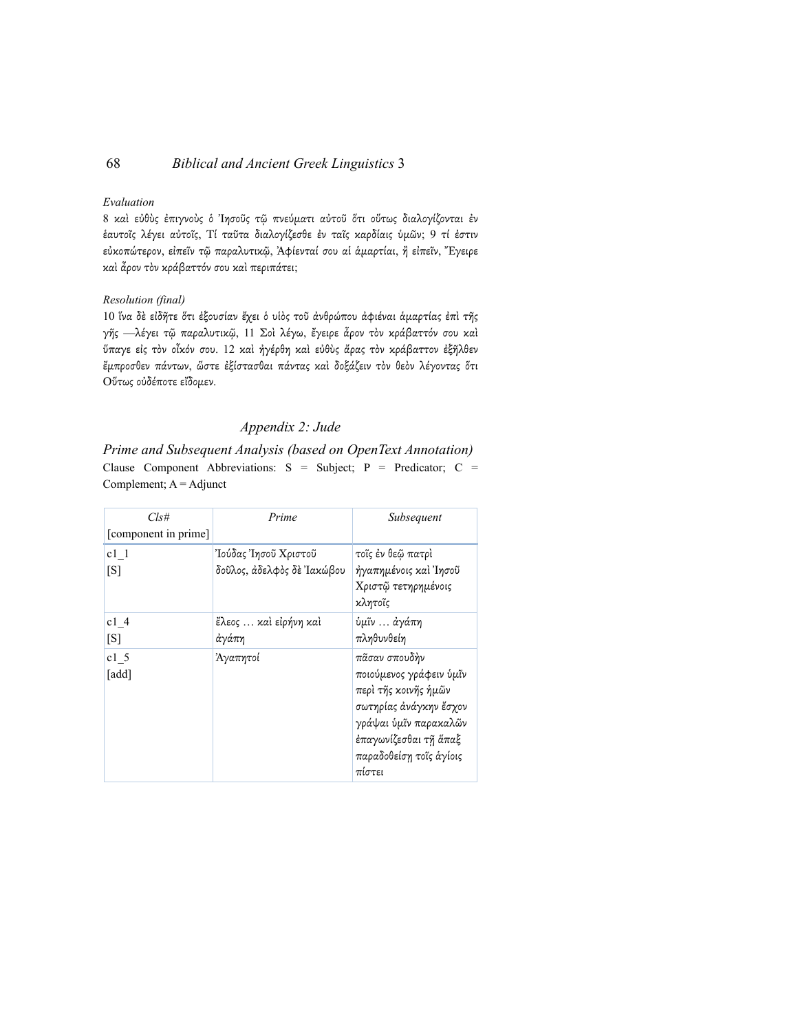#### *Evaluation*

8 καὶ εὐθὺς ἐπιγνοὺς ὁ Ἰησοῦς τῷ πνεύµατι αὐτοῦ ὅτι οὕτως διαλογίζονται ἐν ἑαυτοῖς λέγει αὐτοῖς, Τί ταῦτα διαλογίζεσθε ἐν ταῖς καρδίαις ὑµῶν; 9 τί ἐστιν εὐκοπώτερον, εἰπεῖν τῷ παραλυτικῷ, Ἀφίενταί σου αἱ ἁµαρτίαι, ἢ εἰπεῖν, Ἔγειρε καὶ ἆρον τὸν κράβαττόν σου καὶ περιπάτει;

#### *Resolution (final)*

10 ἵνα δὲ εἰδῆτε ὅτι ἐξουσίαν ἔχει ὁ υἱὸς τοῦ ἀνθρώπου ἀφιέναι ἁµαρτίας ἐπὶ τῆς γῆς —λέγει τῷ παραλυτικῷ, 11 Σοὶ λέγω, ἔγειρε ἆρον τὸν κράβαττόν σου καὶ ὕπαγε εἰς τὸν οἶκόν σου. 12 καὶ ἠγέρθη καὶ εὐθὺς ἄρας τὸν κράβαττον ἐξῆλθεν ἔµπροσθεν πάντων, ὥστε ἐξίστασθαι πάντας καὶ δοξάζειν τὸν θεὸν λέγοντας ὅτι Οὕτως οὐδέποτε εἴδοµεν.

## *Appendix 2: Jude*

*Prime and Subsequent Analysis (based on OpenText Annotation)* Clause Component Abbreviations:  $S =$  Subject;  $P =$  Predicator;  $C =$ Complement;  $A =$  Adjunct

| Cls#                     | Prime                                              | Subsequent                                                                                                                                                                        |
|--------------------------|----------------------------------------------------|-----------------------------------------------------------------------------------------------------------------------------------------------------------------------------------|
| [component in prime]     |                                                    |                                                                                                                                                                                   |
| $c1$ 1<br>[S]            | Ἰούδας Ἰησοῦ Χριστοῦ<br>δοῦλος, ἀδελφὸς δὲ Ἰακώβου | τοΐς έν θεῷ πατρὶ<br>ήγαπημένοις καὶ Ἰησοῦ<br>Χριστῷ τετηρημένοις<br>κλητοῖς                                                                                                      |
| c14<br>[S]               | ἔλεος  καὶ εἰρήνη καὶ<br>ἀγάπη                     | ύμῖν  ἀγάπη<br>πληθυνθείη                                                                                                                                                         |
| c1 <sub>5</sub><br>[add] | Ἀγαπητοί                                           | πᾶσαν σπουδὴν<br>ποιούμενος γράφειν ὑμῖν<br>περὶ τῆς κοινῆς ἡμῶν<br>σωτηρίας άνάγκην ἔσχον<br>γράψαι ύμῖν παρακαλῶν<br>ἐπαγωνίζεσθαι τῆ ἅπαξ<br>παραδοθείση τοῖς ἁγίοις<br>πίστει |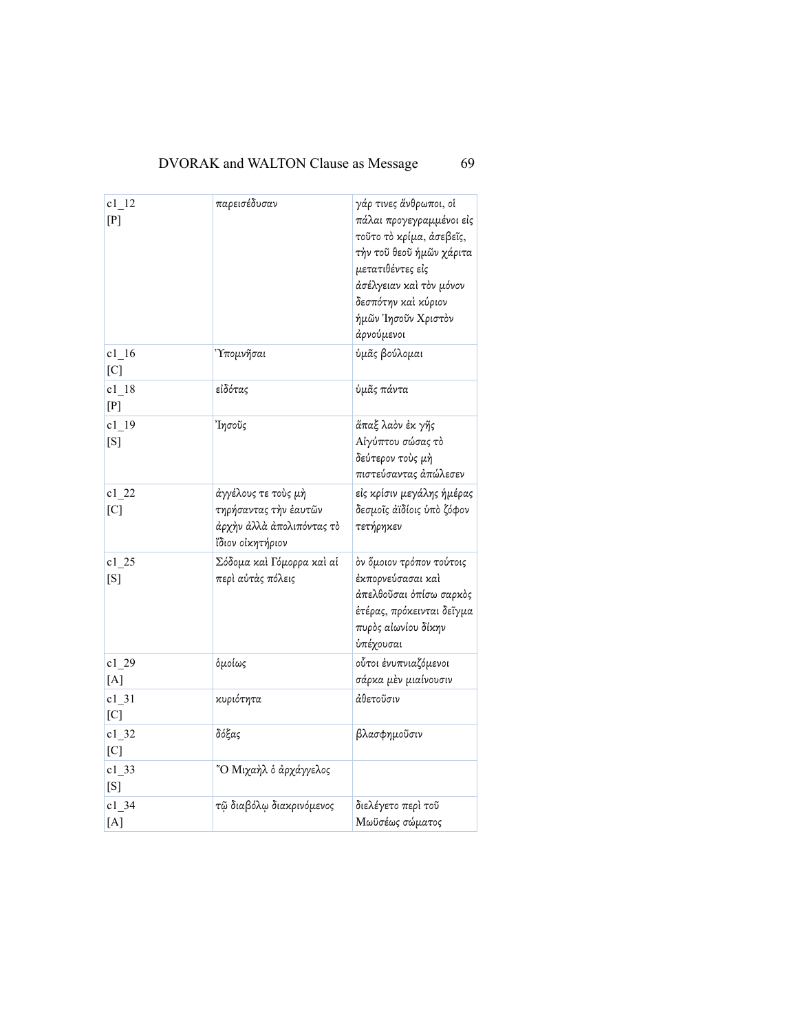| $c1_{12}$<br>[P]           | παρεισέδυσαν                                                                                  | γάρ τινες ἄνθρωποι, οἱ<br>πάλαι προγεγραμμένοι εἰς<br>τοῦτο τὸ κρίμα, ἀσεβεῖς,<br>τὴν τοῦ θεοῦ ἡμῶν χάριτα<br>μετατιθέντες είς<br>άσέλγειαν καὶ τὸν μόνον<br>δεσπότην καὶ κύριον<br>ήμῶν Ἰησοῦν Χριστὸν<br>άρνούμενοι |
|----------------------------|-----------------------------------------------------------------------------------------------|-----------------------------------------------------------------------------------------------------------------------------------------------------------------------------------------------------------------------|
| $c1_{16}$<br>[C]           | <i><b>Υπομνῆσαι</b></i>                                                                       | ύμᾶς βούλομαι                                                                                                                                                                                                         |
| $c1_{18}$<br>[P]           | εἰδότας                                                                                       | ὑμᾶς πάντα                                                                                                                                                                                                            |
| $c1_{19}$<br>[S]           | <b>Ίησοῦς</b>                                                                                 | ἅπαξ λαὸν ἐκ γῆς<br>Αίγύπτου σώσας τὸ<br>δεύτερον τοὺς μὴ<br>πιστεύσαντας άπώλεσεν                                                                                                                                    |
| $c1$ <sub>-22</sub><br>[C] | άγγέλους τε τοὺς μὴ<br>τηρήσαντας τὴν ἑαυτῶν<br>άρχὴν ἀλλὰ ἀπολιπόντας τὸ<br>ΐδιον οἰκητήριον | εἰς κρίσιν μεγάλης ἡμέρας<br>δεσμοΐς ἀϊδίοις ὑπὸ ζόφον<br>τετήρηκεν                                                                                                                                                   |
| $c1$ <sub>-25</sub><br>[S] | Σόδομα καὶ Γόμορρα καὶ αἱ<br>περὶ αὐτὰς πόλεις                                                | όν ὄμοιον τρόπον τούτοις<br>έκπορνεύσασαι καὶ<br>άπελθοῦσαι ὀπίσω σαρκὸς<br>ἑτέρας, πρόκεινται δεῖγμα<br>πυρὸς αἰωνίου δίκην<br>ύπέχουσαι                                                                             |
| c1 29<br>[A]               | όμοίως                                                                                        | οὗτοι ἐνυπνιαζόμενοι<br>σάρκα μὲν μιαίνουσιν                                                                                                                                                                          |
| $c1_31$<br>[C]             | κυριότητα                                                                                     | άθετοῦσιν                                                                                                                                                                                                             |
| $c1_32$<br>[C]             | δόξας                                                                                         | βλασφημοῦσιν                                                                                                                                                                                                          |
| $c1$ _33<br>[S]            | "Ο Μιχαήλ ο άρχάγγελος                                                                        |                                                                                                                                                                                                                       |
| $c1$ 34<br>[A]             | τῷ διαβόλῳ διακρινόμενος                                                                      | διελέγετο περὶ τοῦ<br>Μωϋσέως σώματος                                                                                                                                                                                 |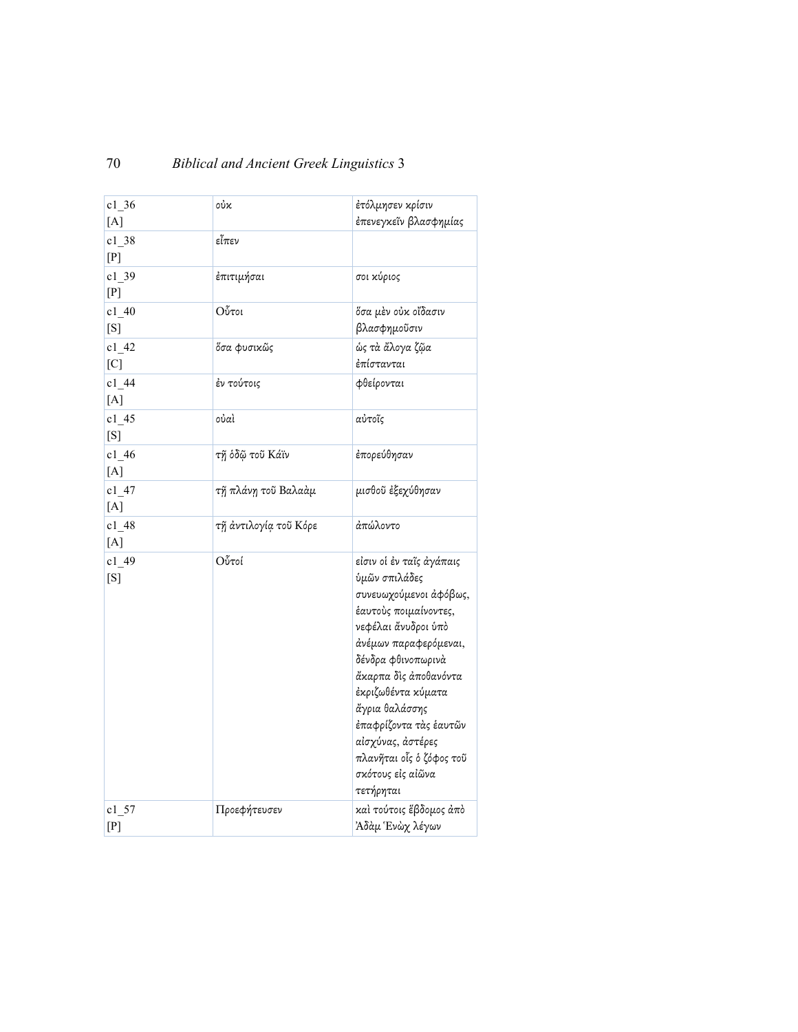| c1 36<br>[A]      | οὐκ                   | ἐτόλμησεν κρίσιν<br>έπενεγκεῖν βλασφημίας                                                                                                                                                                                                                                                                                                        |
|-------------------|-----------------------|--------------------------------------------------------------------------------------------------------------------------------------------------------------------------------------------------------------------------------------------------------------------------------------------------------------------------------------------------|
| $c1$ 38<br>[P]    | εἶπεν                 |                                                                                                                                                                                                                                                                                                                                                  |
| $c1_39$<br>[P]    | έπιτιμήσαι            | σοι κύριος                                                                                                                                                                                                                                                                                                                                       |
| $c1_40$<br>[S]    | Οὖτοι                 | ὄσα μὲν οὐκ οἴδασιν<br>βλασφημοῦσιν                                                                                                                                                                                                                                                                                                              |
| $c1_{42}$<br>[C]  | ὄσα φυσικῶς           | ώς τὰ ἄλογα ζῷα<br>ἐπίστανται                                                                                                                                                                                                                                                                                                                    |
| $c1_{44}$<br>[A]  | έν τούτοις            | φθείρονται                                                                                                                                                                                                                                                                                                                                       |
| $c1_{-}45$<br>[S] | oὐaì                  | αὐτοῖς                                                                                                                                                                                                                                                                                                                                           |
| c1 46<br>[A]      | τῆ ὁδῷ τοῦ Κάϊν       | έπορεύθησαν                                                                                                                                                                                                                                                                                                                                      |
| $c1_{-}47$<br>[A] | τῆ πλάνη τοῦ Βαλαὰμ   | μισθοῦ ἐξεχύθησαν                                                                                                                                                                                                                                                                                                                                |
| $c1_48$<br>[A]    | τῆ ἀντιλογία τοῦ Κόρε | άπώλοντο                                                                                                                                                                                                                                                                                                                                         |
| c1 49<br>[S]      | Οὖτοί                 | είσιν οἱ ἐν ταῖς ἀγάπαις<br>ύμῶν σπιλάδες<br>συνευωχούμενοι άφόβως,<br>έαυτούς ποιμαίνοντες,<br>νεφέλαι άνυδροι ύπό<br>άνέμων παραφερόμεναι,<br>δένδρα φθινοπωρινὰ<br>ἄκαρπα δὶς ἀποθανόντα<br>έκριζωθέντα κύματα<br>ἄγρια θαλάσσης<br>έπαφρίζοντα τὰς ἑαυτῶν<br>αίσχύνας, άστέρες<br>πλανῆται οἷς ὁ ζόφος τοῦ<br>σκότους εἰς αἰῶνα<br>τετήρηται |
| c1 57<br>[P]      | Προεφήτευσεν          | καὶ τούτοις ἕβδομος ἀπὸ<br>Άδὰμ Ἑνὼχ λέγων                                                                                                                                                                                                                                                                                                       |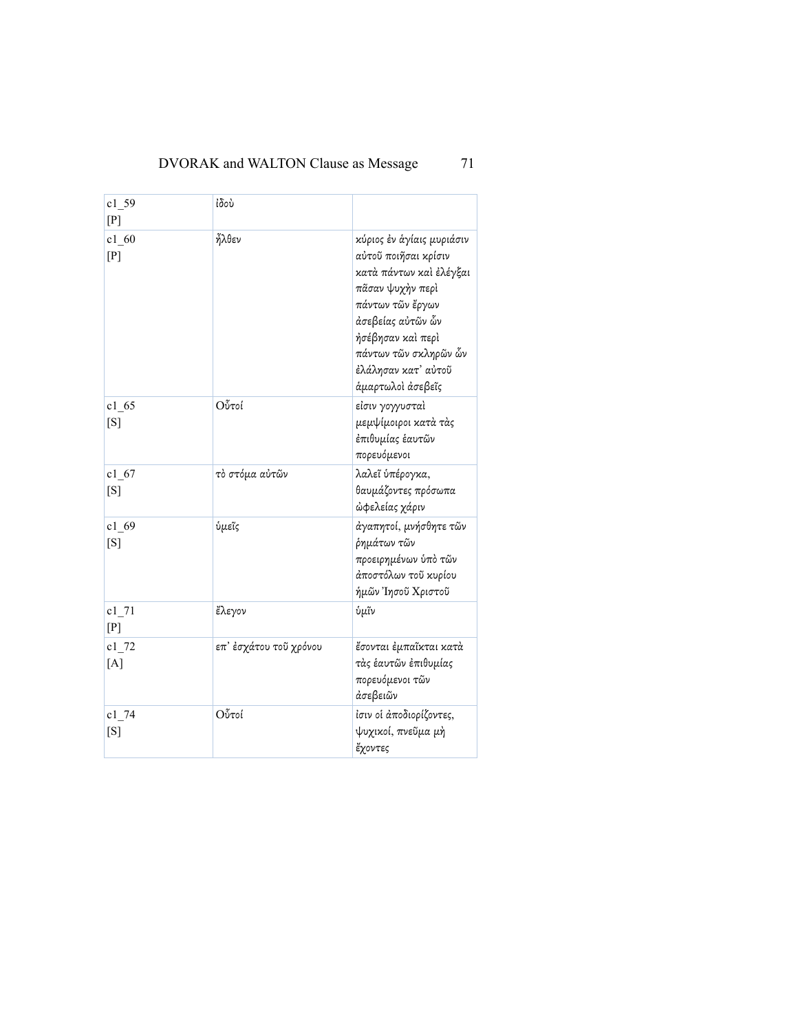| $c1$ 59<br>[P]    | άδου                   |                                                                                                                                                                                                                                     |
|-------------------|------------------------|-------------------------------------------------------------------------------------------------------------------------------------------------------------------------------------------------------------------------------------|
| $c1_{.60}$<br>[P] | ἦλθεν                  | κύριος έν άγίαις μυριάσιν<br>αύτοῦ ποιῆσαι κρίσιν<br>κατά πάντων καὶ ἐλέγξαι<br>πάσαν ψυχήν περί<br>πάντων τῶν ἔργων<br>άσεβείας αὐτῶν ὧν<br>ήσέβησαν καὶ περὶ<br>πάντων τῶν σκληρῶν ὧν<br>έλάλησαν κατ' αύτοῦ<br>άμαρτωλοί άσεβεῖς |
| c1 65<br>[S]      | Οὖτοί                  | είσιν γογγυσταὶ<br>μεμψίμοιροι κατὰ τὰς<br>ἐπιθυμίας ἑαυτῶν<br>πορευόμενοι                                                                                                                                                          |
| $c1$ 67<br>[S]    | τὸ στόμα αὐτῶν         | λαλεῖ ὑπέρογκα,<br>θαυμάζοντες πρόσωπα<br>ώφελείας χάριν                                                                                                                                                                            |
| c1 69<br>[S]      | ὑμεῖς                  | άγαπητοί, μνήσθητε τῶν<br>ρημάτων τῶν<br>προειρημένων ὑπὸ τῶν<br>άποστόλων τοῦ κυρίου<br>ήμῶν Ἰησοῦ Χριστοῦ                                                                                                                         |
| c1 71<br>[P]      | ἔλεγον                 | ὑμῖν                                                                                                                                                                                                                                |
| $c1_{72}$<br>[A]  | επ' ἐσχάτου τοῦ χρόνου | ἔσονται ἐμπαῖκται κατὰ<br>τὰς ἑαυτῶν ἐπιθυμίας<br>πορευόμενοι τῶν<br>άσεβειῶν                                                                                                                                                       |
| $c1_{74}$<br>[S]  | Οὖτοί                  | ίσιν οί άποδιορίζοντες,<br>ψυχικοί, πνεῦμα μή<br>ἔχοντες                                                                                                                                                                            |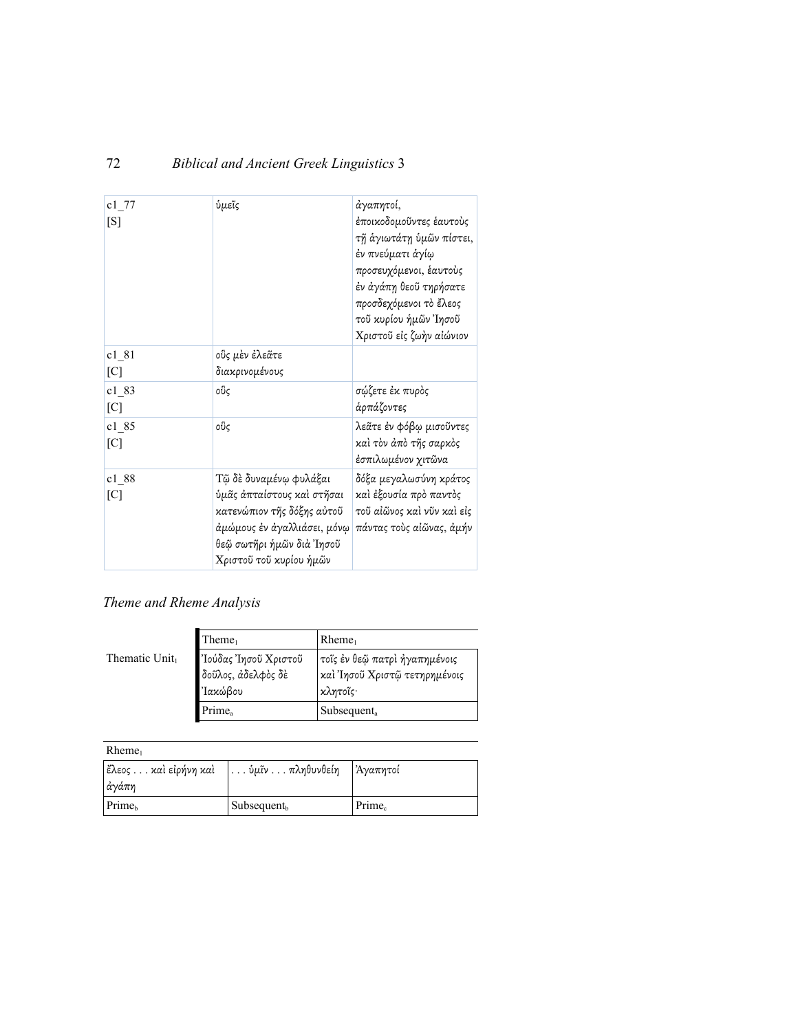| $c1$ 77<br>[S]             | ύμεῖς                                                                                                                                                                      | άγαπητοί,<br>ἐποικοδομοῦντες ἑαυτοὺς<br>τῆ ἁγιωτάτη ὑμῶν πίστει,<br>ἐν πνεύματι ἁγίῳ<br>προσευχόμενοι, ἑαυτοὺς<br>ἐν ἀγάπη θεοῦ τηρήσατε<br>προσδεχόμενοι τὸ ἔλεος<br>τοῦ κυρίου ἡμῶν Ἰησοῦ<br>Χριστοῦ εἰς ζωὴν αἰώνιον |
|----------------------------|----------------------------------------------------------------------------------------------------------------------------------------------------------------------------|-------------------------------------------------------------------------------------------------------------------------------------------------------------------------------------------------------------------------|
| c1 81<br>[C]               | οὓς μὲν ἐλεᾶτε<br>διακρινομένους                                                                                                                                           |                                                                                                                                                                                                                         |
| c1 83<br>$\lceil C \rceil$ | οὓς                                                                                                                                                                        | σώζετε έκ πυρὸς<br>ἁρπάζοντες                                                                                                                                                                                           |
| c1 85<br>[C]               | οὓς                                                                                                                                                                        | λεᾶτε ἐν φόβῳ μισοῦντες<br>καὶ τὸν ἀπὸ τῆς σαρκὸς<br>έσπιλωμένον χιτῶνα                                                                                                                                                 |
| c1 88<br>$\lceil C \rceil$ | Τῷ δὲ δυναμένῳ φυλάξαι<br>ύμᾶς άπταίστους και στῆσαι<br>κατενώπιον τῆς δόξης αὐτοῦ<br>ἀμώμους ἐν ἀγαλλιάσει, μόνῳ∣<br>θεῷ σωτῆρι ἡμῶν διὰ Ἰησοῦ<br>Χριστοῦ τοῦ κυρίου ἡμῶν | δόξα μεγαλωσύνη κράτος<br>καὶ ἐξουσία πρὸ παντὸς<br>τοῦ αἰῶνος καὶ νῦν καὶ εἰς<br>πάντας τοὺς αἰῶνας, ἀμήν                                                                                                              |

# *Theme and Rheme Analysis*

Thematic Unit<sub>1</sub>

| Thene <sub>1</sub>                                    | $R$ heme <sub>1</sub>                                                      |
|-------------------------------------------------------|----------------------------------------------------------------------------|
| Ίούδας Ίησοῦ Χριστοῦ<br>δοῦλος, ἀδελφὸς δὲ<br>Ίακώβου | τοῖς ἐν θεῷ πατρὶ ἠγαπημένοις<br>καὶ Ἰησοῦ Χριστῷ τετηρημένοις<br>κλητοῖς· |
| Prime <sub>a</sub>                                    | Subsequent <sub>a</sub>                                                    |

| $R$ heme <sub>1</sub> |                                                 |                    |
|-----------------------|-------------------------------------------------|--------------------|
| ἔλεος καὶ εἰρήνη καὶ  | $\ldots$ ύμῖν $\ldots \pi \lambda \eta$ θυνθείη | Άγαπητοί           |
| ἀγάπη                 |                                                 |                    |
| Prime <sub>b</sub>    | $\mathsf{Subsequent}_{\mathsf{b}}$              | Prime <sub>c</sub> |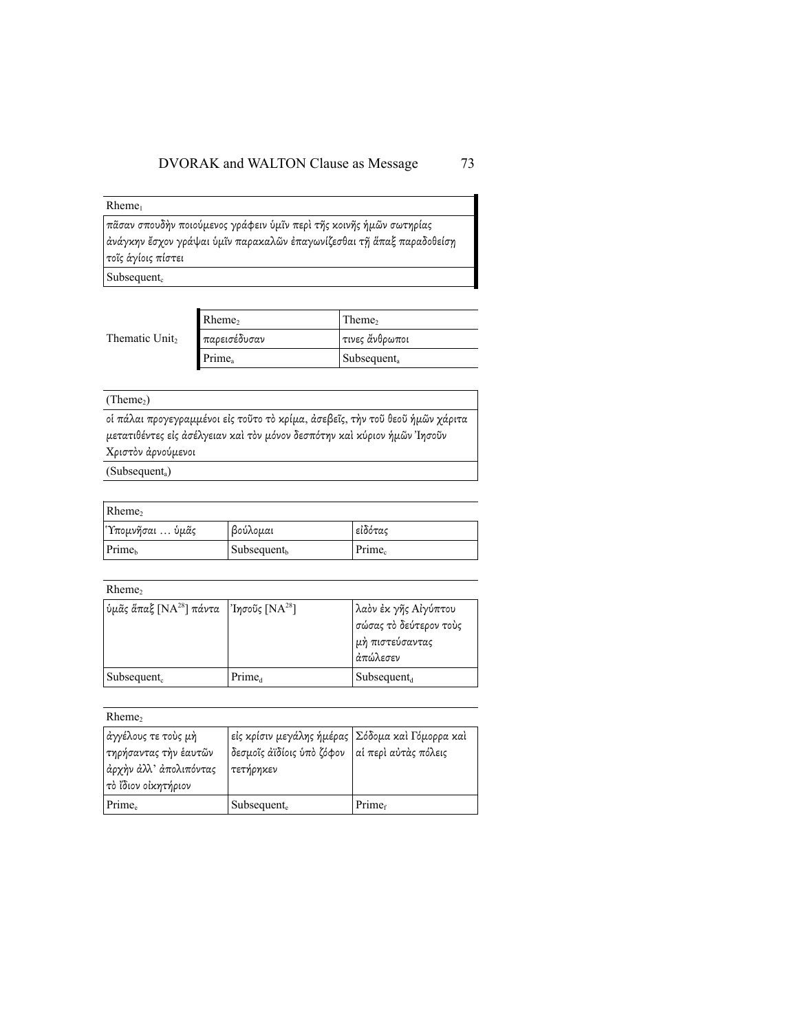#### $Rheme<sub>1</sub>$

πᾶσαν σπουδὴν ποιούµενος γράφειν ὑµῖν περὶ τῆς κοινῆς ἡµῶν σωτηρίας ἀνάγκην ἔσχον γράψαι ὑµῖν παρακαλῶν ἐπαγωνίζεσθαι τῇ ἅπαξ παραδοθείσῃ τοῖς ἁγίοις πίστει

 $Subsequent<sub>c</sub>$ 

|                | Rheme,             | Theme,                  |
|----------------|--------------------|-------------------------|
| Thematic Unit, | παρεισέδυσαν       | τινες ἄνθρωποι          |
|                | Prime <sub>a</sub> | Subsequent <sub>a</sub> |
|                |                    |                         |

#### $(Thene<sub>2</sub>)$

οἱ πάλαι προγεγραµµένοι εἰς τοῦτο τὸ κρίµα, ἀσεβεῖς, τὴν τοῦ θεοῦ ἡµῶν χάριτα µετατιθέντες εἰς ἀσέλγειαν καὶ τὸν µόνον δεσπότην καὶ κύριον ἡµῶν Ἰησοῦν Χριστὸν ἀρνούµενοι

(Subsequenta)

| Rheme,             |                         |                    |
|--------------------|-------------------------|--------------------|
| Τπομνῆσαι  ὑμᾶς    | βούλομαι                | εἰδότας            |
| Prime <sub>b</sub> | Subsequent <sub>b</sub> | Prime <sub>c</sub> |

#### Rheme<sub>2</sub>

| υμας άπαξ [NA <sup>28</sup> ] πάντα ['Ίησοῦς [NA <sup>28</sup> ] |                    | λαὸν ἐκ γῆς Αἰγύπτου<br>σώσας τὸ δεύτερον τοὺς<br>  μὴ πιστεύσαντας<br>  ἀπώλεσεν |
|------------------------------------------------------------------|--------------------|-----------------------------------------------------------------------------------|
| $\mathsf{Subsequent}_{\mathsf{c}}$                               | Prime <sub>d</sub> | Subsequent <sub>d</sub>                                                           |

#### Rheme<sub>2</sub>

| ἀγγέλους τε τοὺς μὴ<br>  τηρήσαντας τὴν ἑαυτῶν<br> ἀρχὴν ἀλλ' ἀπολιπόντας<br>  τὸ ἴδιον οἰκητήριον | εἰς κρίσιν μεγάλης ἡμέρας   Σόδομα καὶ Γόμορρα καὶ<br> δεσμοῖς ἀϊδίοις ὑπὸ ζόφον   αἱ περὶ αὐτὰς πόλεις<br>  τετήρηκεν |                    |
|----------------------------------------------------------------------------------------------------|------------------------------------------------------------------------------------------------------------------------|--------------------|
| Prime <sub>e</sub>                                                                                 | Subsequent <sub>e</sub>                                                                                                | Prime <sub>f</sub> |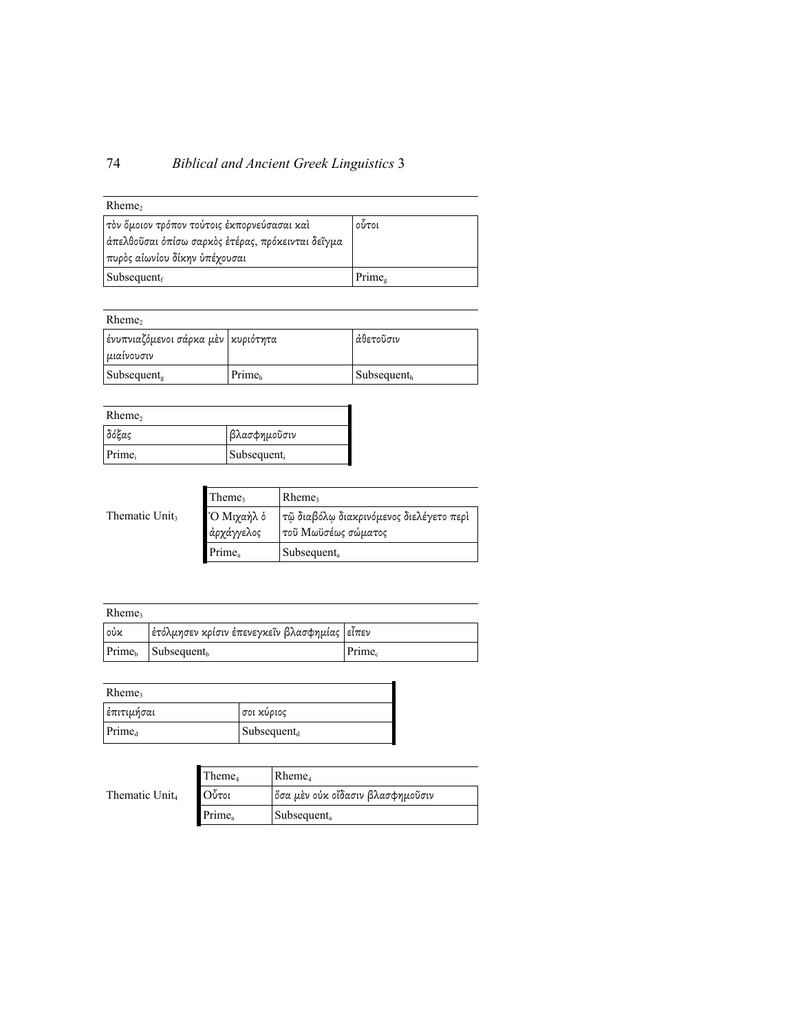# 74 *Biblical and Ancient Greek Linguistics* 3

| $R$ heme <sub>2</sub>                             |                    |
|---------------------------------------------------|--------------------|
| τὸν ὅμοιον τρόπον τούτοις ἐκπορνεύσασαι καὶ       | οὗτοι              |
| άπελθοῦσαι ὀπίσω σαρκὸς ἑτέρας, πρόκεινται δεῖγμα |                    |
| πυρὸς αἰωνίου δίκην ὑπέχουσαι                     |                    |
| $\vert$ Subsequent <sub>f</sub>                   | Prime <sub>s</sub> |

| $R$ heme <sub>2</sub>                                |                    |                                    |
|------------------------------------------------------|--------------------|------------------------------------|
| ἐνυπνιαζόμενοι σάρκα μὲν   κυριότητα<br>  μιαίνουσιν |                    | άθετοῦσιν                          |
| $\vert$ Subsequent.                                  | Prime <sub>h</sub> | $\mathsf{Subsequent}_{\mathrm{h}}$ |

| Rheme, |                         |
|--------|-------------------------|
| δόξας  | βλασφημοῦσιν            |
| Prime  | Subsequent <sub>i</sub> |

|                            | Theme,             | $R$ heme <sub>3</sub>                   |
|----------------------------|--------------------|-----------------------------------------|
| Thematic Unit <sub>3</sub> | Ό Μιχαὴλ ὁ         | τῷ διαβόλῳ διακρινόμενος διελέγετο περὶ |
|                            | άρχάγγελος         | τοῦ Μωϋσέως σώματος                     |
|                            | Prime <sub>a</sub> | Subsequent <sub>a</sub>                 |

| $R$ heme <sub>3</sub> |                                               |           |
|-----------------------|-----------------------------------------------|-----------|
| ∣οὐκ                  | ἐτόλμησεν κρίσιν ἐπενεγκεῖν βλασφημίας  εἶπεν |           |
|                       | $Primeb$ Subsequent <sub>h</sub>              | $Prime_c$ |

| Rheme,             |                                 |
|--------------------|---------------------------------|
| ∣ἐπιτιμήσαι        | σοι κύριος                      |
| Prime <sub>d</sub> | $\vert$ Subsequent <sub>d</sub> |

|                            | Theme <sub>4</sub> | $R$ heme <sub>4</sub>            |
|----------------------------|--------------------|----------------------------------|
| Thematic Unit <sub>4</sub> | Οὖτοι              | όσα μὲν οὐκ οἴδασιν βλασφημοῦσιν |
|                            | Prime <sub>a</sub> | Subsequent.                      |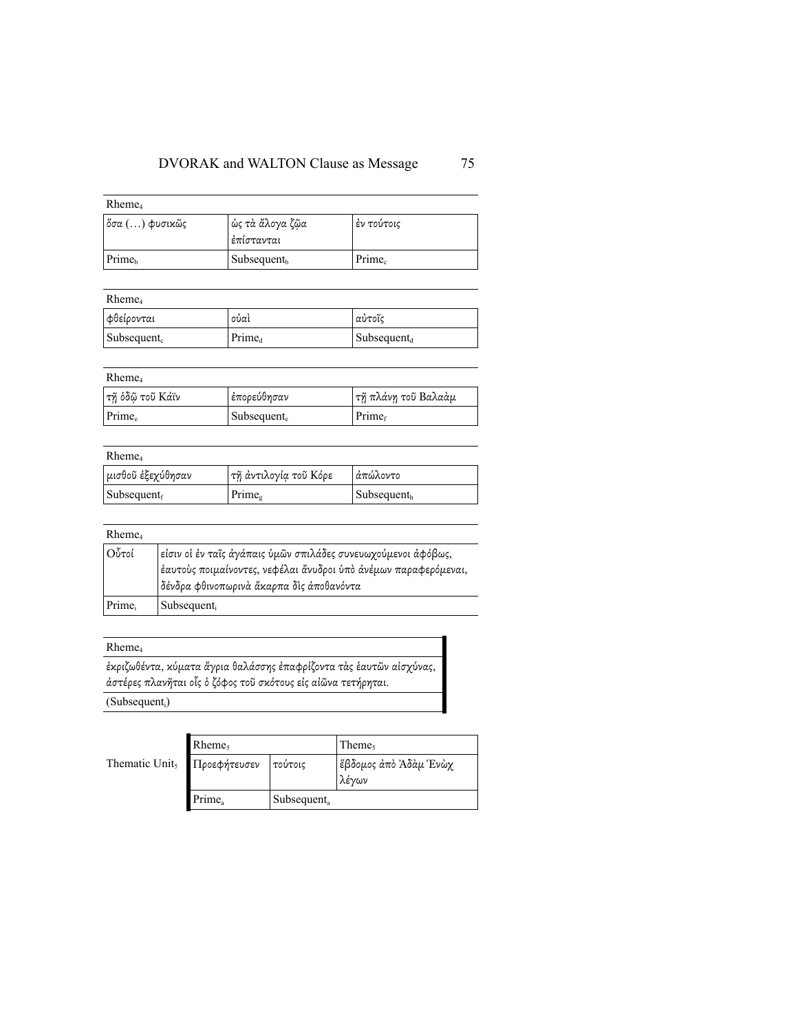| $R$ heme <sub>4</sub> |                                 |                    |  |  |
|-----------------------|---------------------------------|--------------------|--|--|
| ὄσα () φυσικῶς        | ὡς τὰ ἄλογα ζῷα<br>ι ἐπίστανται | ι έν τούτοις       |  |  |
| Prime <sub>b</sub>    | Subsequent <sub>b</sub>         | Prime <sub>c</sub> |  |  |

| $R$ heme <sub>4</sub>           |                    |                         |  |
|---------------------------------|--------------------|-------------------------|--|
| φθείρονται                      | oủaì               | αὐτοῖς                  |  |
| $\vert$ Subsequent <sub>c</sub> | Prime <sub>d</sub> | $\text{Subsequent}_{d}$ |  |

## Rheme4

| ----------      |                           |                     |
|-----------------|---------------------------|---------------------|
| τῆ ὁδῷ τοῦ Κάϊν | έπορεύθησαν               | τῆ πλάνη τοῦ Βαλαὰμ |
| $Prime_e$       | $\mathbf{Subsequent}_{e}$ | Prime <sub>f</sub>  |

## Rheme4

| -----------                     |                       |                                   |
|---------------------------------|-----------------------|-----------------------------------|
| μισθοῦ ἐξεχύθησαν               | τῆ ἀντιλογία τοῦ Κόρε | Ιάπώλοντο                         |
| $\vert$ Subsequent <sub>f</sub> | Prime <sub>s</sub>    | $\mathbf$ Subsequent <sub>h</sub> |

#### Rheme4

| Οὖτοί | είσιν οί έν ταΐς άγάπαις ύμῶν σπιλάδες συνευωχούμενοι άφόβως,<br> ἑαυτοὺς ποιμαίνοντες, νεφέλαι ἄνυδροι ὑπὸ ἀνέμων παραφερόμεναι,<br>  δένδρα φθινοπωρινὰ ἄκαρπα δὶς ἀποθανόντα |
|-------|---------------------------------------------------------------------------------------------------------------------------------------------------------------------------------|
| Prime | Subsequent                                                                                                                                                                      |

### Rheme4

ἐκριζωθέντα, κύµατα ἄγρια θαλάσσης ἐπαφρίζοντα τὰς ἑαυτῶν αἰσχύνας, ἀστέρες πλανῆται οἷς ὁ ζόφος τοῦ σκότους εἰς αἰῶνα τετήρηται.

(Subsequent<sub>i</sub>)

|                                         | $R$ heme           |                         | Theme,                         |
|-----------------------------------------|--------------------|-------------------------|--------------------------------|
| Thematic Unit <sub>5</sub> Προεφήτευσεν |                    | Γτούτοις                | ἔβδομος ἀπὸ Ἀδὰμ Ἑνὼχ<br>λένων |
|                                         | Prime <sub>a</sub> | Subsequent <sub>a</sub> |                                |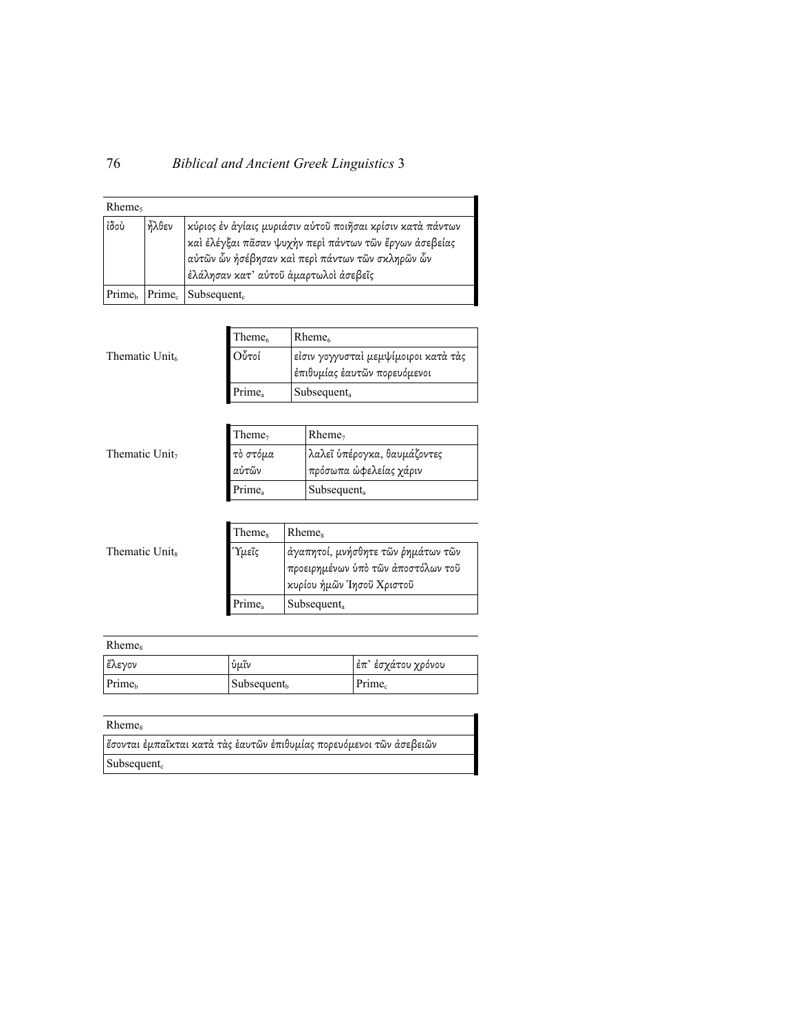| $R$ heme |       |                                                                                                                                                                                                                   |
|----------|-------|-------------------------------------------------------------------------------------------------------------------------------------------------------------------------------------------------------------------|
| ίδου     | ήλθεν | κύριος ἐν ἁγίαις μυριάσιν αὐτοῦ ποιῆσαι κρίσιν κατὰ πάντων<br>καὶ ἐλέγξαι πᾶσαν ψυχὴν περὶ πάντων τῶν ἔργων ἀσεβείας<br>αὐτῶν ὧν ἠσέβησαν καὶ περὶ πάντων τῶν σκληρῶν ὧν<br>έλάλησαν κατ' αύτοῦ άμαρτωλοὶ άσεβεῖς |
|          |       | $Primeb$ Prime <sub>c</sub> Subsequent <sub>c</sub>                                                                                                                                                               |

|                            | Theme <sub>6</sub> | Rheme <sub>6</sub>                                                   |
|----------------------------|--------------------|----------------------------------------------------------------------|
| Thematic Unit <sub>6</sub> | Οὖτοί              | εἰσιν γογγυσταὶ μεμψίμοιροι κατὰ τὰς<br>έπιθυμίας έαυτῶν πορευόμενοι |
|                            | Prime <sub>a</sub> | Subsequent.                                                          |

|                            | Theme <sub>7</sub> | $R$ heme <sub>7</sub>                                              |
|----------------------------|--------------------|--------------------------------------------------------------------|
| Thematic Unit <sub>7</sub> | τὸ στόμα<br>αὐτῶν  | λαλεῖ ὑπέρογκα, θαυμάζοντες<br><sup> </sup> πρόσωπα ὦφελείας χάριν |
|                            | Prime <sub>a</sub> | Subsequent <sub>a</sub>                                            |

|                            | Theme <sub>s</sub> | <b>Rheme</b> <sub>s</sub>                                                                             |
|----------------------------|--------------------|-------------------------------------------------------------------------------------------------------|
| Thematic Unit <sub>s</sub> | Ύμεῖς              | άγαπητοί, μνήσθητε τῶν ρημάτων τῶν<br>προειρημένων ύπὸ τῶν ἀποστόλων τοῦ<br>κυρίου ήμῶν Ίησοῦ Χριστοῦ |
|                            | Prime <sub>a</sub> | Subsequent <sub>a</sub>                                                                               |

| Rheme <sub>s</sub> |                         |                    |
|--------------------|-------------------------|--------------------|
| έλεγον             | ύμῖν                    | έπ' έσχάτου χρόνου |
| <b>Prime</b>       | Subsequent <sub>b</sub> | $Prime_c$          |

| <b>Rheme</b> <sub>s</sub>                                            |  |
|----------------------------------------------------------------------|--|
| ἔσονται ἐμπαῖκται κατὰ τὰς ἑαυτῶν ἐπιθυμίας πορευόμενοι τῶν ἀσεβειῶν |  |
| $\vert$ Subsequent.                                                  |  |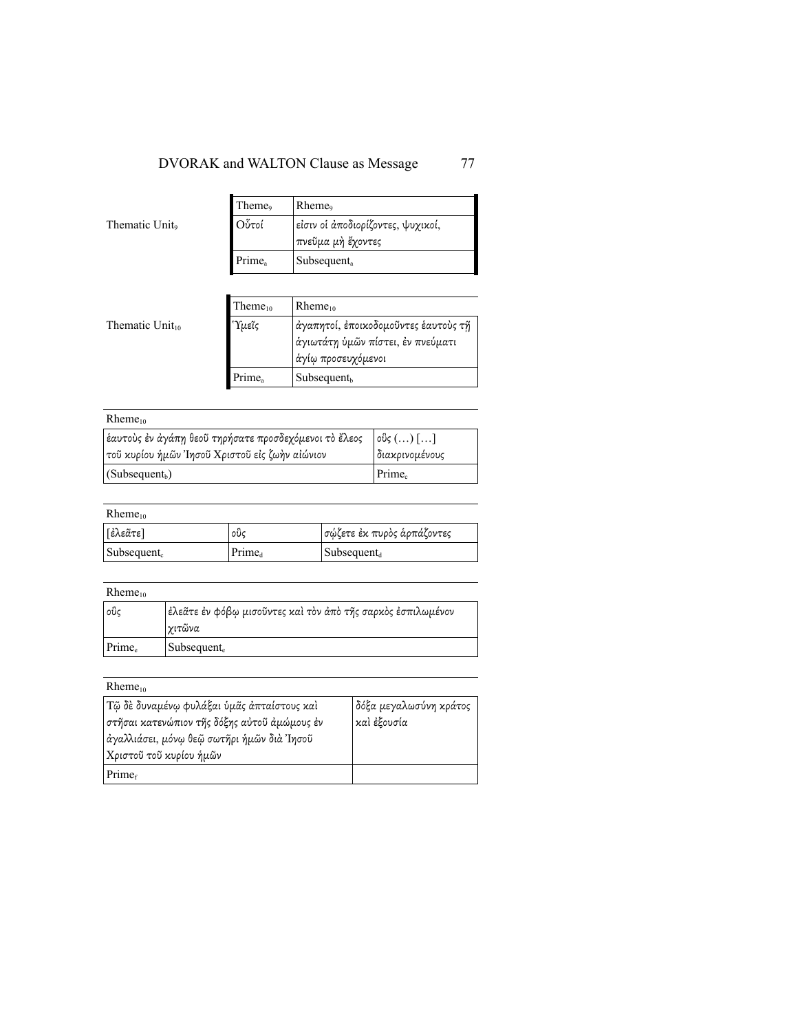|                | Theme <sub>9</sub> | Rheme <sub>9</sub>                                     |
|----------------|--------------------|--------------------------------------------------------|
| Thematic Unit. | Οὖτοί              | είσιν οἱ ἀποδιορίζοντες, ψυχικοί,<br>πνεῦμα μὴ ἔχοντες |
|                | Prime <sub>a</sub> | $Subsequent_a$                                         |

|                      | Them $e_{10}$      | $Rheme_{10}$                                                                                    |
|----------------------|--------------------|-------------------------------------------------------------------------------------------------|
| Thematic $Unit_{10}$ | Ύμεῖς              | άγαπητοί, ἐποικοδομοῦντες ἑαυτοὺς τῆ<br>άγιωτάτη ύμῶν πίστει, ἐν πνεύματι<br>άγίω προσευχόμενοι |
|                      | Prime <sub>a</sub> | Subsequent <sub>b</sub>                                                                         |

| $R$ heme <sub>10</sub>                                |                                                                                                  |
|-------------------------------------------------------|--------------------------------------------------------------------------------------------------|
| ἑαυτοὺς ἐν ἀγάπη θεοῦ τηρήσατε προσδεχόμενοι τὸ ἔλεος | $\left[\right. \circ \right. \mathfrak{v}_{\mathsf{S}}\left( \ldots\right) \left[ \ldots\right]$ |
| τοῦ κυρίου ἡμῶν Ἰησοῦ Χριστοῦ εἰς ζωὴν αἰώνιον        | Ιδιακρινομένους                                                                                  |
| $ $ (Subsequent <sub>b</sub> )                        | $Prime_c$                                                                                        |

## $Rheme_{10}$

| [ἐλεᾶτε]                | ໐ບິເ               | σώζετε έκ πυρὸς ἁρπάζοντες |
|-------------------------|--------------------|----------------------------|
| Subsequent <sub>c</sub> | Prime <sub>d</sub> | $\mathbf{Subsequent}_{d}$  |

| $R$ heme <sub>10</sub> |                                                             |
|------------------------|-------------------------------------------------------------|
| ່⊘ຽເ                   | έλεᾶτε ἐν φόβῳ μισοῦντες καὶ τὸν ἀπὸ τῆς σαρκὸς ἐσπιλωμένον |
|                        | γιτῶνα                                                      |
| $Prime_e$              | Subsequent <sub>e</sub>                                     |

## $Rheme_{10}$

| Τῷ δὲ δυναμένῳ φυλάξαι ὑμᾶς ἀπταίστους καὶ   | δόξα μεγαλωσύνη κράτος |
|----------------------------------------------|------------------------|
| στῆσαι κατενώπιον τῆς δόξης αὐτοῦ ἀμώμους ἐν | καὶ ἐξουσία            |
| ἀγαλλιάσει, μόνω θεῷ σωτῆρι ἡμῶν διὰ Ἰησοῦ   |                        |
| Χριστοῦ τοῦ κυρίου ἡμῶν                      |                        |
| Prime <sub>f</sub>                           |                        |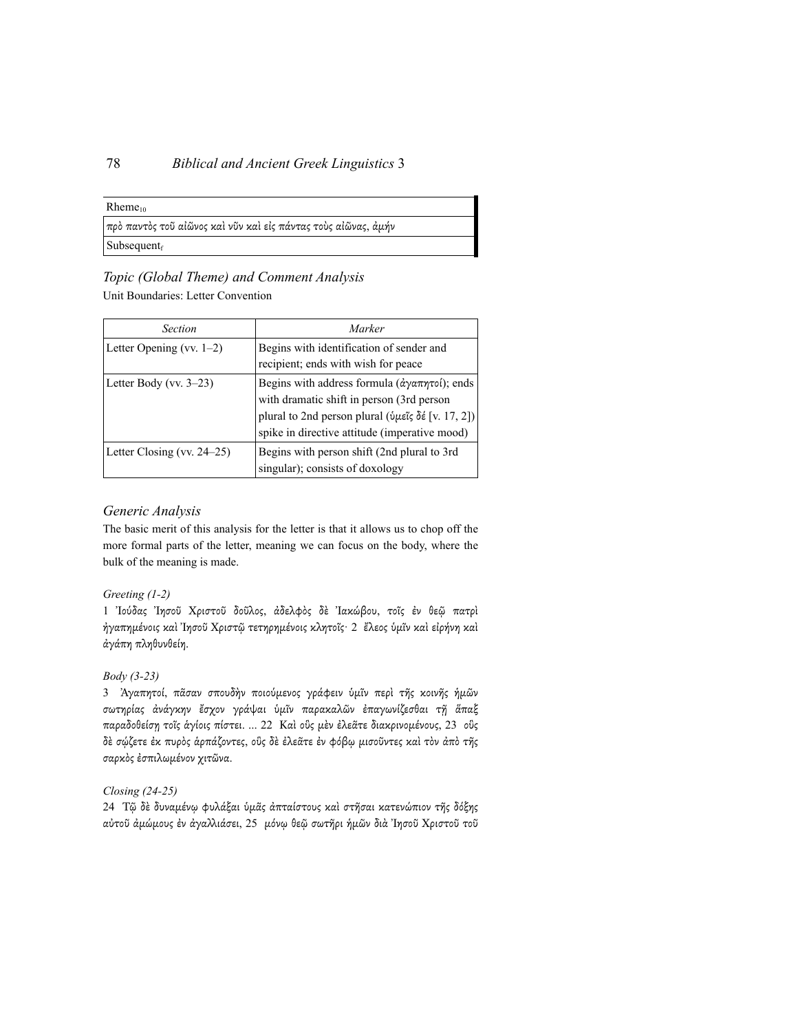#### $Rheme_{10}$

| πρὸ παντὸς τοῦ αἰῶνος καὶ νῦν καὶ εἰς πάντας τοὺς αἰῶνας, ἀμήν |  |  |
|----------------------------------------------------------------|--|--|
| Subsequent $_f$                                                |  |  |

## *Topic (Global Theme) and Comment Analysis*

Unit Boundaries: Letter Convention

| <b>Section</b>                | Marker                                                                                                                                                                                                                                      |
|-------------------------------|---------------------------------------------------------------------------------------------------------------------------------------------------------------------------------------------------------------------------------------------|
| Letter Opening (vv. $1-2$ )   | Begins with identification of sender and<br>recipient; ends with wish for peace                                                                                                                                                             |
| Letter Body (vv. $3-23$ )     | Begins with address formula $(\hat{\alpha}\gamma\alpha\pi\eta\tau o\mathfrak{l})$ ; ends<br>with dramatic shift in person (3rd person<br>plural to 2nd person plural (ύμεῖς δέ [v. 17, 2])<br>spike in directive attitude (imperative mood) |
| Letter Closing (vv. $24-25$ ) | Begins with person shift (2nd plural to 3rd<br>singular); consists of doxology                                                                                                                                                              |

## *Generic Analysis*

The basic merit of this analysis for the letter is that it allows us to chop off the more formal parts of the letter, meaning we can focus on the body, where the bulk of the meaning is made.

## *Greeting (1-2)*

1 Ἰούδας Ἰησοῦ Χριστοῦ δοῦλος, ἀδελφὸς δὲ Ἰακώβου, τοῖς ἐν θεῷ πατρὶ ἠγαπηµένοις καὶ Ἰησοῦ Χριστῷ τετηρηµένοις κλητοῖς· 2 ἔλεος ὑµῖν καὶ εἰρήνη καὶ ἀγάπη πληθυνθείη.

## *Body (3-23)*

3 Ἀγαπητοί, πᾶσαν σπουδὴν ποιούµενος γράφειν ὑµῖν περὶ τῆς κοινῆς ἡµῶν σωτηρίας ἀνάγκην ἔσχον γράψαι ὑµῖν παρακαλῶν ἐπαγωνίζεσθαι τῇ ἅπαξ παραδοθείσῃ τοῖς ἁγίοις πίστει. ... 22 Καὶ οὓς µὲν ἐλεᾶτε διακρινοµένους, 23 οὓς δὲ σῴζετε ἐκ πυρὸς ἁρπάζοντες, οὓς δὲ ἐλεᾶτε ἐν φόβῳ µισοῦντες καὶ τὸν ἀπὸ τῆς σαρκὸς ἐσπιλωµένον χιτῶνα.

### *Closing (24-25)*

24 Τῷ δὲ δυναµένῳ φυλάξαι ὑµᾶς ἀπταίστους καὶ στῆσαι κατενώπιον τῆς δόξης αὐτοῦ ἀμώμους ἐν ἀγαλλιάσει, 25 μόνῳ θεῷ σωτῆρι ἡμῶν διὰ Ἰησοῦ Χριστοῦ τοῦ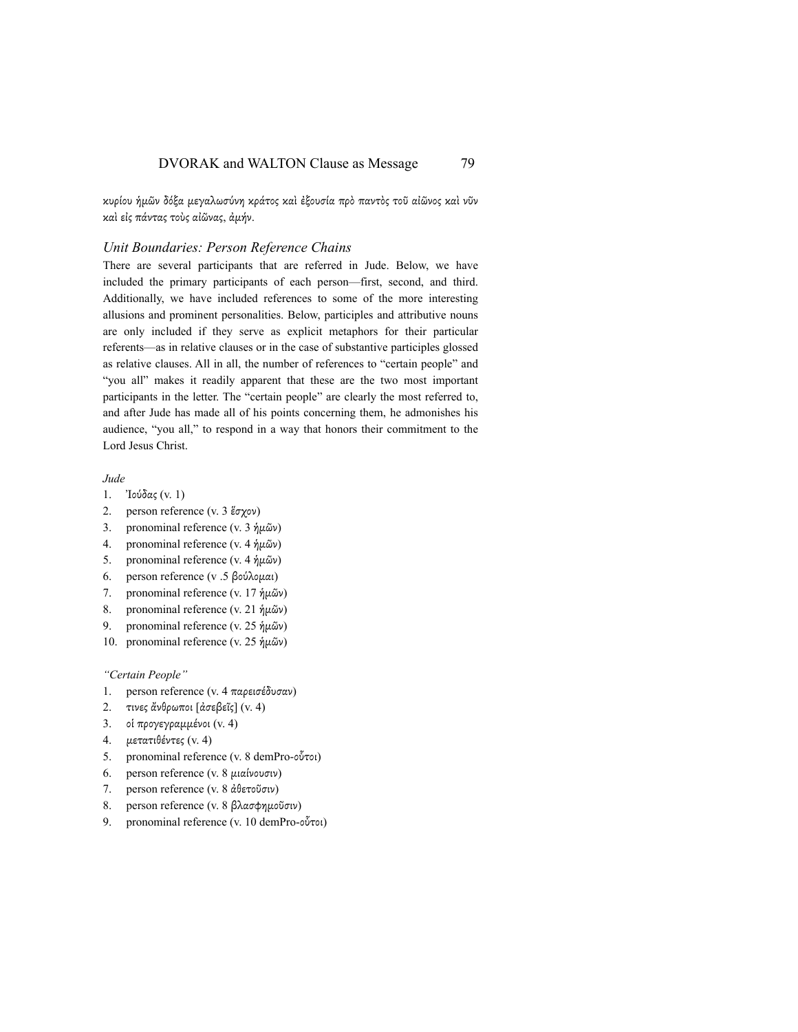κυρίου ἡµῶν δόξα µεγαλωσύνη κράτος καὶ ἐξουσία πρὸ παντὸς τοῦ αἰῶνος καὶ νῦν καὶ εἰς πάντας τοὺς αἰῶνας, ἀµήν.

#### *Unit Boundaries: Person Reference Chains*

There are several participants that are referred in Jude. Below, we have included the primary participants of each person—first, second, and third. Additionally, we have included references to some of the more interesting allusions and prominent personalities. Below, participles and attributive nouns are only included if they serve as explicit metaphors for their particular referents—as in relative clauses or in the case of substantive participles glossed as relative clauses. All in all, the number of references to "certain people" and "you all" makes it readily apparent that these are the two most important participants in the letter. The "certain people" are clearly the most referred to, and after Jude has made all of his points concerning them, he admonishes his audience, "you all," to respond in a way that honors their commitment to the Lord Jesus Christ.

*Jude*

- 1. Ἰούδας (v. 1)
- 2. person reference (v. 3 ἕσχον)
- 3. pronominal reference (v. 3 ἡµῶν)
- 4. pronominal reference (v. 4 ἡµῶν)
- 5. pronominal reference (v. 4 ἡµῶν)
- 6. person reference (v .5 βούλοµαι)
- 7. pronominal reference (v. 17 ἡµῶν)
- 8. pronominal reference (v. 21 ἡµῶν)
- 9. pronominal reference (v. 25 ἡµῶν)
- 10. pronominal reference (v. 25 ἡµῶν)

*"Certain People"*

- 1. person reference (v. 4 παρεισέδυσαν)
- 2. τινες ἄνθρωποι [ἀσεβεῖς] (v. 4)
- 3. οἱ προγεγραµµένοι (v. 4)
- 4. µετατιθέντες (v. 4)
- 5. pronominal reference (v. 8 demPro-οὗτοι)
- 6. person reference (v. 8 µιαίνουσιν)
- 7. person reference (v. 8 ἀθετοῦσιν)
- 8. person reference (v. 8 βλασφηµοῦσιν)
- 9. pronominal reference (v. 10 demPro-οὗτοι)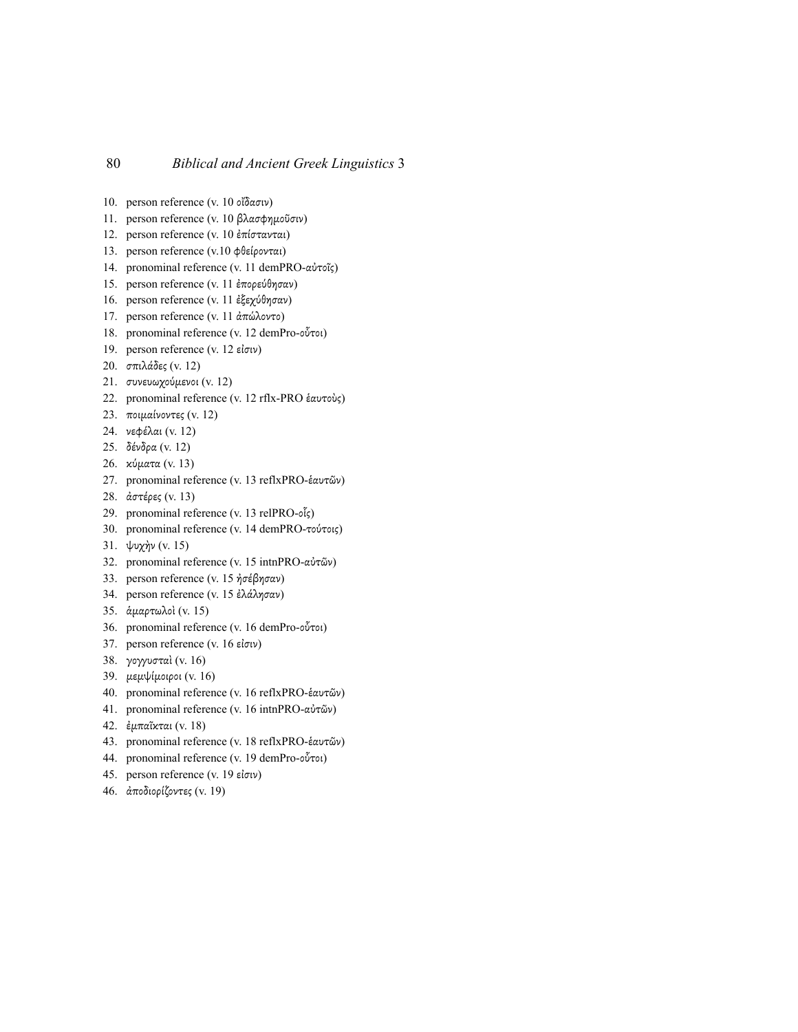- 10. person reference (v. 10 οἴδασιν)
- 11. person reference (v. 10 βλασφηµοῦσιν)
- 12. person reference (v. 10 ἐπίστανται)
- 13. person reference (v.10 φθείρονται)
- 14. pronominal reference (v. 11 demPRO-αὐτοῖς)
- 15. person reference (v. 11 ἐπορεύθησαν)
- 16. person reference (v. 11 ἐξεχύθησαν)
- 17. person reference (v. 11 ἀπώλοντο)
- 18. pronominal reference (v. 12 demPro-οὗτοι)
- 19. person reference (v. 12 εἰσιν)
- 20. σπιλάδες (v. 12)
- 21. συνευωχούµενοι (v. 12)
- 22. pronominal reference (v. 12 rflx-PRO ἑαυτοὺς)
- 23. ποιµαίνοντες (v. 12)
- 24. νεφέλαι (v. 12)
- 25. δένδρα (v. 12)
- 26. κύµατα (v. 13)
- 27. pronominal reference (v. 13 reflxPRO-ἑαυτῶν)
- 28. ἀστέρες (v. 13)
- 29. pronominal reference (v. 13 relPRO-οἷς)
- 30. pronominal reference (v. 14 demPRO-τούτοις)
- 31. ψυχὴν (v. 15)
- 32. pronominal reference (v. 15 intnPRO-αὐτῶν)
- 33. person reference (v. 15 ἠσέβησαν)
- 34. person reference (v. 15 ἐλάλησαν)
- 35. ἁµαρτωλοὶ (v. 15)
- 36. pronominal reference (v. 16 demPro-οὗτοι)
- 37. person reference (v. 16 εἰσιν)
- 38. γογγυσταί (v. 16)
- 39. µεµψίµοιροι (v. 16)
- 40. pronominal reference (v. 16 reflxPRO-ἑαυτῶν)
- 41. pronominal reference (v. 16 intnPRO-αὐτῶν)
- 42. ἐµπαῖκται (v. 18)
- 43. pronominal reference (v. 18 reflxPRO-ἑαυτῶν)
- 44. pronominal reference (v. 19 demPro-οὗτοι)
- 45. person reference (v. 19 εἰσιν)
- 46. ἀποδιορίζοντες (v. 19)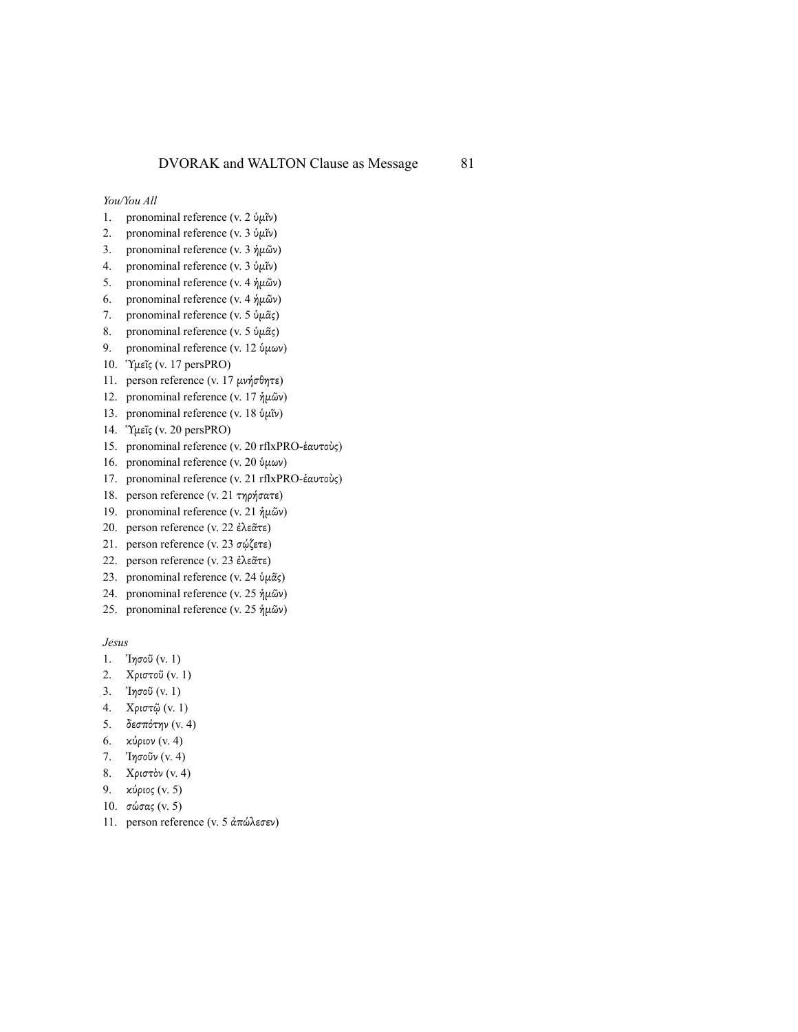*You/You All*

- 1. pronominal reference (v. 2 ὑµῖν)
- 2. pronominal reference (v. 3 ὑµῖν)
- 3. pronominal reference (v. 3 ἡµῶν)
- 4. pronominal reference (v. 3 ὑµῖν)
- 5. pronominal reference (v. 4 ἡµῶν)
- 6. pronominal reference (v. 4 ἡµῶν)
- 7. pronominal reference (v. 5  $\psi \mu \tilde{\alpha}$ ς)
- 8. pronominal reference (v. 5 ὑ $\mu\tilde{\alpha}$ ς)
- 9. pronominal reference (v. 12 ὑμων)
- 10. Ὑµεῖς (v. 17 persPRO)
- 11. person reference (v. 17 µνήσθητε)
- 12. pronominal reference (v. 17 ἡµῶν)
- 13. pronominal reference (v. 18 ὑµῖν)
- 14. Ὑµεῖς (v. 20 persPRO)
- 15. pronominal reference (v. 20 rflxPRO-ἑαυτοὺς)
- 16. pronominal reference (v. 20 ὑμων)
- 17. pronominal reference (v. 21 rflxPRO-ἑαυτοὺς)
- 18. person reference (v. 21 τηρήσατε)
- 19. pronominal reference (v. 21 ἡµῶν)
- 20. person reference (v. 22 ἐλεᾶτε)
- 21. person reference (v. 23 σῴζετε)
- 22. person reference (v. 23 ἐλεᾶτε)
- 23. pronominal reference (v. 24 ὑ $\mu\tilde{\alpha}$ ς)
- 24. pronominal reference (v. 25 ἡµῶν)
- 25. pronominal reference (v. 25 ἡµῶν)

*Jesus*

- 1. Ἰησοῦ (v. 1)
- 2. Χριστοῦ (v. 1)
- 3. Ἰησοῦ (v. 1)
- 4. Χριστῷ (v. 1)
- 5. δεσπότην (v. 4)
- 6. κύριον (v. 4)
- 7. Ἰησοῦν (v. 4)
- 8. Χριστὸν (v. 4)
- 9. κύριος (v. 5)
- 10. σώσας (v. 5)
- 11. person reference (v. 5 ἀπώλεσεν)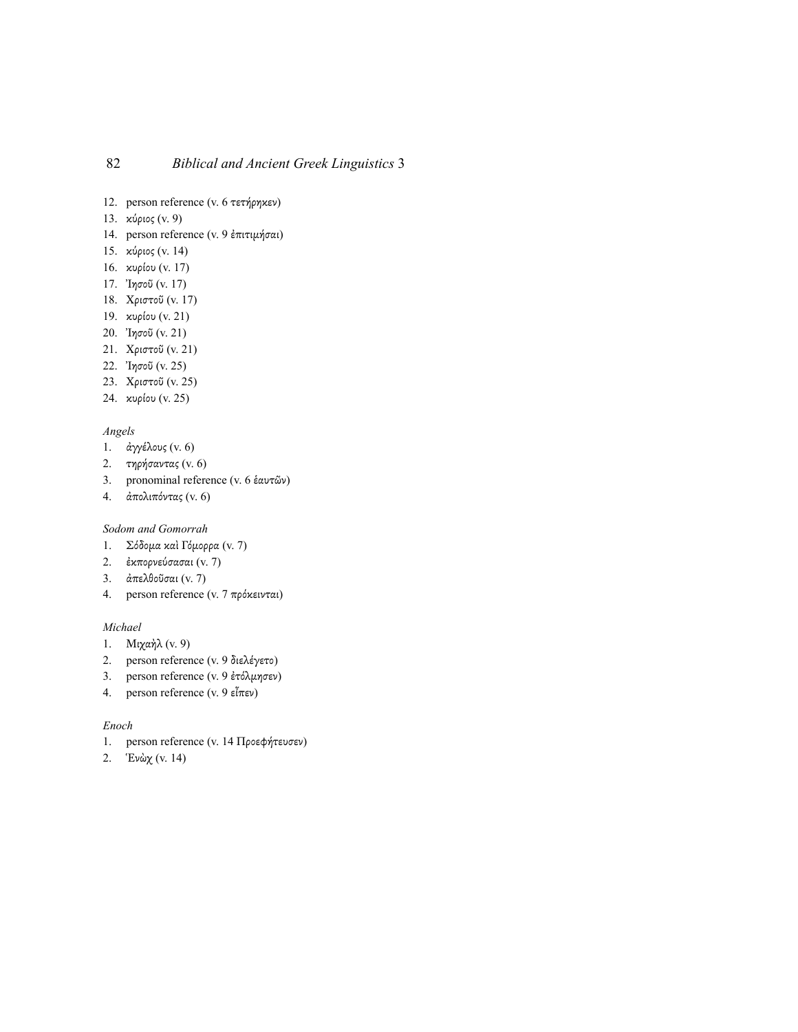- 12. person reference (v. 6 τετήρηκεν)
- 13. κύριος (v. 9)
- 14. person reference (v. 9 ἐπιτιµήσαι)
- 15. κύριος (v. 14)
- 16. κυρίου (v. 17)
- 17. Ἰησοῦ (v. 17)
- 18. Χριστοῦ (v. 17)
- 19. κυρίου (v. 21)
- 20. Ἰησοῦ (v. 21)
- 21. Χριστοῦ (v. 21)
- 22. Ἰησοῦ (v. 25)
- 23. Χριστοῦ (v. 25)
- 24. κυρίου (v. 25)

#### *Angels*

- 1. άγγέλους (v. 6)
- 2. τηρήσαντας (v. 6)
- 3. pronominal reference (v. 6 ἑαυτῶν)
- 4. ἀπολιπόντας (v. 6)

## *Sodom and Gomorrah*

- 1. Σόδοµα καὶ Γόµορρα (v. 7)
- 2. ἐκπορνεύσασαι (v. 7)
- 3. ἀπελθοῦσαι (v. 7)
- 4. person reference (v. 7 πρόκεινται)

#### *Michael*

- 1. Μιχαὴλ (v. 9)
- 2. person reference (v. 9 διελέγετο)
- 3. person reference (v. 9 ἐτόλµησεν)
- 4. person reference (v. 9 εἶπεν)

### *Enoch*

- 1. person reference (v. 14 Προεφήτευσεν)
- 2. Ἑνὼχ (v. 14)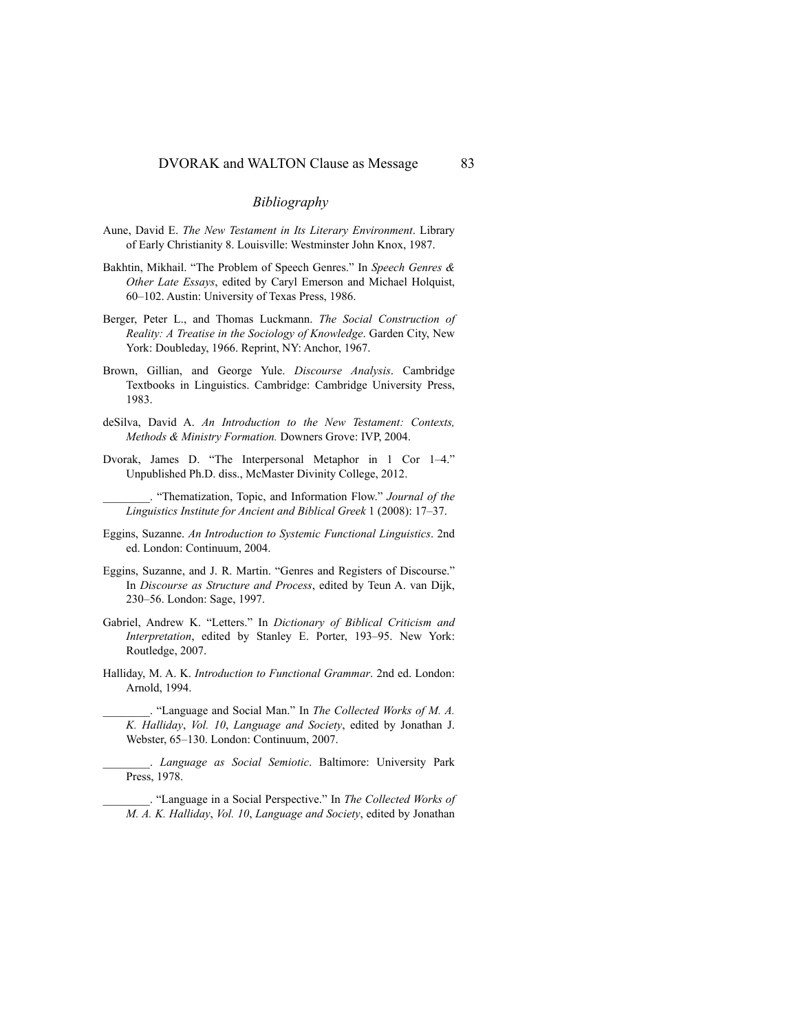## *Bibliography*

- Aune, David E. *The New Testament in Its Literary Environment*. Library of Early Christianity 8. Louisville: Westminster John Knox, 1987.
- Bakhtin, Mikhail. "The Problem of Speech Genres." In *Speech Genres & Other Late Essays*, edited by Caryl Emerson and Michael Holquist, 60–102. Austin: University of Texas Press, 1986.
- Berger, Peter L., and Thomas Luckmann. *The Social Construction of Reality: A Treatise in the Sociology of Knowledge*. Garden City, New York: Doubleday, 1966. Reprint, NY: Anchor, 1967.
- Brown, Gillian, and George Yule. *Discourse Analysis*. Cambridge Textbooks in Linguistics. Cambridge: Cambridge University Press, 1983.
- deSilva, David A. *An Introduction to the New Testament: Contexts, Methods & Ministry Formation.* Downers Grove: IVP, 2004.
- Dvorak, James D. "The Interpersonal Metaphor in 1 Cor 1–4." Unpublished Ph.D. diss., McMaster Divinity College, 2012.

\_\_\_\_\_\_\_\_. "Thematization, Topic, and Information Flow." *Journal of the Linguistics Institute for Ancient and Biblical Greek* 1 (2008): 17–37.

- Eggins, Suzanne. *An Introduction to Systemic Functional Linguistics*. 2nd ed. London: Continuum, 2004.
- Eggins, Suzanne, and J. R. Martin. "Genres and Registers of Discourse." In *Discourse as Structure and Process*, edited by Teun A. van Dijk, 230–56. London: Sage, 1997.
- Gabriel, Andrew K. "Letters." In *Dictionary of Biblical Criticism and Interpretation*, edited by Stanley E. Porter, 193–95. New York: Routledge, 2007.
- Halliday, M. A. K. *Introduction to Functional Grammar*. 2nd ed. London: Arnold, 1994.

\_\_\_\_\_\_\_\_. "Language and Social Man." In *The Collected Works of M. A. K. Halliday*, *Vol. 10*, *Language and Society*, edited by Jonathan J. Webster, 65–130. London: Continuum, 2007.

\_\_\_\_\_\_\_\_. *Language as Social Semiotic*. Baltimore: University Park Press, 1978.

\_\_\_\_\_\_\_\_. "Language in a Social Perspective." In *The Collected Works of M. A. K. Halliday*, *Vol. 10*, *Language and Society*, edited by Jonathan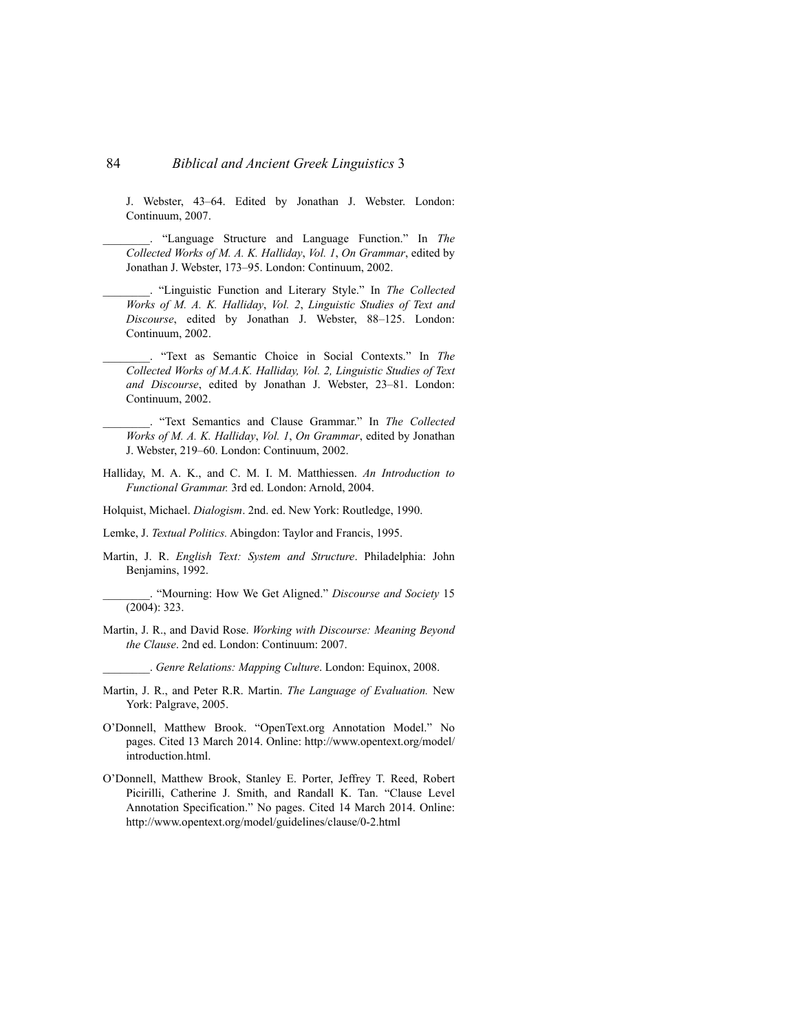J. Webster, 43–64. Edited by Jonathan J. Webster. London: Continuum, 2007.

\_\_\_\_\_\_\_\_. "Language Structure and Language Function." In *The Collected Works of M. A. K. Halliday*, *Vol. 1*, *On Grammar*, edited by Jonathan J. Webster, 173–95. London: Continuum, 2002.

\_\_\_\_\_\_\_\_. "Linguistic Function and Literary Style." In *The Collected Works of M. A. K. Halliday*, *Vol. 2*, *Linguistic Studies of Text and Discourse*, edited by Jonathan J. Webster, 88–125. London: Continuum, 2002.

\_\_\_\_\_\_\_\_. "Text as Semantic Choice in Social Contexts." In *The Collected Works of M.A.K. Halliday, Vol. 2, Linguistic Studies of Text and Discourse*, edited by Jonathan J. Webster, 23–81. London: Continuum, 2002.

\_\_\_\_\_\_\_\_. "Text Semantics and Clause Grammar." In *The Collected Works of M. A. K. Halliday*, *Vol. 1*, *On Grammar*, edited by Jonathan J. Webster, 219–60. London: Continuum, 2002.

- Halliday, M. A. K., and C. M. I. M. Matthiessen. *An Introduction to Functional Grammar.* 3rd ed. London: Arnold, 2004.
- Holquist, Michael. *Dialogism*. 2nd. ed. New York: Routledge, 1990.
- Lemke, J. *Textual Politics.* Abingdon: Taylor and Francis, 1995.
- Martin, J. R. *English Text: System and Structure*. Philadelphia: John Benjamins, 1992.

\_\_\_\_\_\_\_\_. "Mourning: How We Get Aligned." *Discourse and Society* 15 (2004): 323.

- Martin, J. R., and David Rose. *Working with Discourse: Meaning Beyond the Clause*. 2nd ed. London: Continuum: 2007.
	- \_\_\_\_\_\_\_\_. *Genre Relations: Mapping Culture*. London: Equinox, 2008.
- Martin, J. R., and Peter R.R. Martin. *The Language of Evaluation.* New York: Palgrave, 2005.
- O'Donnell, Matthew Brook. "OpenText.org Annotation Model." No pages. Cited 13 March 2014. Online: http://www.opentext.org/model/ introduction.html.
- O'Donnell, Matthew Brook, Stanley E. Porter, Jeffrey T. Reed, Robert Picirilli, Catherine J. Smith, and Randall K. Tan. "Clause Level Annotation Specification." No pages. Cited 14 March 2014. Online: http://www.opentext.org/model/guidelines/clause/0-2.html